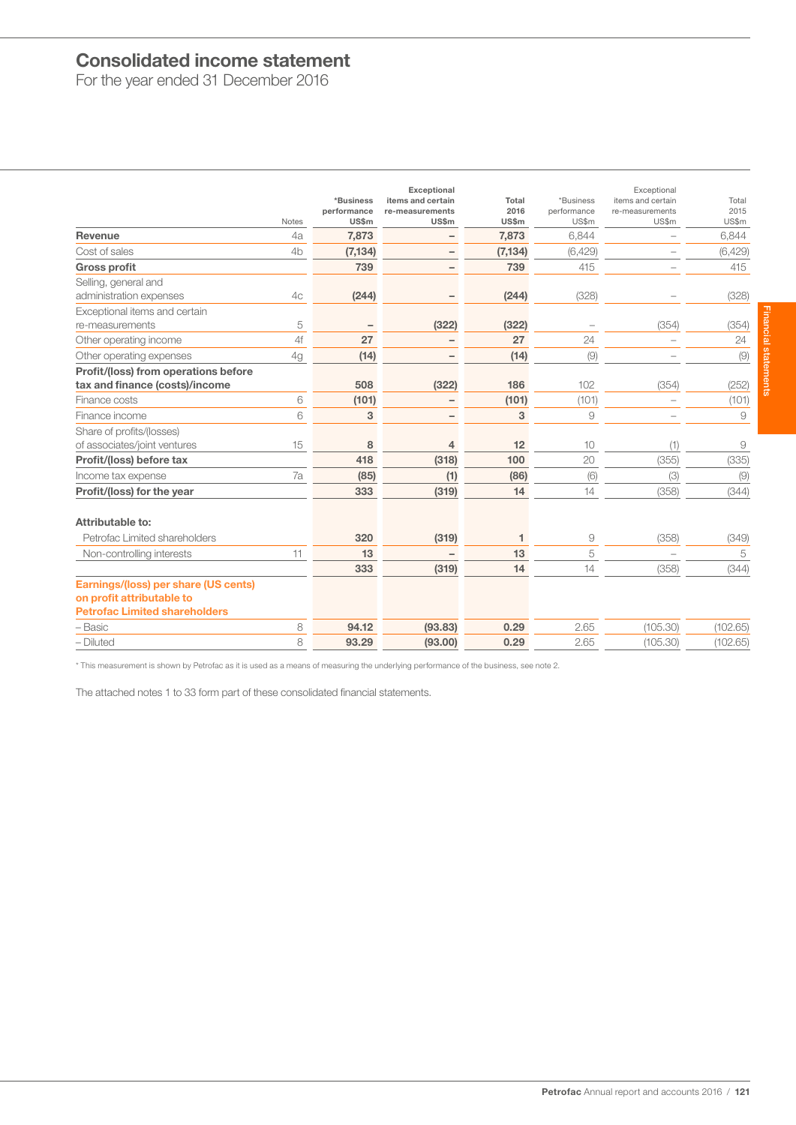# Consolidated income statement

For the year ended 31 December 2016

| Notes                                                                                                     | *Business<br>performance<br>US\$m | <b>Exceptional</b><br>items and certain<br>re-measurements<br>US\$m | Total<br>2016<br>US\$m | *Business<br>performance<br>US\$m | Exceptional<br>items and certain<br>re-measurements<br>US\$m | Total<br>2015<br>US\$m |
|-----------------------------------------------------------------------------------------------------------|-----------------------------------|---------------------------------------------------------------------|------------------------|-----------------------------------|--------------------------------------------------------------|------------------------|
| Revenue<br>4a                                                                                             | 7,873                             |                                                                     | 7,873                  | 6,844                             |                                                              | 6,844                  |
| Cost of sales<br>4 <sub>b</sub>                                                                           | (7, 134)                          | $\qquad \qquad -$                                                   | (7, 134)               | (6,429)                           |                                                              | (6, 429)               |
| <b>Gross profit</b>                                                                                       | 739                               |                                                                     | 739                    | 415                               |                                                              | 415                    |
| Selling, general and<br>administration expenses<br>4 <sub>C</sub>                                         | (244)                             |                                                                     | (244)                  | (328)                             |                                                              | (328)                  |
| Exceptional items and certain                                                                             |                                   |                                                                     |                        |                                   |                                                              |                        |
| 5<br>re-measurements                                                                                      |                                   | (322)                                                               | (322)                  |                                   | (354)                                                        | (354)                  |
| 4f<br>Other operating income                                                                              | 27                                |                                                                     | 27                     | 24                                |                                                              | 24                     |
| Other operating expenses<br>4g                                                                            | (14)                              |                                                                     | (14)                   | (9)                               |                                                              | (9)                    |
| Profit/(loss) from operations before                                                                      |                                   |                                                                     |                        |                                   |                                                              |                        |
| tax and finance (costs)/income                                                                            | 508                               | (322)                                                               | 186                    | 102                               | (354)                                                        | (252)                  |
| 6<br>Finance costs                                                                                        | (101)                             |                                                                     | (101)                  | (101)                             |                                                              | (101)                  |
| 6<br>Finance income                                                                                       | 3                                 |                                                                     | 3                      | 9                                 |                                                              | 9                      |
| Share of profits/(losses)<br>of associates/joint ventures<br>15                                           | 8                                 | $\overline{4}$                                                      | 12                     | 10                                | (1)                                                          | 9                      |
| Profit/(loss) before tax                                                                                  | 418                               | (318)                                                               | 100                    | 20                                | (355)                                                        | (335)                  |
| 7a<br>Income tax expense                                                                                  | (85)                              | (1)                                                                 | (86)                   | (6)                               | (3)                                                          | (9)                    |
| Profit/(loss) for the year                                                                                | 333                               | (319)                                                               | 14                     | 14                                | (358)                                                        | (344)                  |
| Attributable to:                                                                                          |                                   |                                                                     |                        |                                   |                                                              |                        |
| Petrofac Limited shareholders                                                                             | 320                               | (319)                                                               | 1                      | 9                                 | (358)                                                        | (349)                  |
| 11<br>Non-controlling interests                                                                           | 13                                |                                                                     | 13                     | 5                                 | ÷                                                            | 5                      |
|                                                                                                           | 333                               | (319)                                                               | 14                     | 14                                | (358)                                                        | (344)                  |
| Earnings/(loss) per share (US cents)<br>on profit attributable to<br><b>Petrofac Limited shareholders</b> |                                   |                                                                     |                        |                                   |                                                              |                        |
| 8<br>- Basic                                                                                              | 94.12                             | (93.83)                                                             | 0.29                   | 2.65                              | (105.30)                                                     | (102.65)               |
| - Diluted<br>8                                                                                            | 93.29                             | (93.00)                                                             | 0.29                   | 2.65                              | (105.30)                                                     | (102.65)               |

\* This measurement is shown by Petrofac as it is used as a means of measuring the underlying performance of the business, see note 2.

The attached notes 1 to 33 form part of these consolidated financial statements.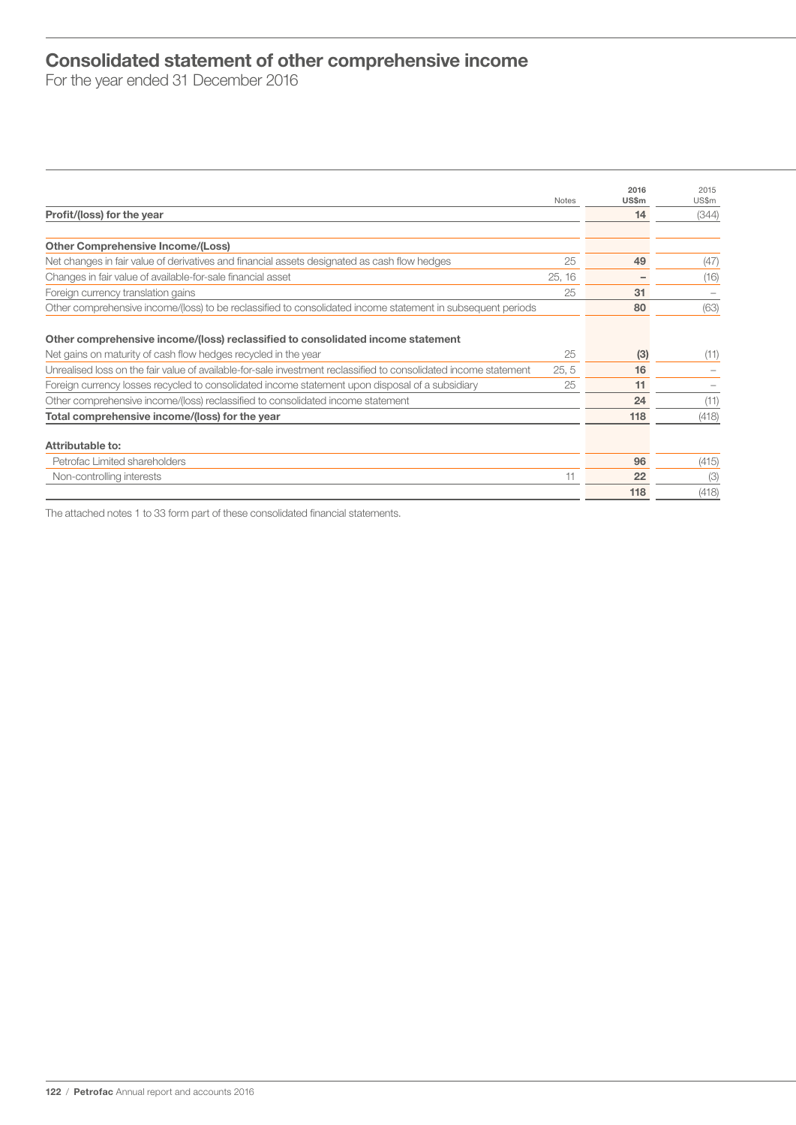# Consolidated statement of other comprehensive income

For the year ended 31 December 2016

|                                                                                                                                                   | <b>Notes</b> | 2016<br>US\$m | 2015<br>US\$m |
|---------------------------------------------------------------------------------------------------------------------------------------------------|--------------|---------------|---------------|
| Profit/(loss) for the year                                                                                                                        |              | 14            | (344)         |
|                                                                                                                                                   |              |               |               |
| <b>Other Comprehensive Income/(Loss)</b>                                                                                                          |              |               |               |
| Net changes in fair value of derivatives and financial assets designated as cash flow hedges                                                      | 25           | 49            | (47)          |
| Changes in fair value of available-for-sale financial asset                                                                                       | 25, 16       |               | (16)          |
| Foreign currency translation gains                                                                                                                | 25           | 31            |               |
| Other comprehensive income/(loss) to be reclassified to consolidated income statement in subsequent periods                                       |              | 80            | (63)          |
| Other comprehensive income/(loss) reclassified to consolidated income statement<br>Net gains on maturity of cash flow hedges recycled in the year | 25           | (3)           | (11)          |
| Unrealised loss on the fair value of available-for-sale investment reclassified to consolidated income statement                                  | 25, 5        | 16            |               |
| Foreign currency losses recycled to consolidated income statement upon disposal of a subsidiary                                                   | 25           | 11            |               |
| Other comprehensive income/(loss) reclassified to consolidated income statement                                                                   |              | 24            | (11)          |
| Total comprehensive income/(loss) for the year                                                                                                    |              | 118           | (418)         |
| Attributable to:                                                                                                                                  |              |               |               |
| Petrofac Limited shareholders                                                                                                                     |              | 96            | (415)         |
| Non-controlling interests                                                                                                                         | 11           | 22            | (3)           |
|                                                                                                                                                   |              | 118           | (418)         |

The attached notes 1 to 33 form part of these consolidated financial statements.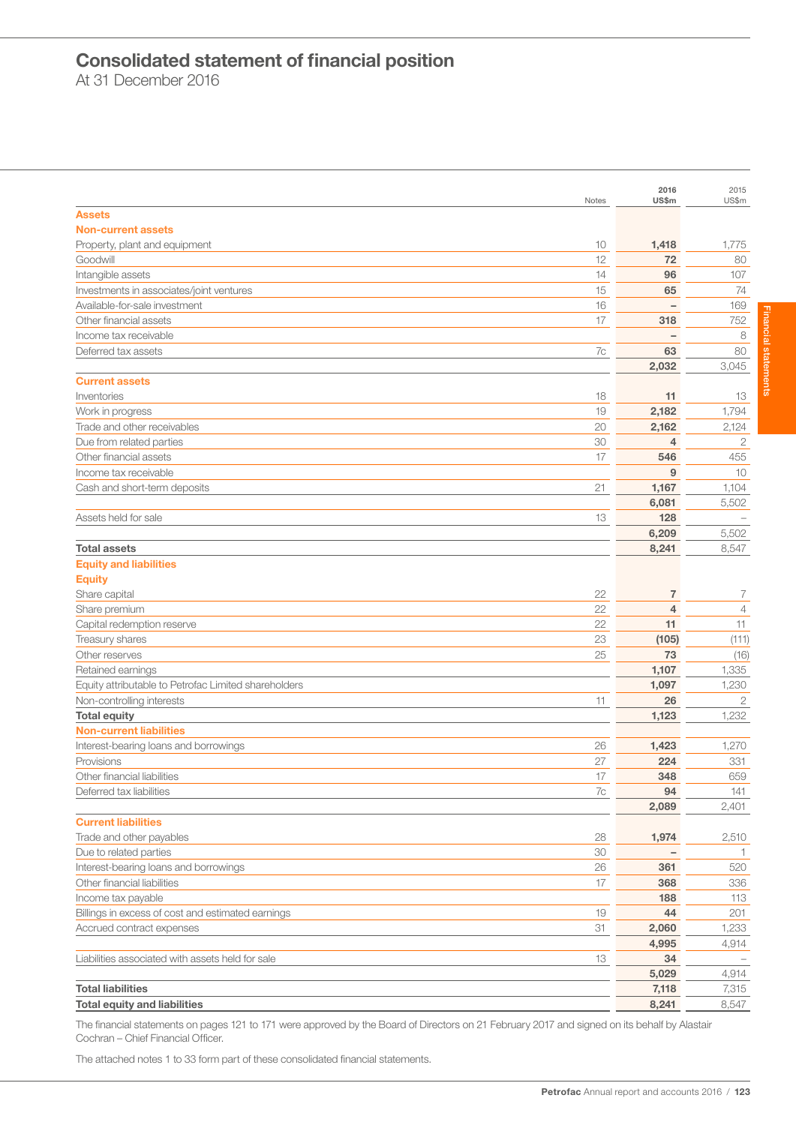# Consolidated statement of financial position

At 31 December 2016

|                                                      |       | 2016                     | 2015           |
|------------------------------------------------------|-------|--------------------------|----------------|
| <b>Assets</b>                                        | Notes | US\$m                    | US\$m          |
| <b>Non-current assets</b>                            |       |                          |                |
| Property, plant and equipment                        | 10    | 1,418                    | 1,775          |
| Goodwill                                             | 12    | 72                       | 80             |
| Intangible assets                                    | 14    | 96                       | 107            |
| Investments in associates/joint ventures             | 15    | 65                       | 74             |
| Available-for-sale investment                        | 16    | $\qquad \qquad -$        | 169            |
| Other financial assets                               | 17    | 318                      | 752            |
| Income tax receivable                                |       | $\overline{\phantom{0}}$ | 8              |
| Deferred tax assets                                  | 7c    | 63                       | 80             |
|                                                      |       | 2,032                    | 3,045          |
| <b>Current assets</b>                                |       |                          |                |
| Inventories                                          | 18    | 11                       | 13             |
| Work in progress                                     | 19    | 2,182                    | 1,794          |
| Trade and other receivables                          | 20    | 2,162                    | 2,124          |
| Due from related parties                             | 30    | 4                        | $\mathbf{2}$   |
| Other financial assets                               |       |                          |                |
|                                                      | 17    | 546<br>9                 | 455            |
| Income tax receivable                                |       |                          | 10             |
| Cash and short-term deposits                         | 21    | 1,167                    | 1,104          |
|                                                      |       | 6,081                    | 5,502          |
| Assets held for sale                                 | 13    | 128                      |                |
|                                                      |       | 6,209                    | 5,502          |
| <b>Total assets</b>                                  |       | 8,241                    | 8,547          |
| <b>Equity and liabilities</b>                        |       |                          |                |
| <b>Equity</b>                                        |       |                          |                |
| Share capital                                        | 22    | 7                        | 7              |
| Share premium                                        | 22    | $\overline{4}$           | $\overline{4}$ |
| Capital redemption reserve                           | 22    | 11                       | 11             |
| Treasury shares                                      | 23    | (105)                    | (111)          |
| Other reserves                                       | 25    | 73                       | (16)           |
| Retained earnings                                    |       | 1,107                    | 1,335          |
| Equity attributable to Petrofac Limited shareholders |       | 1,097                    | 1,230          |
| Non-controlling interests                            | 11    | 26                       | $\mathbf{2}$   |
| <b>Total equity</b>                                  |       | 1,123                    | 1,232          |
| <b>Non-current liabilities</b>                       |       |                          |                |
| Interest-bearing loans and borrowings                | 26    | 1,423                    | 1,270          |
| Provisions                                           | 27    | 224                      | 331            |
| Other financial liabilities                          | 17    | 348                      | 659            |
| Deferred tax liabilities                             | 7c    | 94                       | 141            |
|                                                      |       | 2,089                    | 2,401          |
| <b>Current liabilities</b>                           |       |                          |                |
| Trade and other payables                             | 28    | 1,974                    | 2,510          |
| Due to related parties                               | 30    |                          | -1.            |
| Interest-bearing loans and borrowings                | 26    | 361                      | 520            |
| Other financial liabilities                          | 17    | 368                      | 336            |
| Income tax payable                                   |       | 188                      | 113            |
| Billings in excess of cost and estimated earnings    | 19    | 44                       | 201            |
| Accrued contract expenses                            | 31    | 2,060                    | 1,233          |
|                                                      |       | 4,995                    | 4,914          |
| Liabilities associated with assets held for sale     | 13    | 34                       |                |
|                                                      |       | 5,029                    | 4,914          |
| <b>Total liabilities</b>                             |       | 7,118                    | 7,315          |
| <b>Total equity and liabilities</b>                  |       | 8,241                    | 8,547          |

The financial statements on pages 121 to 171 were approved by the Board of Directors on 21 February 2017 and signed on its behalf by Alastair Cochran – Chief Financial Officer.

The attached notes 1 to 33 form part of these consolidated financial statements.

**Financial statements** Financial statements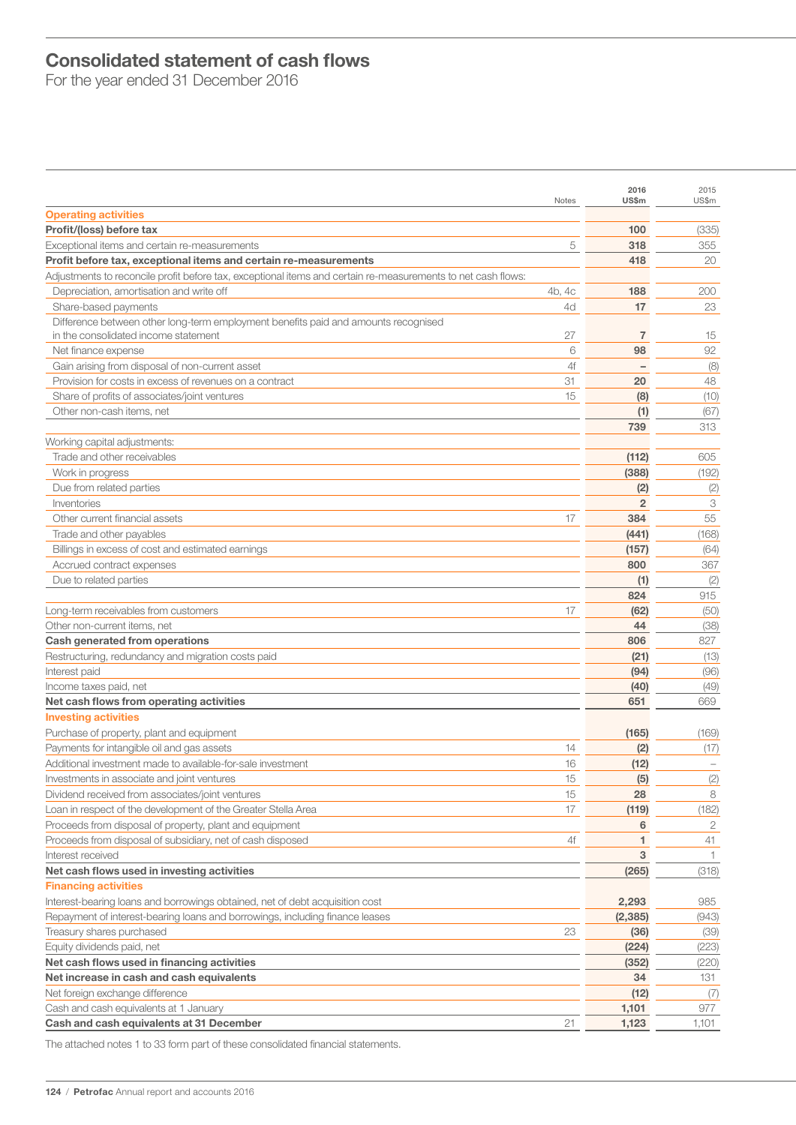# Consolidated statement of cash flows

For the year ended 31 December 2016

|                                                                                                              | Notes  | 2016<br>US\$m  | 2015<br>US\$m |
|--------------------------------------------------------------------------------------------------------------|--------|----------------|---------------|
| <b>Operating activities</b>                                                                                  |        |                |               |
| Profit/(loss) before tax                                                                                     |        | 100            | (335)         |
| Exceptional items and certain re-measurements                                                                | 5      | 318            | 355           |
| Profit before tax, exceptional items and certain re-measurements                                             |        | 418            | 20            |
| Adjustments to reconcile profit before tax, exceptional items and certain re-measurements to net cash flows: |        |                |               |
| Depreciation, amortisation and write off                                                                     | 4b, 4c | 188            | 200           |
| Share-based payments                                                                                         | 4d     | 17             | 23            |
| Difference between other long-term employment benefits paid and amounts recognised                           |        |                |               |
| in the consolidated income statement                                                                         | 27     | 7              | 15            |
| Net finance expense                                                                                          | 6      | 98             | 92            |
| Gain arising from disposal of non-current asset                                                              | 4f     |                | (8)           |
| Provision for costs in excess of revenues on a contract                                                      | 31     | 20             | 48            |
| Share of profits of associates/joint ventures                                                                | 15     | (8)            | (10)          |
| Other non-cash items, net                                                                                    |        | (1)            | (67)          |
|                                                                                                              |        | 739            | 313           |
| Working capital adjustments:                                                                                 |        |                |               |
| Trade and other receivables                                                                                  |        | (112)          | 605           |
| Work in progress                                                                                             |        | (388)          | (192)         |
| Due from related parties                                                                                     |        | (2)            | (2)           |
| Inventories                                                                                                  |        | $\overline{2}$ | 3             |
| Other current financial assets                                                                               | 17     | 384            | 55            |
| Trade and other payables                                                                                     |        | (441)          | (168)         |
| Billings in excess of cost and estimated earnings                                                            |        | (157)          | (64)          |
| Accrued contract expenses                                                                                    |        | 800            | 367           |
| Due to related parties                                                                                       |        | (1)            | (2)           |
|                                                                                                              |        | 824            | 915           |
| Long-term receivables from customers                                                                         | 17     | (62)           | (50)          |
| Other non-current items, net                                                                                 |        | 44             | (38)          |
| <b>Cash generated from operations</b>                                                                        |        | 806            | 827           |
| Restructuring, redundancy and migration costs paid                                                           |        | (21)           | (13)          |
| Interest paid                                                                                                |        | (94)           | (96)          |
| Income taxes paid, net                                                                                       |        | (40)           | (49)          |
| Net cash flows from operating activities                                                                     |        | 651            | 669           |
| <b>Investing activities</b>                                                                                  |        |                |               |
| Purchase of property, plant and equipment                                                                    |        | (165)          | (169)         |
| Payments for intangible oil and gas assets                                                                   | 14     | (2)            | (17)          |
| Additional investment made to available-for-sale investment                                                  | 16     | (12)           |               |
| Investments in associate and joint ventures                                                                  | 15     | (5)            | (2)           |
| Dividend received from associates/joint ventures                                                             | 15     | 28             | 8             |
| Loan in respect of the development of the Greater Stella Area                                                | 17     | (119)          | (182)         |
| Proceeds from disposal of property, plant and equipment                                                      |        | 6              | 2             |
| Proceeds from disposal of subsidiary, net of cash disposed                                                   | 4f     | 1              | 41            |
| Interest received                                                                                            |        | 3              | $\mathbf{1}$  |
| Net cash flows used in investing activities                                                                  |        | (265)          | (318)         |
| <b>Financing activities</b>                                                                                  |        |                |               |
| Interest-bearing loans and borrowings obtained, net of debt acquisition cost                                 |        | 2,293          | 985           |
| Repayment of interest-bearing loans and borrowings, including finance leases                                 |        | (2, 385)       | (943)         |
| Treasury shares purchased                                                                                    | 23     | (36)           | (39)          |
| Equity dividends paid, net                                                                                   |        | (224)          | (223)         |
| Net cash flows used in financing activities                                                                  |        | (352)          | (220)         |
| Net increase in cash and cash equivalents                                                                    |        | 34             | 131           |
| Net foreign exchange difference                                                                              |        | (12)           | (7)           |
| Cash and cash equivalents at 1 January                                                                       |        | 1,101          | 977           |
| Cash and cash equivalents at 31 December                                                                     | 21     | 1,123          | 1,101         |
|                                                                                                              |        |                |               |

The attached notes 1 to 33 form part of these consolidated financial statements.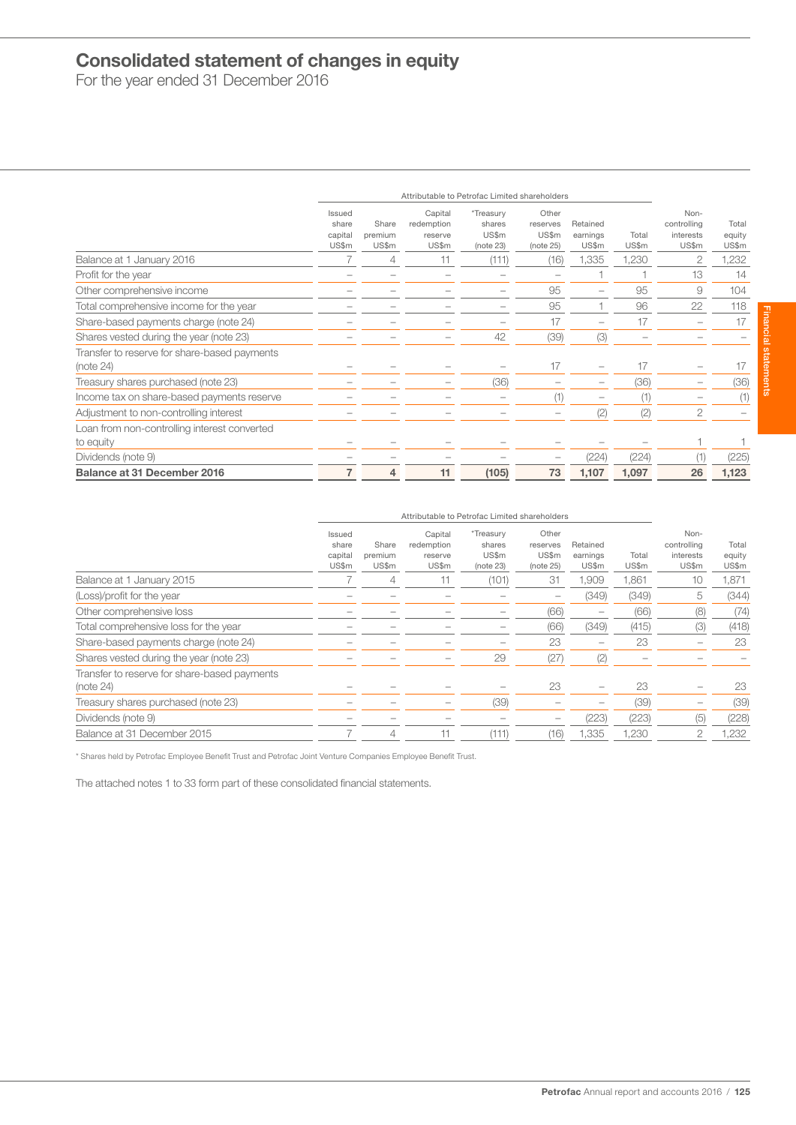# Consolidated statement of changes in equity

For the year ended 31 December 2016

|                                                           |                                     | Attributable to Petrofac Limited shareholders |                                           |                                           |                                         |                               |                |                                           |                          |
|-----------------------------------------------------------|-------------------------------------|-----------------------------------------------|-------------------------------------------|-------------------------------------------|-----------------------------------------|-------------------------------|----------------|-------------------------------------------|--------------------------|
|                                                           | Issued<br>share<br>capital<br>US\$m | Share<br>premium<br>US\$m                     | Capital<br>redemption<br>reserve<br>US\$m | *Treasury<br>shares<br>US\$m<br>(note 23) | Other<br>reserves<br>US\$m<br>(note 25) | Retained<br>earnings<br>US\$m | Total<br>US\$m | Non-<br>controlling<br>interests<br>US\$m | Total<br>equity<br>US\$m |
| Balance at 1 January 2016                                 |                                     | 4                                             |                                           | (111)                                     | (16)                                    | 1,335                         | 1,230          | 2                                         | 1,232                    |
| Profit for the year                                       |                                     |                                               |                                           |                                           |                                         |                               |                | 13                                        | 14                       |
| Other comprehensive income                                |                                     |                                               |                                           |                                           | 95                                      |                               | 95             | 9                                         | 104                      |
| Total comprehensive income for the year                   |                                     |                                               |                                           |                                           | 95                                      |                               | 96             | 22                                        | 118                      |
| Share-based payments charge (note 24)                     |                                     |                                               |                                           |                                           | 17                                      | $\overline{\phantom{0}}$      | 17             |                                           | 17                       |
| Shares vested during the year (note 23)                   |                                     |                                               |                                           | 42                                        | (39)                                    | (3)                           |                |                                           |                          |
| Transfer to reserve for share-based payments<br>(note 24) |                                     |                                               |                                           |                                           | 17                                      |                               | 17             |                                           | 17                       |
| Treasury shares purchased (note 23)                       |                                     |                                               |                                           | (36)                                      |                                         |                               | (36)           |                                           | (36)                     |
| Income tax on share-based payments reserve                |                                     |                                               |                                           |                                           | (1)                                     | $\overline{\phantom{0}}$      |                |                                           | (1)                      |
| Adjustment to non-controlling interest                    |                                     |                                               |                                           |                                           |                                         | (2)                           | (2)            | 2                                         |                          |
| Loan from non-controlling interest converted              |                                     |                                               |                                           |                                           |                                         |                               |                |                                           |                          |
| to equity                                                 |                                     |                                               |                                           |                                           |                                         |                               |                |                                           |                          |
| Dividends (note 9)                                        |                                     |                                               |                                           |                                           |                                         | (224)                         | (224)          |                                           | (225)                    |
| <b>Balance at 31 December 2016</b>                        | 7                                   | 4                                             | 11                                        | (105)                                     | 73                                      | 1,107                         | 1,097          | 26                                        | 1,123                    |

|                                                              |                                     | Attributable to Petrofac Limited shareholders |                                           |                                           |                                         |                               |                |                                           |                          |  |  |
|--------------------------------------------------------------|-------------------------------------|-----------------------------------------------|-------------------------------------------|-------------------------------------------|-----------------------------------------|-------------------------------|----------------|-------------------------------------------|--------------------------|--|--|
|                                                              | Issued<br>share<br>capital<br>US\$m | Share<br>premium<br>US\$m                     | Capital<br>redemption<br>reserve<br>US\$m | *Treasury<br>shares<br>US\$m<br>(note 23) | Other<br>reserves<br>US\$m<br>(note 25) | Retained<br>earnings<br>US\$m | Total<br>US\$m | Non-<br>controlling<br>interests<br>US\$m | Total<br>equity<br>US\$m |  |  |
| Balance at 1 January 2015                                    |                                     | 4                                             | 11                                        | (101)                                     | 31                                      | 1.909                         | 1,861          | 10                                        | 1,871                    |  |  |
| (Loss)/profit for the year                                   |                                     |                                               |                                           |                                           | $\overline{\phantom{0}}$                | (349)                         | (349)          | 5                                         | (344)                    |  |  |
| Other comprehensive loss                                     |                                     |                                               |                                           |                                           | (66)                                    | $\overline{\phantom{0}}$      | (66)           | (8)                                       | (74)                     |  |  |
| Total comprehensive loss for the year                        |                                     |                                               |                                           |                                           | (66)                                    | (349)                         | (415)          | (3)                                       | (418)                    |  |  |
| Share-based payments charge (note 24)                        |                                     |                                               |                                           |                                           | 23                                      | $\overline{\phantom{0}}$      | 23             |                                           | 23                       |  |  |
| Shares vested during the year (note 23)                      |                                     |                                               |                                           | 29                                        | (27)                                    | (2)                           |                |                                           |                          |  |  |
| Transfer to reserve for share-based payments<br>(note $24$ ) |                                     |                                               |                                           |                                           | 23                                      |                               | 23             |                                           | 23                       |  |  |
| Treasury shares purchased (note 23)                          |                                     |                                               |                                           | (39)                                      |                                         |                               | (39)           |                                           | (39)                     |  |  |
| Dividends (note 9)                                           |                                     |                                               |                                           |                                           | -                                       | (223)                         | (223)          | 15                                        | (228)                    |  |  |
| Balance at 31 December 2015                                  |                                     | 4                                             |                                           | (111)                                     | '16)                                    | 1,335                         | 1.230          |                                           | 1,232                    |  |  |

\* Shares held by Petrofac Employee Benefit Trust and Petrofac Joint Venture Companies Employee Benefit Trust.

The attached notes 1 to 33 form part of these consolidated financial statements.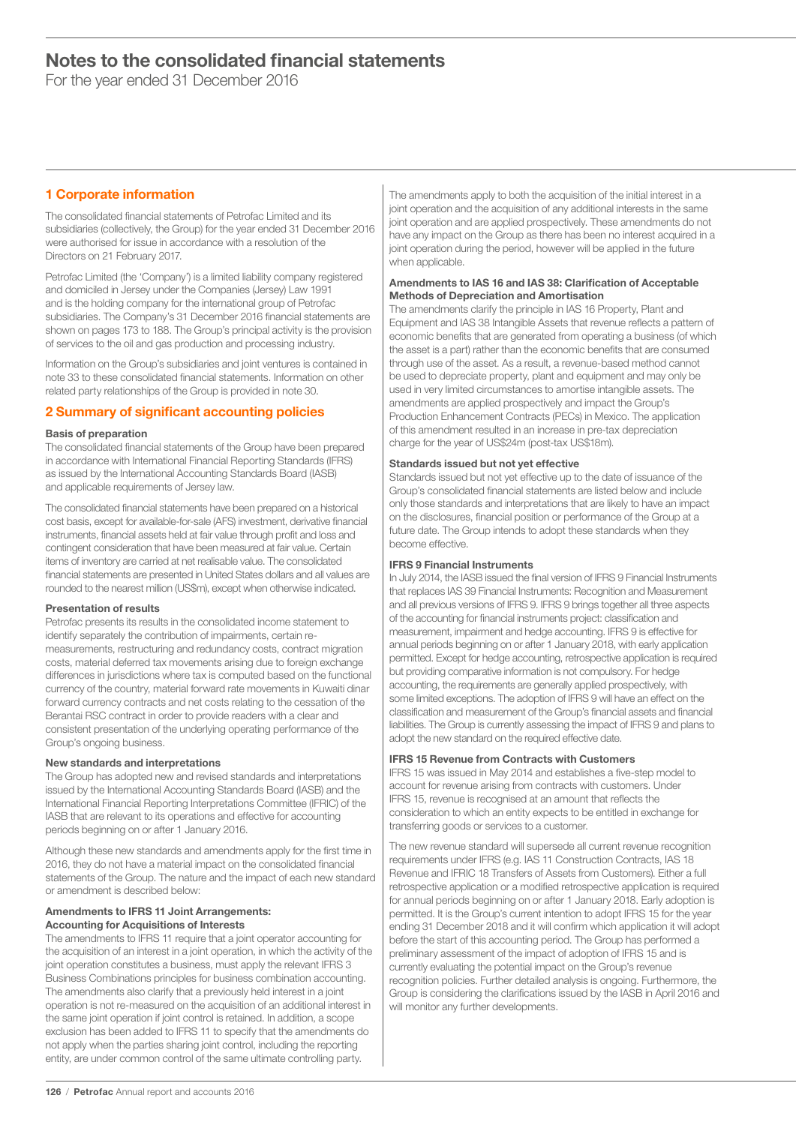For the year ended 31 December 2016

# 1 Corporate information

The consolidated financial statements of Petrofac Limited and its subsidiaries (collectively, the Group) for the year ended 31 December 2016 were authorised for issue in accordance with a resolution of the Directors on 21 February 2017.

Petrofac Limited (the 'Company') is a limited liability company registered and domiciled in Jersey under the Companies (Jersey) Law 1991 and is the holding company for the international group of Petrofac subsidiaries. The Company's 31 December 2016 financial statements are shown on pages 173 to 188. The Group's principal activity is the provision of services to the oil and gas production and processing industry.

Information on the Group's subsidiaries and joint ventures is contained in note 33 to these consolidated financial statements. Information on other related party relationships of the Group is provided in note 30.

# 2 Summary of significant accounting policies

# Basis of preparation

The consolidated financial statements of the Group have been prepared in accordance with International Financial Reporting Standards (IFRS) as issued by the International Accounting Standards Board (IASB) and applicable requirements of Jersey law.

The consolidated financial statements have been prepared on a historical cost basis, except for available-for-sale (AFS) investment, derivative financial instruments, financial assets held at fair value through profit and loss and contingent consideration that have been measured at fair value. Certain items of inventory are carried at net realisable value. The consolidated financial statements are presented in United States dollars and all values are rounded to the nearest million (US\$m), except when otherwise indicated.

# Presentation of results

Petrofac presents its results in the consolidated income statement to identify separately the contribution of impairments, certain remeasurements, restructuring and redundancy costs, contract migration costs, material deferred tax movements arising due to foreign exchange differences in jurisdictions where tax is computed based on the functional currency of the country, material forward rate movements in Kuwaiti dinar forward currency contracts and net costs relating to the cessation of the Berantai RSC contract in order to provide readers with a clear and consistent presentation of the underlying operating performance of the Group's ongoing business.

# New standards and interpretations

The Group has adopted new and revised standards and interpretations issued by the International Accounting Standards Board (IASB) and the International Financial Reporting Interpretations Committee (IFRIC) of the IASB that are relevant to its operations and effective for accounting periods beginning on or after 1 January 2016.

Although these new standards and amendments apply for the first time in 2016, they do not have a material impact on the consolidated financial statements of the Group. The nature and the impact of each new standard or amendment is described below:

# Amendments to IFRS 11 Joint Arrangements: Accounting for Acquisitions of Interests

The amendments to IFRS 11 require that a joint operator accounting for the acquisition of an interest in a joint operation, in which the activity of the joint operation constitutes a business, must apply the relevant IFRS 3 Business Combinations principles for business combination accounting. The amendments also clarify that a previously held interest in a joint operation is not re-measured on the acquisition of an additional interest in the same joint operation if joint control is retained. In addition, a scope exclusion has been added to IFRS 11 to specify that the amendments do not apply when the parties sharing joint control, including the reporting entity, are under common control of the same ultimate controlling party.

The amendments apply to both the acquisition of the initial interest in a joint operation and the acquisition of any additional interests in the same joint operation and are applied prospectively. These amendments do not have any impact on the Group as there has been no interest acquired in a joint operation during the period, however will be applied in the future when applicable.

# Amendments to IAS 16 and IAS 38: Clarification of Acceptable Methods of Depreciation and Amortisation

The amendments clarify the principle in IAS 16 Property, Plant and Equipment and IAS 38 Intangible Assets that revenue reflects a pattern of economic benefits that are generated from operating a business (of which the asset is a part) rather than the economic benefits that are consumed through use of the asset. As a result, a revenue-based method cannot be used to depreciate property, plant and equipment and may only be used in very limited circumstances to amortise intangible assets. The amendments are applied prospectively and impact the Group's Production Enhancement Contracts (PECs) in Mexico. The application of this amendment resulted in an increase in pre-tax depreciation charge for the year of US\$24m (post-tax US\$18m).

# Standards issued but not yet effective

Standards issued but not yet effective up to the date of issuance of the Group's consolidated financial statements are listed below and include only those standards and interpretations that are likely to have an impact on the disclosures, financial position or performance of the Group at a future date. The Group intends to adopt these standards when they become effective.

# IFRS 9 Financial Instruments

In July 2014, the IASB issued the final version of IFRS 9 Financial Instruments that replaces IAS 39 Financial Instruments: Recognition and Measurement and all previous versions of IFRS 9. IFRS 9 brings together all three aspects of the accounting for financial instruments project: classification and measurement, impairment and hedge accounting. IFRS 9 is effective for annual periods beginning on or after 1 January 2018, with early application permitted. Except for hedge accounting, retrospective application is required but providing comparative information is not compulsory. For hedge accounting, the requirements are generally applied prospectively, with some limited exceptions. The adoption of IFRS 9 will have an effect on the classification and measurement of the Group's financial assets and financial liabilities. The Group is currently assessing the impact of IFRS 9 and plans to adopt the new standard on the required effective date.

# IFRS 15 Revenue from Contracts with Customers

IFRS 15 was issued in May 2014 and establishes a five-step model to account for revenue arising from contracts with customers. Under IFRS 15, revenue is recognised at an amount that reflects the consideration to which an entity expects to be entitled in exchange for transferring goods or services to a customer.

The new revenue standard will supersede all current revenue recognition requirements under IFRS (e.g. IAS 11 Construction Contracts, IAS 18 Revenue and IFRIC 18 Transfers of Assets from Customers). Either a full retrospective application or a modified retrospective application is required for annual periods beginning on or after 1 January 2018. Early adoption is permitted. It is the Group's current intention to adopt IFRS 15 for the year ending 31 December 2018 and it will confirm which application it will adopt before the start of this accounting period. The Group has performed a preliminary assessment of the impact of adoption of IFRS 15 and is currently evaluating the potential impact on the Group's revenue recognition policies. Further detailed analysis is ongoing. Furthermore, the Group is considering the clarifications issued by the IASB in April 2016 and will monitor any further developments.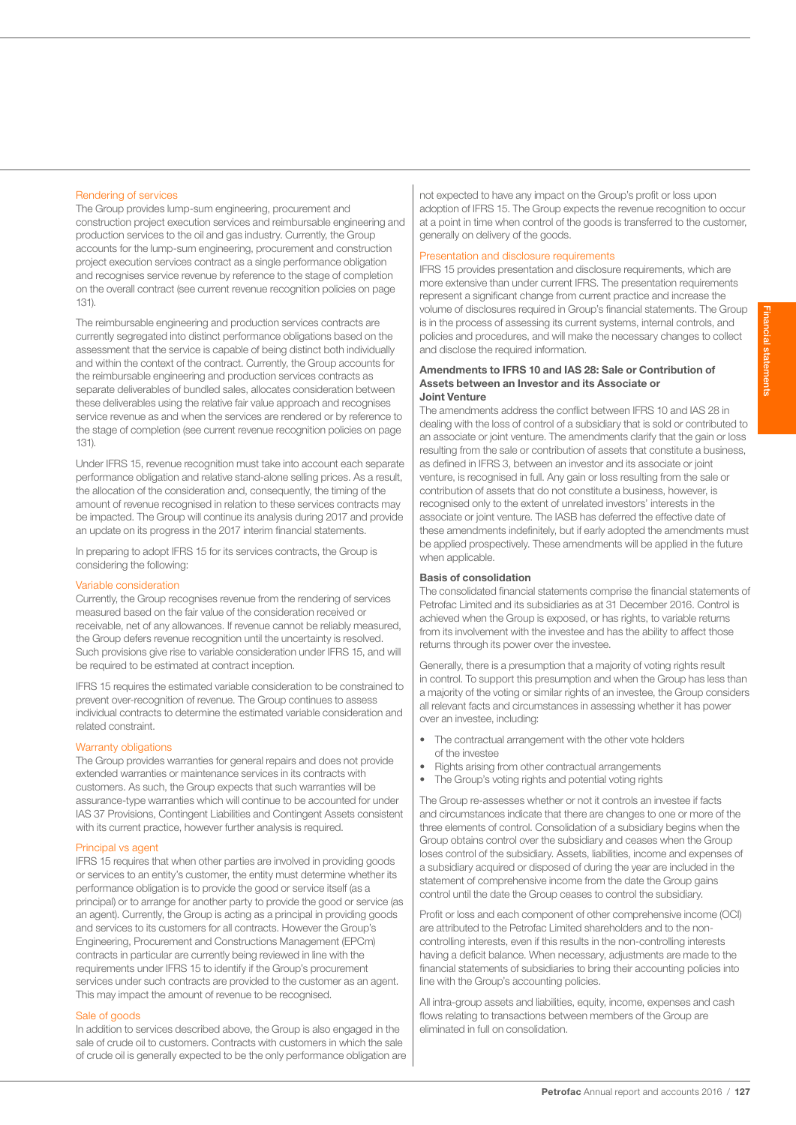# Rendering of services

The Group provides lump-sum engineering, procurement and construction project execution services and reimbursable engineering and production services to the oil and gas industry. Currently, the Group accounts for the lump-sum engineering, procurement and construction project execution services contract as a single performance obligation and recognises service revenue by reference to the stage of completion on the overall contract (see current revenue recognition policies on page 131).

The reimbursable engineering and production services contracts are currently segregated into distinct performance obligations based on the assessment that the service is capable of being distinct both individually and within the context of the contract. Currently, the Group accounts for the reimbursable engineering and production services contracts as separate deliverables of bundled sales, allocates consideration between these deliverables using the relative fair value approach and recognises service revenue as and when the services are rendered or by reference to the stage of completion (see current revenue recognition policies on page 131).

Under IFRS 15, revenue recognition must take into account each separate performance obligation and relative stand-alone selling prices. As a result, the allocation of the consideration and, consequently, the timing of the amount of revenue recognised in relation to these services contracts may be impacted. The Group will continue its analysis during 2017 and provide an update on its progress in the 2017 interim financial statements.

In preparing to adopt IFRS 15 for its services contracts, the Group is considering the following:

#### Variable consideration

Currently, the Group recognises revenue from the rendering of services measured based on the fair value of the consideration received or receivable, net of any allowances. If revenue cannot be reliably measured, the Group defers revenue recognition until the uncertainty is resolved. Such provisions give rise to variable consideration under IFRS 15, and will be required to be estimated at contract inception.

IFRS 15 requires the estimated variable consideration to be constrained to prevent over-recognition of revenue. The Group continues to assess individual contracts to determine the estimated variable consideration and related constraint.

#### Warranty obligations

The Group provides warranties for general repairs and does not provide extended warranties or maintenance services in its contracts with customers. As such, the Group expects that such warranties will be assurance-type warranties which will continue to be accounted for under IAS 37 Provisions, Contingent Liabilities and Contingent Assets consistent with its current practice, however further analysis is required.

### Principal vs agent

IFRS 15 requires that when other parties are involved in providing goods or services to an entity's customer, the entity must determine whether its performance obligation is to provide the good or service itself (as a principal) or to arrange for another party to provide the good or service (as an agent). Currently, the Group is acting as a principal in providing goods and services to its customers for all contracts. However the Group's Engineering, Procurement and Constructions Management (EPCm) contracts in particular are currently being reviewed in line with the requirements under IFRS 15 to identify if the Group's procurement services under such contracts are provided to the customer as an agent. This may impact the amount of revenue to be recognised.

### Sale of goods

In addition to services described above, the Group is also engaged in the sale of crude oil to customers. Contracts with customers in which the sale of crude oil is generally expected to be the only performance obligation are not expected to have any impact on the Group's profit or loss upon adoption of IFRS 15. The Group expects the revenue recognition to occur at a point in time when control of the goods is transferred to the customer, generally on delivery of the goods.

# Presentation and disclosure requirements

IFRS 15 provides presentation and disclosure requirements, which are more extensive than under current IFRS. The presentation requirements represent a significant change from current practice and increase the volume of disclosures required in Group's financial statements. The Group is in the process of assessing its current systems, internal controls, and policies and procedures, and will make the necessary changes to collect and disclose the required information.

### Amendments to IFRS 10 and IAS 28: Sale or Contribution of Assets between an Investor and its Associate or Joint Venture

The amendments address the conflict between IFRS 10 and IAS 28 in dealing with the loss of control of a subsidiary that is sold or contributed to an associate or joint venture. The amendments clarify that the gain or loss resulting from the sale or contribution of assets that constitute a business, as defined in IFRS 3, between an investor and its associate or joint venture, is recognised in full. Any gain or loss resulting from the sale or contribution of assets that do not constitute a business, however, is recognised only to the extent of unrelated investors' interests in the associate or joint venture. The IASB has deferred the effective date of these amendments indefinitely, but if early adopted the amendments must be applied prospectively. These amendments will be applied in the future when applicable.

### Basis of consolidation

The consolidated financial statements comprise the financial statements of Petrofac Limited and its subsidiaries as at 31 December 2016. Control is achieved when the Group is exposed, or has rights, to variable returns from its involvement with the investee and has the ability to affect those returns through its power over the investee.

Generally, there is a presumption that a majority of voting rights result in control. To support this presumption and when the Group has less than a majority of the voting or similar rights of an investee, the Group considers all relevant facts and circumstances in assessing whether it has power over an investee, including:

- The contractual arrangement with the other vote holders of the investee
- Rights arising from other contractual arrangements
- The Group's voting rights and potential voting rights

The Group re-assesses whether or not it controls an investee if facts and circumstances indicate that there are changes to one or more of the three elements of control. Consolidation of a subsidiary begins when the Group obtains control over the subsidiary and ceases when the Group loses control of the subsidiary. Assets, liabilities, income and expenses of a subsidiary acquired or disposed of during the year are included in the statement of comprehensive income from the date the Group gains control until the date the Group ceases to control the subsidiary.

Profit or loss and each component of other comprehensive income (OCI) are attributed to the Petrofac Limited shareholders and to the noncontrolling interests, even if this results in the non-controlling interests having a deficit balance. When necessary, adjustments are made to the financial statements of subsidiaries to bring their accounting policies into line with the Group's accounting policies.

All intra-group assets and liabilities, equity, income, expenses and cash flows relating to transactions between members of the Group are eliminated in full on consolidation.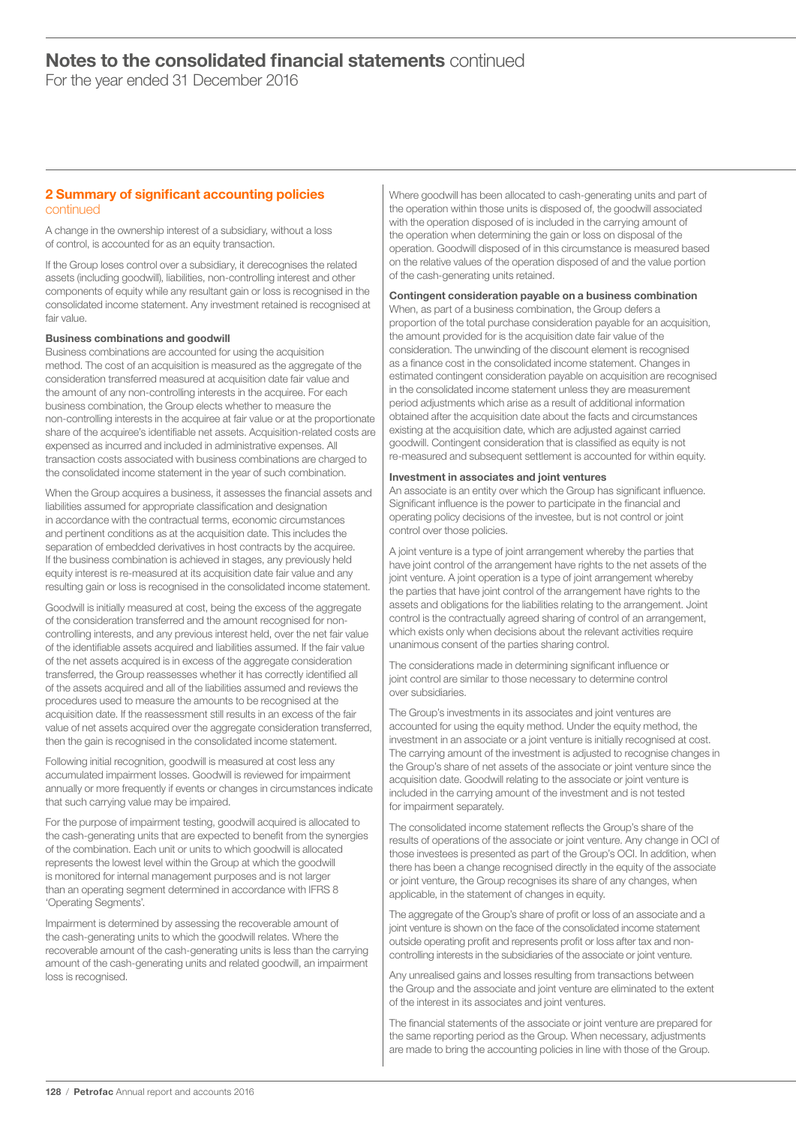For the year ended 31 December 2016

# 2 Summary of significant accounting policies continued

A change in the ownership interest of a subsidiary, without a loss of control, is accounted for as an equity transaction.

If the Group loses control over a subsidiary, it derecognises the related assets (including goodwill), liabilities, non-controlling interest and other components of equity while any resultant gain or loss is recognised in the consolidated income statement. Any investment retained is recognised at fair value.

# Business combinations and goodwill

Business combinations are accounted for using the acquisition method. The cost of an acquisition is measured as the aggregate of the consideration transferred measured at acquisition date fair value and the amount of any non-controlling interests in the acquiree. For each business combination, the Group elects whether to measure the non-controlling interests in the acquiree at fair value or at the proportionate share of the acquiree's identifiable net assets. Acquisition-related costs are expensed as incurred and included in administrative expenses. All transaction costs associated with business combinations are charged to the consolidated income statement in the year of such combination.

When the Group acquires a business, it assesses the financial assets and liabilities assumed for appropriate classification and designation in accordance with the contractual terms, economic circumstances and pertinent conditions as at the acquisition date. This includes the separation of embedded derivatives in host contracts by the acquiree. If the business combination is achieved in stages, any previously held equity interest is re-measured at its acquisition date fair value and any resulting gain or loss is recognised in the consolidated income statement.

Goodwill is initially measured at cost, being the excess of the aggregate of the consideration transferred and the amount recognised for noncontrolling interests, and any previous interest held, over the net fair value of the identifiable assets acquired and liabilities assumed. If the fair value of the net assets acquired is in excess of the aggregate consideration transferred, the Group reassesses whether it has correctly identified all of the assets acquired and all of the liabilities assumed and reviews the procedures used to measure the amounts to be recognised at the acquisition date. If the reassessment still results in an excess of the fair value of net assets acquired over the aggregate consideration transferred, then the gain is recognised in the consolidated income statement.

Following initial recognition, goodwill is measured at cost less any accumulated impairment losses. Goodwill is reviewed for impairment annually or more frequently if events or changes in circumstances indicate that such carrying value may be impaired.

For the purpose of impairment testing, goodwill acquired is allocated to the cash-generating units that are expected to benefit from the synergies of the combination. Each unit or units to which goodwill is allocated represents the lowest level within the Group at which the goodwill is monitored for internal management purposes and is not larger than an operating segment determined in accordance with IFRS 8 'Operating Segments'.

Impairment is determined by assessing the recoverable amount of the cash-generating units to which the goodwill relates. Where the recoverable amount of the cash-generating units is less than the carrying amount of the cash-generating units and related goodwill, an impairment loss is recognised.

Where goodwill has been allocated to cash-generating units and part of the operation within those units is disposed of, the goodwill associated with the operation disposed of is included in the carrying amount of the operation when determining the gain or loss on disposal of the operation. Goodwill disposed of in this circumstance is measured based on the relative values of the operation disposed of and the value portion of the cash-generating units retained.

### Contingent consideration payable on a business combination

When, as part of a business combination, the Group defers a proportion of the total purchase consideration payable for an acquisition, the amount provided for is the acquisition date fair value of the consideration. The unwinding of the discount element is recognised as a finance cost in the consolidated income statement. Changes in estimated contingent consideration payable on acquisition are recognised in the consolidated income statement unless they are measurement period adjustments which arise as a result of additional information obtained after the acquisition date about the facts and circumstances existing at the acquisition date, which are adjusted against carried goodwill. Contingent consideration that is classified as equity is not re-measured and subsequent settlement is accounted for within equity.

### Investment in associates and joint ventures

An associate is an entity over which the Group has significant influence. Significant influence is the power to participate in the financial and operating policy decisions of the investee, but is not control or joint control over those policies.

A joint venture is a type of joint arrangement whereby the parties that have joint control of the arrangement have rights to the net assets of the joint venture. A joint operation is a type of joint arrangement whereby the parties that have joint control of the arrangement have rights to the assets and obligations for the liabilities relating to the arrangement. Joint control is the contractually agreed sharing of control of an arrangement, which exists only when decisions about the relevant activities require unanimous consent of the parties sharing control.

The considerations made in determining significant influence or joint control are similar to those necessary to determine control over subsidiaries.

The Group's investments in its associates and joint ventures are accounted for using the equity method. Under the equity method, the investment in an associate or a joint venture is initially recognised at cost. The carrying amount of the investment is adjusted to recognise changes in the Group's share of net assets of the associate or joint venture since the acquisition date. Goodwill relating to the associate or joint venture is included in the carrying amount of the investment and is not tested for impairment separately.

The consolidated income statement reflects the Group's share of the results of operations of the associate or joint venture. Any change in OCI of those investees is presented as part of the Group's OCI. In addition, when there has been a change recognised directly in the equity of the associate or joint venture, the Group recognises its share of any changes, when applicable, in the statement of changes in equity.

The aggregate of the Group's share of profit or loss of an associate and a joint venture is shown on the face of the consolidated income statement outside operating profit and represents profit or loss after tax and noncontrolling interests in the subsidiaries of the associate or joint venture.

Any unrealised gains and losses resulting from transactions between the Group and the associate and joint venture are eliminated to the extent of the interest in its associates and joint ventures.

The financial statements of the associate or joint venture are prepared for the same reporting period as the Group. When necessary, adjustments are made to bring the accounting policies in line with those of the Group.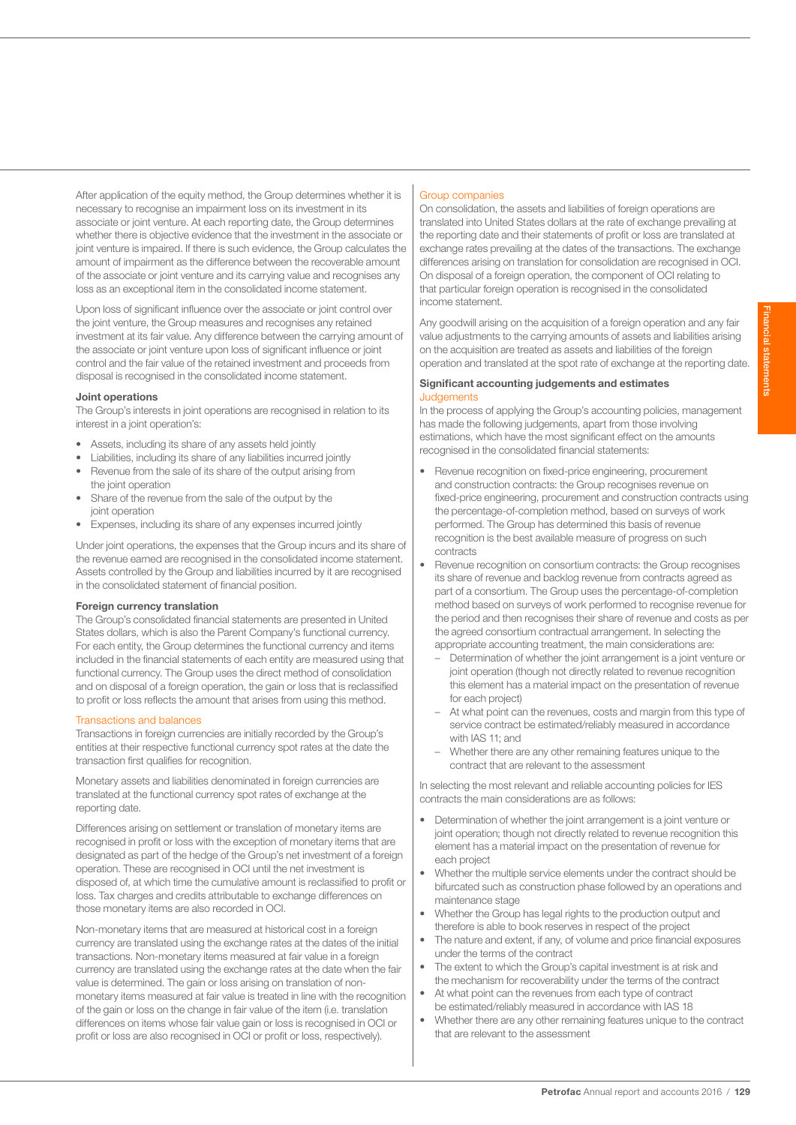After application of the equity method, the Group determines whether it is necessary to recognise an impairment loss on its investment in its associate or joint venture. At each reporting date, the Group determines whether there is objective evidence that the investment in the associate or joint venture is impaired. If there is such evidence, the Group calculates the amount of impairment as the difference between the recoverable amount of the associate or joint venture and its carrying value and recognises any loss as an exceptional item in the consolidated income statement.

Upon loss of significant influence over the associate or joint control over the joint venture, the Group measures and recognises any retained investment at its fair value. Any difference between the carrying amount of the associate or joint venture upon loss of significant influence or joint control and the fair value of the retained investment and proceeds from disposal is recognised in the consolidated income statement.

#### Joint operations

The Group's interests in joint operations are recognised in relation to its interest in a joint operation's:

- Assets, including its share of any assets held jointly
- Liabilities, including its share of any liabilities incurred jointly
- Revenue from the sale of its share of the output arising from the joint operation
- Share of the revenue from the sale of the output by the joint operation
- Expenses, including its share of any expenses incurred jointly

Under joint operations, the expenses that the Group incurs and its share of the revenue earned are recognised in the consolidated income statement. Assets controlled by the Group and liabilities incurred by it are recognised in the consolidated statement of financial position.

#### Foreign currency translation

The Group's consolidated financial statements are presented in United States dollars, which is also the Parent Company's functional currency. For each entity, the Group determines the functional currency and items included in the financial statements of each entity are measured using that functional currency. The Group uses the direct method of consolidation and on disposal of a foreign operation, the gain or loss that is reclassified to profit or loss reflects the amount that arises from using this method.

#### Transactions and balances

Transactions in foreign currencies are initially recorded by the Group's entities at their respective functional currency spot rates at the date the transaction first qualifies for recognition.

Monetary assets and liabilities denominated in foreign currencies are translated at the functional currency spot rates of exchange at the reporting date.

Differences arising on settlement or translation of monetary items are recognised in profit or loss with the exception of monetary items that are designated as part of the hedge of the Group's net investment of a foreign operation. These are recognised in OCI until the net investment is disposed of, at which time the cumulative amount is reclassified to profit or loss. Tax charges and credits attributable to exchange differences on those monetary items are also recorded in OCI.

Non-monetary items that are measured at historical cost in a foreign currency are translated using the exchange rates at the dates of the initial transactions. Non-monetary items measured at fair value in a foreign currency are translated using the exchange rates at the date when the fair value is determined. The gain or loss arising on translation of nonmonetary items measured at fair value is treated in line with the recognition of the gain or loss on the change in fair value of the item (i.e. translation differences on items whose fair value gain or loss is recognised in OCI or profit or loss are also recognised in OCI or profit or loss, respectively).

### Group companies

On consolidation, the assets and liabilities of foreign operations are translated into United States dollars at the rate of exchange prevailing at the reporting date and their statements of profit or loss are translated at exchange rates prevailing at the dates of the transactions. The exchange differences arising on translation for consolidation are recognised in OCI. On disposal of a foreign operation, the component of OCI relating to that particular foreign operation is recognised in the consolidated income statement.

Any goodwill arising on the acquisition of a foreign operation and any fair value adjustments to the carrying amounts of assets and liabilities arising on the acquisition are treated as assets and liabilities of the foreign operation and translated at the spot rate of exchange at the reporting date.

# Significant accounting judgements and estimates **Judgements**

In the process of applying the Group's accounting policies, management has made the following judgements, apart from those involving estimations, which have the most significant effect on the amounts recognised in the consolidated financial statements:

- Revenue recognition on fixed-price engineering, procurement and construction contracts: the Group recognises revenue on fixed-price engineering, procurement and construction contracts using the percentage-of-completion method, based on surveys of work performed. The Group has determined this basis of revenue recognition is the best available measure of progress on such contracts
- Revenue recognition on consortium contracts: the Group recognises its share of revenue and backlog revenue from contracts agreed as part of a consortium. The Group uses the percentage-of-completion method based on surveys of work performed to recognise revenue for the period and then recognises their share of revenue and costs as per the agreed consortium contractual arrangement. In selecting the appropriate accounting treatment, the main considerations are:
	- Determination of whether the joint arrangement is a joint venture or joint operation (though not directly related to revenue recognition this element has a material impact on the presentation of revenue for each project)
	- At what point can the revenues, costs and margin from this type of service contract be estimated/reliably measured in accordance with IAS 11; and
	- Whether there are any other remaining features unique to the contract that are relevant to the assessment

In selecting the most relevant and reliable accounting policies for IES contracts the main considerations are as follows:

- Determination of whether the joint arrangement is a joint venture or joint operation; though not directly related to revenue recognition this element has a material impact on the presentation of revenue for each project
- Whether the multiple service elements under the contract should be bifurcated such as construction phase followed by an operations and maintenance stage
- Whether the Group has legal rights to the production output and therefore is able to book reserves in respect of the project
- The nature and extent, if any, of volume and price financial exposures under the terms of the contract
- The extent to which the Group's capital investment is at risk and the mechanism for recoverability under the terms of the contract
- At what point can the revenues from each type of contract be estimated/reliably measured in accordance with IAS 18
- Whether there are any other remaining features unique to the contract that are relevant to the assessment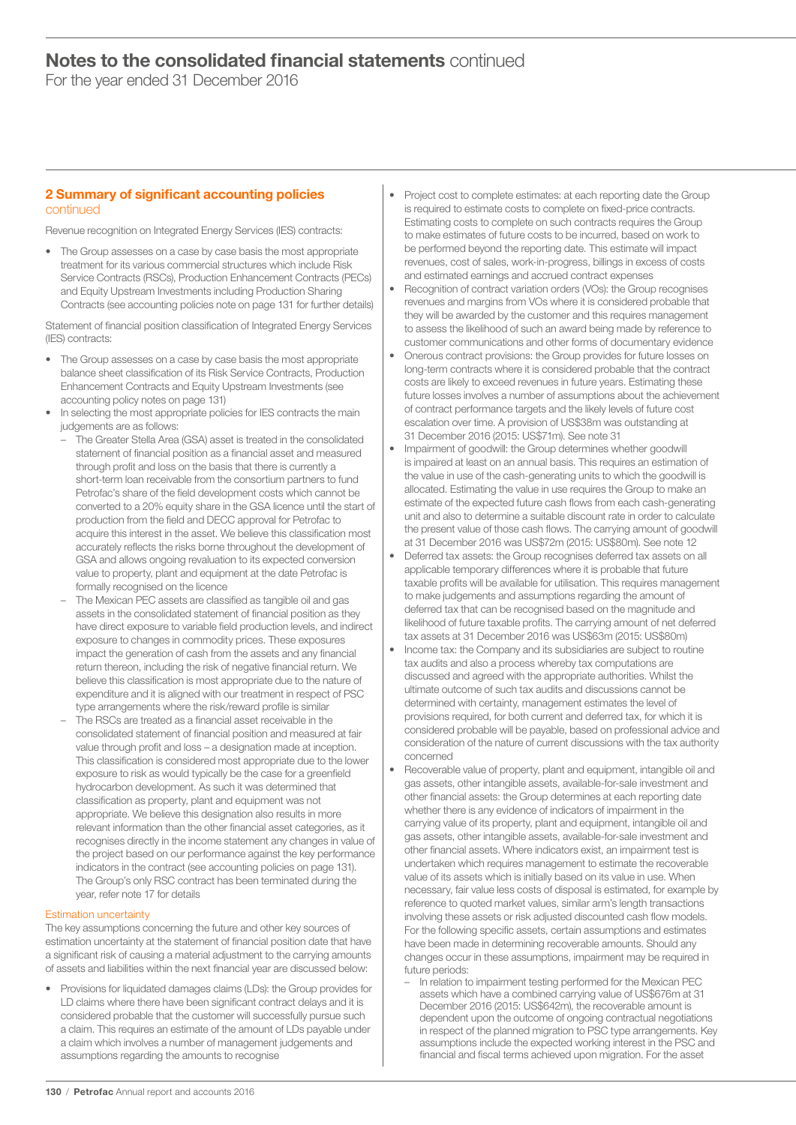For the year ended 31 December 2016

# 2 Summary of significant accounting policies continued

Revenue recognition on Integrated Energy Services (IES) contracts:

• The Group assesses on a case by case basis the most appropriate treatment for its various commercial structures which include Risk Service Contracts (RSCs), Production Enhancement Contracts (PECs) and Equity Upstream Investments including Production Sharing Contracts (see accounting policies note on page 131 for further details)

Statement of financial position classification of Integrated Energy Services (IES) contracts:

- The Group assesses on a case by case basis the most appropriate balance sheet classification of its Risk Service Contracts, Production Enhancement Contracts and Equity Upstream Investments (see accounting policy notes on page 131)
- In selecting the most appropriate policies for IES contracts the main judgements are as follows:
	- The Greater Stella Area (GSA) asset is treated in the consolidated statement of financial position as a financial asset and measured through profit and loss on the basis that there is currently a short-term loan receivable from the consortium partners to fund Petrofac's share of the field development costs which cannot be converted to a 20% equity share in the GSA licence until the start of production from the field and DECC approval for Petrofac to acquire this interest in the asset. We believe this classification most accurately reflects the risks borne throughout the development of GSA and allows ongoing revaluation to its expected conversion value to property, plant and equipment at the date Petrofac is formally recognised on the licence
	- The Mexican PEC assets are classified as tangible oil and gas assets in the consolidated statement of financial position as they have direct exposure to variable field production levels, and indirect exposure to changes in commodity prices. These exposures impact the generation of cash from the assets and any financial return thereon, including the risk of negative financial return. We believe this classification is most appropriate due to the nature of expenditure and it is aligned with our treatment in respect of PSC type arrangements where the risk/reward profile is similar
	- The RSCs are treated as a financial asset receivable in the consolidated statement of financial position and measured at fair value through profit and loss – a designation made at inception. This classification is considered most appropriate due to the lower exposure to risk as would typically be the case for a greenfield hydrocarbon development. As such it was determined that classification as property, plant and equipment was not appropriate. We believe this designation also results in more relevant information than the other financial asset categories, as it recognises directly in the income statement any changes in value of the project based on our performance against the key performance indicators in the contract (see accounting policies on page 131). The Group's only RSC contract has been terminated during the year, refer note 17 for details

### Estimation uncertainty

The key assumptions concerning the future and other key sources of estimation uncertainty at the statement of financial position date that have a significant risk of causing a material adjustment to the carrying amounts of assets and liabilities within the next financial year are discussed below:

• Provisions for liquidated damages claims (LDs): the Group provides for LD claims where there have been significant contract delays and it is considered probable that the customer will successfully pursue such a claim. This requires an estimate of the amount of LDs payable under a claim which involves a number of management judgements and assumptions regarding the amounts to recognise

- Project cost to complete estimates: at each reporting date the Group is required to estimate costs to complete on fixed-price contracts. Estimating costs to complete on such contracts requires the Group to make estimates of future costs to be incurred, based on work to be performed beyond the reporting date. This estimate will impact revenues, cost of sales, work-in-progress, billings in excess of costs and estimated earnings and accrued contract expenses
- Recognition of contract variation orders (VOs): the Group recognises revenues and margins from VOs where it is considered probable that they will be awarded by the customer and this requires management to assess the likelihood of such an award being made by reference to customer communications and other forms of documentary evidence
- Onerous contract provisions: the Group provides for future losses on long-term contracts where it is considered probable that the contract costs are likely to exceed revenues in future years. Estimating these future losses involves a number of assumptions about the achievement of contract performance targets and the likely levels of future cost escalation over time. A provision of US\$38m was outstanding at 31 December 2016 (2015: US\$71m). See note 31
- Impairment of goodwill: the Group determines whether goodwill is impaired at least on an annual basis. This requires an estimation of the value in use of the cash-generating units to which the goodwill is allocated. Estimating the value in use requires the Group to make an estimate of the expected future cash flows from each cash-generating unit and also to determine a suitable discount rate in order to calculate the present value of those cash flows. The carrying amount of goodwill at 31 December 2016 was US\$72m (2015: US\$80m). See note 12
- Deferred tax assets: the Group recognises deferred tax assets on all applicable temporary differences where it is probable that future taxable profits will be available for utilisation. This requires management to make judgements and assumptions regarding the amount of deferred tax that can be recognised based on the magnitude and likelihood of future taxable profits. The carrying amount of net deferred tax assets at 31 December 2016 was US\$63m (2015: US\$80m)
- Income tax: the Company and its subsidiaries are subject to routine tax audits and also a process whereby tax computations are discussed and agreed with the appropriate authorities. Whilst the ultimate outcome of such tax audits and discussions cannot be determined with certainty, management estimates the level of provisions required, for both current and deferred tax, for which it is considered probable will be payable, based on professional advice and consideration of the nature of current discussions with the tax authority concerned
- Recoverable value of property, plant and equipment, intangible oil and gas assets, other intangible assets, available-for-sale investment and other financial assets: the Group determines at each reporting date whether there is any evidence of indicators of impairment in the carrying value of its property, plant and equipment, intangible oil and gas assets, other intangible assets, available-for-sale investment and other financial assets. Where indicators exist, an impairment test is undertaken which requires management to estimate the recoverable value of its assets which is initially based on its value in use. When necessary, fair value less costs of disposal is estimated, for example by reference to quoted market values, similar arm's length transactions involving these assets or risk adjusted discounted cash flow models. For the following specific assets, certain assumptions and estimates have been made in determining recoverable amounts. Should any changes occur in these assumptions, impairment may be required in future periods:
	- In relation to impairment testing performed for the Mexican PEC assets which have a combined carrying value of US\$676m at 31 December 2016 (2015: US\$642m), the recoverable amount is dependent upon the outcome of ongoing contractual negotiations in respect of the planned migration to PSC type arrangements. Key assumptions include the expected working interest in the PSC and financial and fiscal terms achieved upon migration. For the asset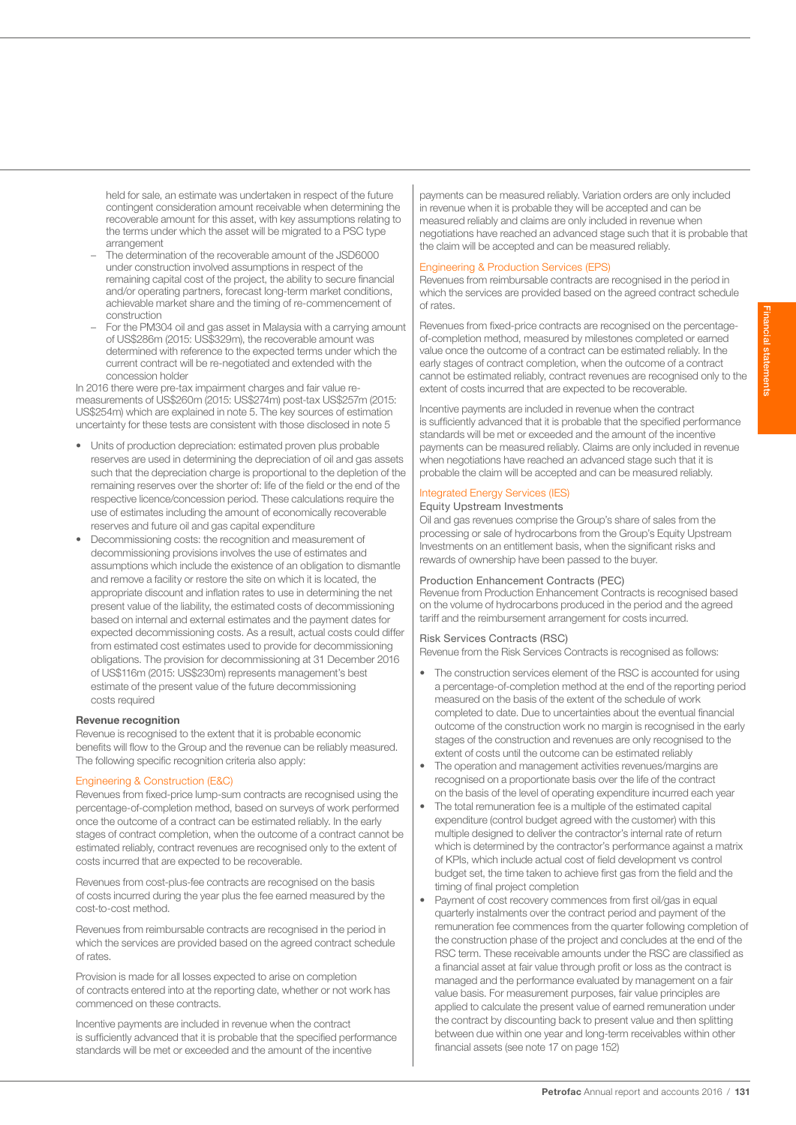held for sale, an estimate was undertaken in respect of the future contingent consideration amount receivable when determining the recoverable amount for this asset, with key assumptions relating to the terms under which the asset will be migrated to a PSC type arrangement

- The determination of the recoverable amount of the JSD6000 under construction involved assumptions in respect of the remaining capital cost of the project, the ability to secure financial and/or operating partners, forecast long-term market conditions, achievable market share and the timing of re-commencement of construction
- For the PM304 oil and gas asset in Malaysia with a carrying amount of US\$286m (2015: US\$329m), the recoverable amount was determined with reference to the expected terms under which the current contract will be re-negotiated and extended with the concession holder

In 2016 there were pre-tax impairment charges and fair value remeasurements of US\$260m (2015: US\$274m) post-tax US\$257m (2015: US\$254m) which are explained in note 5. The key sources of estimation uncertainty for these tests are consistent with those disclosed in note 5

- Units of production depreciation: estimated proven plus probable reserves are used in determining the depreciation of oil and gas assets such that the depreciation charge is proportional to the depletion of the remaining reserves over the shorter of: life of the field or the end of the respective licence/concession period. These calculations require the use of estimates including the amount of economically recoverable reserves and future oil and gas capital expenditure
- Decommissioning costs: the recognition and measurement of decommissioning provisions involves the use of estimates and assumptions which include the existence of an obligation to dismantle and remove a facility or restore the site on which it is located, the appropriate discount and inflation rates to use in determining the net present value of the liability, the estimated costs of decommissioning based on internal and external estimates and the payment dates for expected decommissioning costs. As a result, actual costs could differ from estimated cost estimates used to provide for decommissioning obligations. The provision for decommissioning at 31 December 2016 of US\$116m (2015: US\$230m) represents management's best estimate of the present value of the future decommissioning costs required

### Revenue recognition

Revenue is recognised to the extent that it is probable economic benefits will flow to the Group and the revenue can be reliably measured. The following specific recognition criteria also apply:

#### Engineering & Construction (E&C)

Revenues from fixed-price lump-sum contracts are recognised using the percentage-of-completion method, based on surveys of work performed once the outcome of a contract can be estimated reliably. In the early stages of contract completion, when the outcome of a contract cannot be estimated reliably, contract revenues are recognised only to the extent of costs incurred that are expected to be recoverable.

Revenues from cost-plus-fee contracts are recognised on the basis of costs incurred during the year plus the fee earned measured by the cost-to-cost method.

Revenues from reimbursable contracts are recognised in the period in which the services are provided based on the agreed contract schedule of rates.

Provision is made for all losses expected to arise on completion of contracts entered into at the reporting date, whether or not work has commenced on these contracts.

Incentive payments are included in revenue when the contract is sufficiently advanced that it is probable that the specified performance standards will be met or exceeded and the amount of the incentive

payments can be measured reliably. Variation orders are only included in revenue when it is probable they will be accepted and can be measured reliably and claims are only included in revenue when negotiations have reached an advanced stage such that it is probable that the claim will be accepted and can be measured reliably.

#### Engineering & Production Services (EPS)

Revenues from reimbursable contracts are recognised in the period in which the services are provided based on the agreed contract schedule of rates.

Revenues from fixed-price contracts are recognised on the percentageof-completion method, measured by milestones completed or earned value once the outcome of a contract can be estimated reliably. In the early stages of contract completion, when the outcome of a contract cannot be estimated reliably, contract revenues are recognised only to the extent of costs incurred that are expected to be recoverable.

Incentive payments are included in revenue when the contract is sufficiently advanced that it is probable that the specified performance standards will be met or exceeded and the amount of the incentive payments can be measured reliably. Claims are only included in revenue when negotiations have reached an advanced stage such that it is probable the claim will be accepted and can be measured reliably.

### Integrated Energy Services (IES)

# Equity Upstream Investments

Oil and gas revenues comprise the Group's share of sales from the processing or sale of hydrocarbons from the Group's Equity Upstream Investments on an entitlement basis, when the significant risks and rewards of ownership have been passed to the buyer.

### Production Enhancement Contracts (PEC)

Revenue from Production Enhancement Contracts is recognised based on the volume of hydrocarbons produced in the period and the agreed tariff and the reimbursement arrangement for costs incurred.

# Risk Services Contracts (RSC)

Revenue from the Risk Services Contracts is recognised as follows:

- The construction services element of the RSC is accounted for using a percentage-of-completion method at the end of the reporting period measured on the basis of the extent of the schedule of work completed to date. Due to uncertainties about the eventual financial outcome of the construction work no margin is recognised in the early stages of the construction and revenues are only recognised to the extent of costs until the outcome can be estimated reliably
- The operation and management activities revenues/margins are recognised on a proportionate basis over the life of the contract on the basis of the level of operating expenditure incurred each year
- The total remuneration fee is a multiple of the estimated capital expenditure (control budget agreed with the customer) with this multiple designed to deliver the contractor's internal rate of return which is determined by the contractor's performance against a matrix of KPIs, which include actual cost of field development vs control budget set, the time taken to achieve first gas from the field and the timing of final project completion
- Payment of cost recovery commences from first oil/gas in equal quarterly instalments over the contract period and payment of the remuneration fee commences from the quarter following completion of the construction phase of the project and concludes at the end of the RSC term. These receivable amounts under the RSC are classified as a financial asset at fair value through profit or loss as the contract is managed and the performance evaluated by management on a fair value basis. For measurement purposes, fair value principles are applied to calculate the present value of earned remuneration under the contract by discounting back to present value and then splitting between due within one year and long-term receivables within other financial assets (see note 17 on page 152)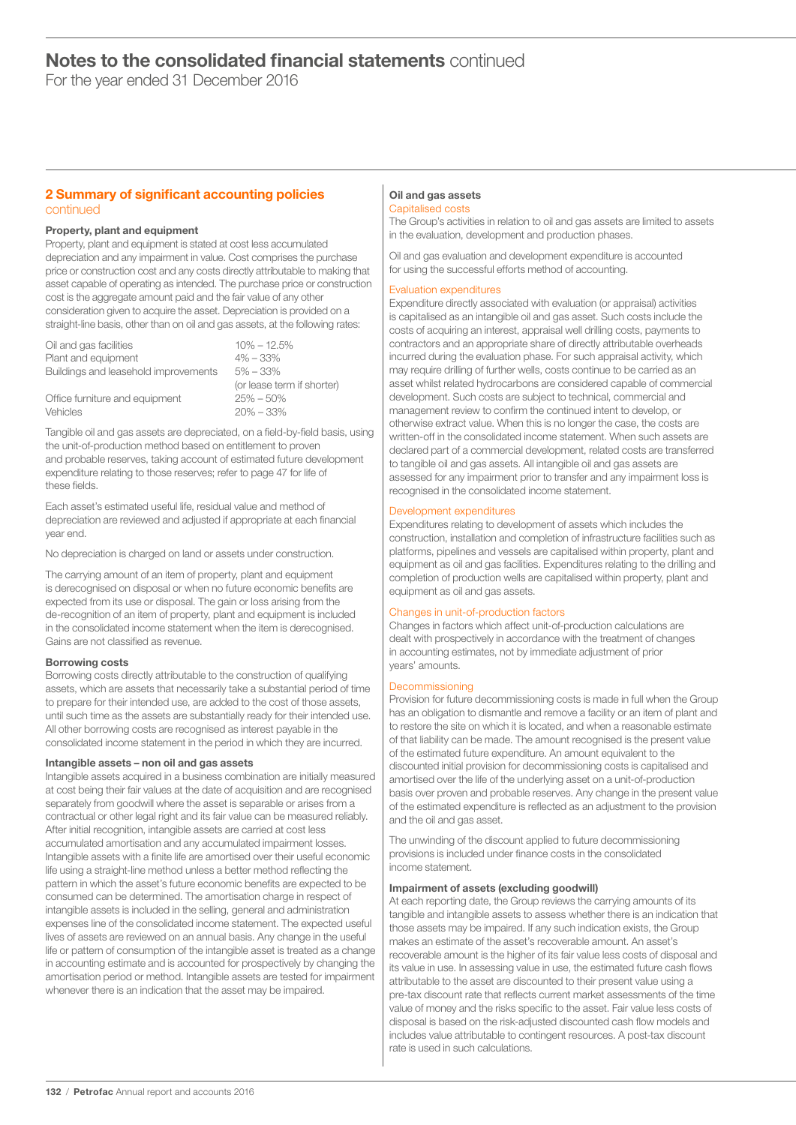For the year ended 31 December 2016

# 2 Summary of significant accounting policies continued

# Property, plant and equipment

Property, plant and equipment is stated at cost less accumulated depreciation and any impairment in value. Cost comprises the purchase price or construction cost and any costs directly attributable to making that asset capable of operating as intended. The purchase price or construction cost is the aggregate amount paid and the fair value of any other consideration given to acquire the asset. Depreciation is provided on a straight-line basis, other than on oil and gas assets, at the following rates:

| Oil and gas facilities               | $10\% - 12.5\%$            |
|--------------------------------------|----------------------------|
| Plant and equipment                  | $4\% - 33\%$               |
| Buildings and leasehold improvements | $5\% - 33\%$               |
|                                      | (or lease term if shorter) |
| Office furniture and equipment       | $25\% - 50\%$              |
| Vehicles                             | $20\% - 33\%$              |

Tangible oil and gas assets are depreciated, on a field-by-field basis, using the unit-of-production method based on entitlement to proven and probable reserves, taking account of estimated future development expenditure relating to those reserves; refer to page 47 for life of these fields.

Each asset's estimated useful life, residual value and method of depreciation are reviewed and adjusted if appropriate at each financial year end.

No depreciation is charged on land or assets under construction.

The carrying amount of an item of property, plant and equipment is derecognised on disposal or when no future economic benefits are expected from its use or disposal. The gain or loss arising from the de-recognition of an item of property, plant and equipment is included in the consolidated income statement when the item is derecognised. Gains are not classified as revenue.

# Borrowing costs

Borrowing costs directly attributable to the construction of qualifying assets, which are assets that necessarily take a substantial period of time to prepare for their intended use, are added to the cost of those assets, until such time as the assets are substantially ready for their intended use. All other borrowing costs are recognised as interest payable in the consolidated income statement in the period in which they are incurred.

### Intangible assets – non oil and gas assets

Intangible assets acquired in a business combination are initially measured at cost being their fair values at the date of acquisition and are recognised separately from goodwill where the asset is separable or arises from a contractual or other legal right and its fair value can be measured reliably. After initial recognition, intangible assets are carried at cost less accumulated amortisation and any accumulated impairment losses. Intangible assets with a finite life are amortised over their useful economic life using a straight-line method unless a better method reflecting the pattern in which the asset's future economic benefits are expected to be consumed can be determined. The amortisation charge in respect of intangible assets is included in the selling, general and administration expenses line of the consolidated income statement. The expected useful lives of assets are reviewed on an annual basis. Any change in the useful life or pattern of consumption of the intangible asset is treated as a change in accounting estimate and is accounted for prospectively by changing the amortisation period or method. Intangible assets are tested for impairment whenever there is an indication that the asset may be impaired.

#### Oil and gas assets Capitalised costs

The Group's activities in relation to oil and gas assets are limited to assets in the evaluation, development and production phases.

Oil and gas evaluation and development expenditure is accounted for using the successful efforts method of accounting.

# Evaluation expenditures

Expenditure directly associated with evaluation (or appraisal) activities is capitalised as an intangible oil and gas asset. Such costs include the costs of acquiring an interest, appraisal well drilling costs, payments to contractors and an appropriate share of directly attributable overheads incurred during the evaluation phase. For such appraisal activity, which may require drilling of further wells, costs continue to be carried as an asset whilst related hydrocarbons are considered capable of commercial development. Such costs are subject to technical, commercial and management review to confirm the continued intent to develop, or otherwise extract value. When this is no longer the case, the costs are written-off in the consolidated income statement. When such assets are declared part of a commercial development, related costs are transferred to tangible oil and gas assets. All intangible oil and gas assets are assessed for any impairment prior to transfer and any impairment loss is recognised in the consolidated income statement.

# Development expenditures

Expenditures relating to development of assets which includes the construction, installation and completion of infrastructure facilities such as platforms, pipelines and vessels are capitalised within property, plant and equipment as oil and gas facilities. Expenditures relating to the drilling and completion of production wells are capitalised within property, plant and equipment as oil and gas assets.

### Changes in unit-of-production factors

Changes in factors which affect unit-of-production calculations are dealt with prospectively in accordance with the treatment of changes in accounting estimates, not by immediate adjustment of prior years' amounts.

### Decommissioning

Provision for future decommissioning costs is made in full when the Group has an obligation to dismantle and remove a facility or an item of plant and to restore the site on which it is located, and when a reasonable estimate of that liability can be made. The amount recognised is the present value of the estimated future expenditure. An amount equivalent to the discounted initial provision for decommissioning costs is capitalised and amortised over the life of the underlying asset on a unit-of-production basis over proven and probable reserves. Any change in the present value of the estimated expenditure is reflected as an adjustment to the provision and the oil and gas asset.

The unwinding of the discount applied to future decommissioning provisions is included under finance costs in the consolidated income statement.

### Impairment of assets (excluding goodwill)

At each reporting date, the Group reviews the carrying amounts of its tangible and intangible assets to assess whether there is an indication that those assets may be impaired. If any such indication exists, the Group makes an estimate of the asset's recoverable amount. An asset's recoverable amount is the higher of its fair value less costs of disposal and its value in use. In assessing value in use, the estimated future cash flows attributable to the asset are discounted to their present value using a pre-tax discount rate that reflects current market assessments of the time value of money and the risks specific to the asset. Fair value less costs of disposal is based on the risk-adjusted discounted cash flow models and includes value attributable to contingent resources. A post-tax discount rate is used in such calculations.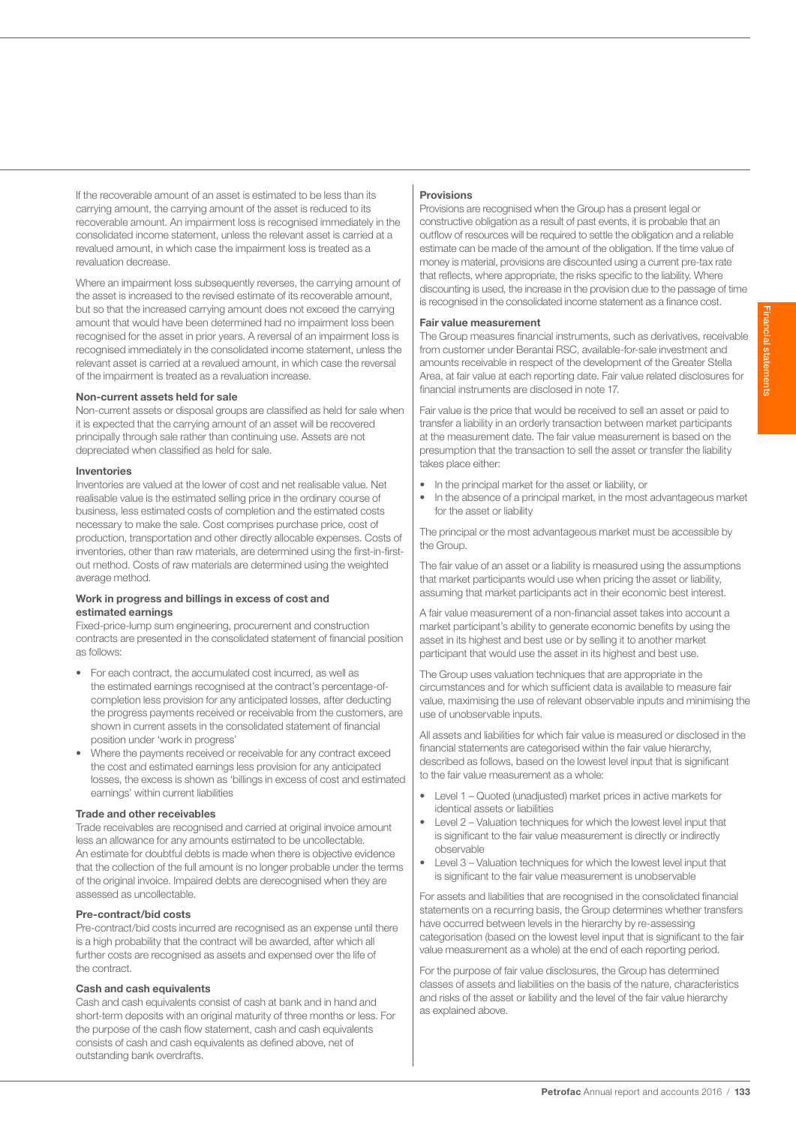If the recoverable amount of an asset is estimated to be less than its carrying amount, the carrying amount of the asset is reduced to its recoverable amount. An impairment loss is recognised immediately in the consolidated income statement, unless the relevant asset is carried at a revalued amount, in which case the impairment loss is treated as a revaluation decrease.

Where an impairment loss subsequently reverses, the carrying amount of the asset is increased to the revised estimate of its recoverable amount, but so that the increased carrying amount does not exceed the carrying amount that would have been determined had no impairment loss been recognised for the asset in prior years. A reversal of an impairment loss is recognised immediately in the consolidated income statement, unless the relevant asset is carried at a revalued amount, in which case the reversal of the impairment is treated as a revaluation increase.

# Non-current assets held for sale

Non-current assets or disposal groups are classified as held for sale when it is expected that the carrying amount of an asset will be recovered principally through sale rather than continuing use. Assets are not depreciated when classified as held for sale.

#### Inventories

Inventories are valued at the lower of cost and net realisable value. Net realisable value is the estimated selling price in the ordinary course of business, less estimated costs of completion and the estimated costs necessary to make the sale. Cost comprises purchase price, cost of production, transportation and other directly allocable expenses. Costs of inventories, other than raw materials, are determined using the first-in-firstout method. Costs of raw materials are determined using the weighted average method.

#### Work in progress and billings in excess of cost and estimated earnings

Fixed-price-lump sum engineering, procurement and construction contracts are presented in the consolidated statement of financial position as follows:

- For each contract, the accumulated cost incurred, as well as the estimated earnings recognised at the contract's percentage-ofcompletion less provision for any anticipated losses, after deducting the progress payments received or receivable from the customers, are shown in current assets in the consolidated statement of financial position under 'work in progress'
- Where the payments received or receivable for any contract exceed the cost and estimated earnings less provision for any anticipated losses, the excess is shown as 'billings in excess of cost and estimated earnings' within current liabilities

### Trade and other receivables

Trade receivables are recognised and carried at original invoice amount less an allowance for any amounts estimated to be uncollectable. An estimate for doubtful debts is made when there is objective evidence that the collection of the full amount is no longer probable under the terms of the original invoice. Impaired debts are derecognised when they are assessed as uncollectable.

# Pre-contract/bid costs

Pre-contract/bid costs incurred are recognised as an expense until there is a high probability that the contract will be awarded, after which all further costs are recognised as assets and expensed over the life of the contract.

### Cash and cash equivalents

Cash and cash equivalents consist of cash at bank and in hand and short-term deposits with an original maturity of three months or less. For the purpose of the cash flow statement, cash and cash equivalents consists of cash and cash equivalents as defined above, net of outstanding bank overdrafts.

### Provisions

Provisions are recognised when the Group has a present legal or constructive obligation as a result of past events, it is probable that an outflow of resources will be required to settle the obligation and a reliable estimate can be made of the amount of the obligation. If the time value of money is material, provisions are discounted using a current pre-tax rate that reflects, where appropriate, the risks specific to the liability. Where discounting is used, the increase in the provision due to the passage of time is recognised in the consolidated income statement as a finance cost.

#### Fair value measurement

The Group measures financial instruments, such as derivatives, receivable from customer under Berantai RSC, available-for-sale investment and amounts receivable in respect of the development of the Greater Stella Area, at fair value at each reporting date. Fair value related disclosures for financial instruments are disclosed in note 17.

Fair value is the price that would be received to sell an asset or paid to transfer a liability in an orderly transaction between market participants at the measurement date. The fair value measurement is based on the presumption that the transaction to sell the asset or transfer the liability takes place either:

- In the principal market for the asset or liability, or
- In the absence of a principal market, in the most advantageous market for the asset or liability

The principal or the most advantageous market must be accessible by the Group.

The fair value of an asset or a liability is measured using the assumptions that market participants would use when pricing the asset or liability, assuming that market participants act in their economic best interest.

A fair value measurement of a non-financial asset takes into account a market participant's ability to generate economic benefits by using the asset in its highest and best use or by selling it to another market participant that would use the asset in its highest and best use.

The Group uses valuation techniques that are appropriate in the circumstances and for which sufficient data is available to measure fair value, maximising the use of relevant observable inputs and minimising the use of unobservable inputs.

All assets and liabilities for which fair value is measured or disclosed in the financial statements are categorised within the fair value hierarchy, described as follows, based on the lowest level input that is significant to the fair value measurement as a whole:

- Level 1 Quoted (unadjusted) market prices in active markets for identical assets or liabilities
- Level 2 Valuation techniques for which the lowest level input that is significant to the fair value measurement is directly or indirectly observable
- Level 3 Valuation techniques for which the lowest level input that is significant to the fair value measurement is unobservable

For assets and liabilities that are recognised in the consolidated financial statements on a recurring basis, the Group determines whether transfers have occurred between levels in the hierarchy by re-assessing categorisation (based on the lowest level input that is significant to the fair value measurement as a whole) at the end of each reporting period.

For the purpose of fair value disclosures, the Group has determined classes of assets and liabilities on the basis of the nature, characteristics and risks of the asset or liability and the level of the fair value hierarchy as explained above.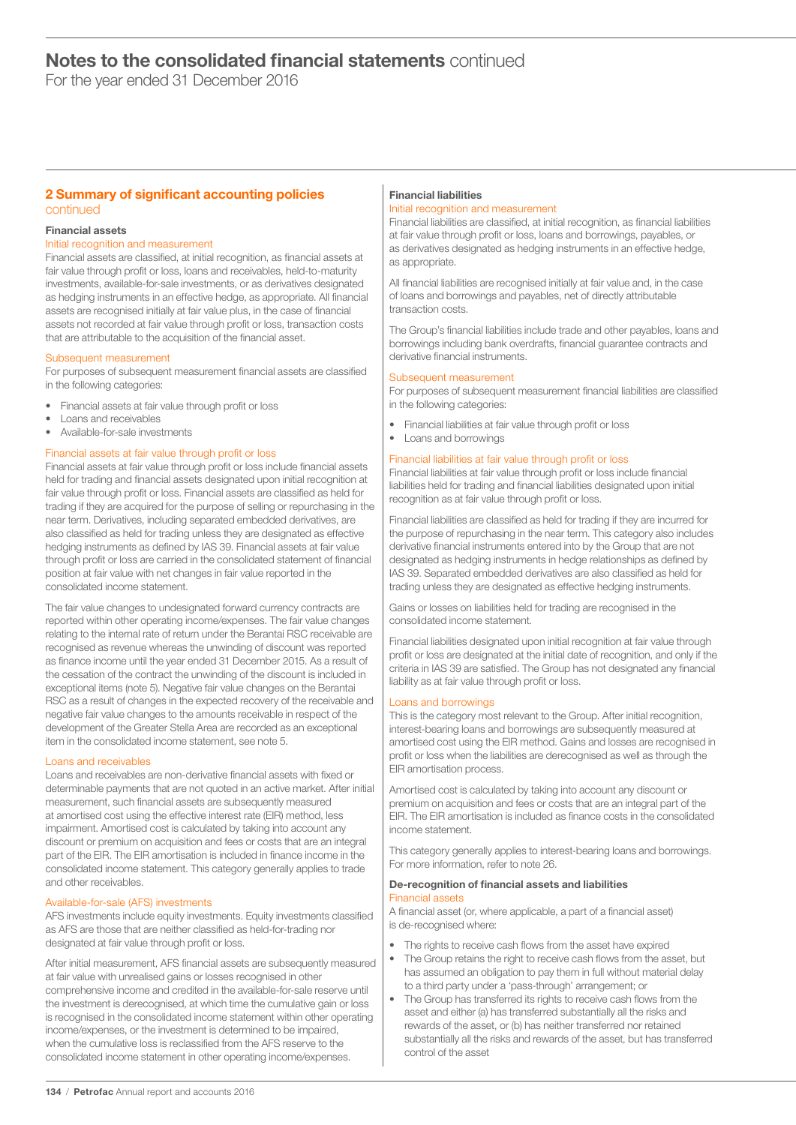For the year ended 31 December 2016

# 2 Summary of significant accounting policies continued

# Financial assets

# Initial recognition and measurement

Financial assets are classified, at initial recognition, as financial assets at fair value through profit or loss, loans and receivables, held-to-maturity investments, available-for-sale investments, or as derivatives designated as hedging instruments in an effective hedge, as appropriate. All financial assets are recognised initially at fair value plus, in the case of financial assets not recorded at fair value through profit or loss, transaction costs that are attributable to the acquisition of the financial asset.

### Subsequent measurement

For purposes of subsequent measurement financial assets are classified in the following categories:

- Financial assets at fair value through profit or loss
- Loans and receivables
- Available-for-sale investments

# Financial assets at fair value through profit or loss

Financial assets at fair value through profit or loss include financial assets held for trading and financial assets designated upon initial recognition at fair value through profit or loss. Financial assets are classified as held for trading if they are acquired for the purpose of selling or repurchasing in the near term. Derivatives, including separated embedded derivatives, are also classified as held for trading unless they are designated as effective hedging instruments as defined by IAS 39. Financial assets at fair value through profit or loss are carried in the consolidated statement of financial position at fair value with net changes in fair value reported in the consolidated income statement.

The fair value changes to undesignated forward currency contracts are reported within other operating income/expenses. The fair value changes relating to the internal rate of return under the Berantai RSC receivable are recognised as revenue whereas the unwinding of discount was reported as finance income until the year ended 31 December 2015. As a result of the cessation of the contract the unwinding of the discount is included in exceptional items (note 5). Negative fair value changes on the Berantai RSC as a result of changes in the expected recovery of the receivable and negative fair value changes to the amounts receivable in respect of the development of the Greater Stella Area are recorded as an exceptional item in the consolidated income statement, see note 5.

### Loans and receivables

Loans and receivables are non-derivative financial assets with fixed or determinable payments that are not quoted in an active market. After initial measurement, such financial assets are subsequently measured at amortised cost using the effective interest rate (EIR) method, less impairment. Amortised cost is calculated by taking into account any discount or premium on acquisition and fees or costs that are an integral part of the EIR. The EIR amortisation is included in finance income in the consolidated income statement. This category generally applies to trade and other receivables.

### Available-for-sale (AFS) investments

AFS investments include equity investments. Equity investments classified as AFS are those that are neither classified as held-for-trading nor designated at fair value through profit or loss.

After initial measurement, AFS financial assets are subsequently measured at fair value with unrealised gains or losses recognised in other comprehensive income and credited in the available-for-sale reserve until the investment is derecognised, at which time the cumulative gain or loss is recognised in the consolidated income statement within other operating income/expenses, or the investment is determined to be impaired, when the cumulative loss is reclassified from the AFS reserve to the consolidated income statement in other operating income/expenses.

# Financial liabilities

# Initial recognition and measurement

Financial liabilities are classified, at initial recognition, as financial liabilities at fair value through profit or loss, loans and borrowings, payables, or as derivatives designated as hedging instruments in an effective hedge, as appropriate.

All financial liabilities are recognised initially at fair value and, in the case of loans and borrowings and payables, net of directly attributable transaction costs.

The Group's financial liabilities include trade and other payables, loans and borrowings including bank overdrafts, financial guarantee contracts and derivative financial instruments.

### Subsequent measurement

For purposes of subsequent measurement financial liabilities are classified in the following categories:

- Financial liabilities at fair value through profit or loss
- Loans and borrowings

# Financial liabilities at fair value through profit or loss

Financial liabilities at fair value through profit or loss include financial liabilities held for trading and financial liabilities designated upon initial recognition as at fair value through profit or loss.

Financial liabilities are classified as held for trading if they are incurred for the purpose of repurchasing in the near term. This category also includes derivative financial instruments entered into by the Group that are not designated as hedging instruments in hedge relationships as defined by IAS 39. Separated embedded derivatives are also classified as held for trading unless they are designated as effective hedging instruments.

Gains or losses on liabilities held for trading are recognised in the consolidated income statement.

Financial liabilities designated upon initial recognition at fair value through profit or loss are designated at the initial date of recognition, and only if the criteria in IAS 39 are satisfied. The Group has not designated any financial liability as at fair value through profit or loss.

# Loans and borrowings

This is the category most relevant to the Group. After initial recognition, interest-bearing loans and borrowings are subsequently measured at amortised cost using the EIR method. Gains and losses are recognised in profit or loss when the liabilities are derecognised as well as through the EIR amortisation process.

Amortised cost is calculated by taking into account any discount or premium on acquisition and fees or costs that are an integral part of the EIR. The EIR amortisation is included as finance costs in the consolidated income statement.

This category generally applies to interest-bearing loans and borrowings. For more information, refer to note 26.

### De-recognition of financial assets and liabilities Financial assets

A financial asset (or, where applicable, a part of a financial asset) is de-recognised where:

- The rights to receive cash flows from the asset have expired The Group retains the right to receive cash flows from the asset, but has assumed an obligation to pay them in full without material delay to a third party under a 'pass-through' arrangement; or
- The Group has transferred its rights to receive cash flows from the asset and either (a) has transferred substantially all the risks and rewards of the asset, or (b) has neither transferred nor retained substantially all the risks and rewards of the asset, but has transferred control of the asset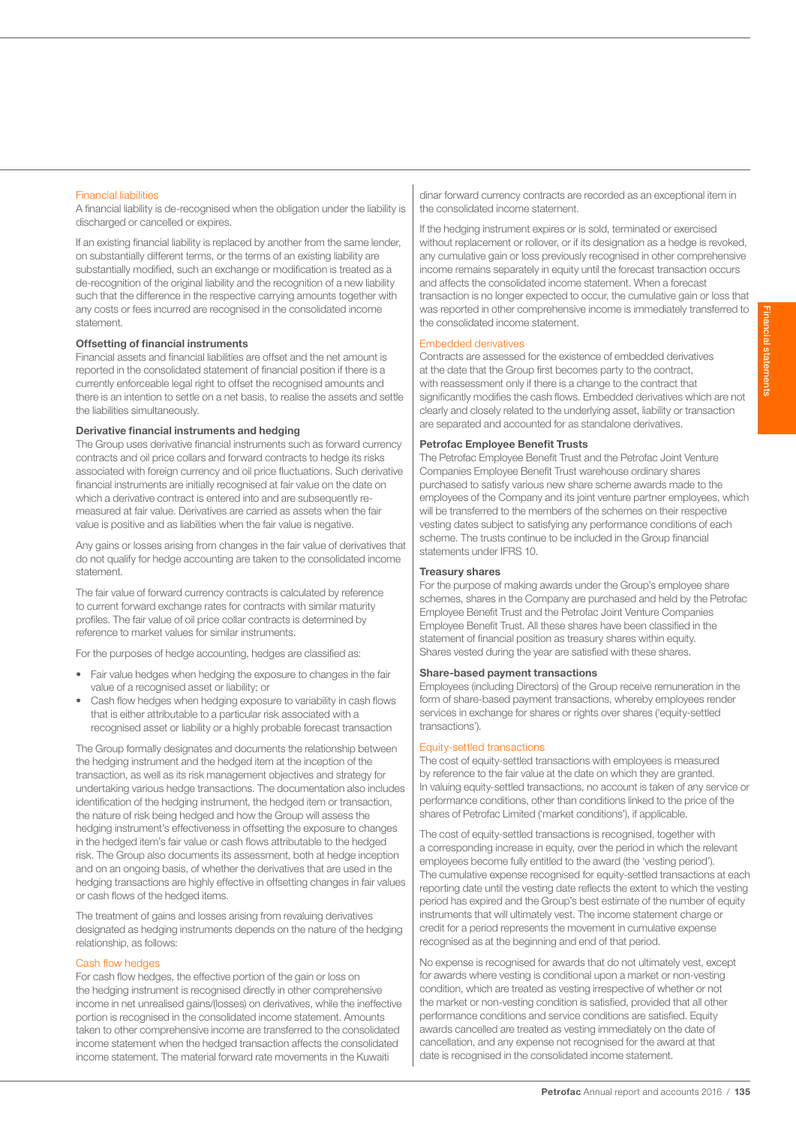### Financial liabilities

A financial liability is de-recognised when the obligation under the liability is discharged or cancelled or expires.

If an existing financial liability is replaced by another from the same lender, on substantially different terms, or the terms of an existing liability are substantially modified, such an exchange or modification is treated as a de-recognition of the original liability and the recognition of a new liability such that the difference in the respective carrying amounts together with any costs or fees incurred are recognised in the consolidated income statement.

# Offsetting of financial instruments

Financial assets and financial liabilities are offset and the net amount is reported in the consolidated statement of financial position if there is a currently enforceable legal right to offset the recognised amounts and there is an intention to settle on a net basis, to realise the assets and settle the liabilities simultaneously.

# Derivative financial instruments and hedging

The Group uses derivative financial instruments such as forward currency contracts and oil price collars and forward contracts to hedge its risks associated with foreign currency and oil price fluctuations. Such derivative financial instruments are initially recognised at fair value on the date on which a derivative contract is entered into and are subsequently remeasured at fair value. Derivatives are carried as assets when the fair value is positive and as liabilities when the fair value is negative.

Any gains or losses arising from changes in the fair value of derivatives that do not qualify for hedge accounting are taken to the consolidated income statement.

The fair value of forward currency contracts is calculated by reference to current forward exchange rates for contracts with similar maturity profiles. The fair value of oil price collar contracts is determined by reference to market values for similar instruments.

For the purposes of hedge accounting, hedges are classified as:

- Fair value hedges when hedging the exposure to changes in the fair value of a recognised asset or liability; or
- Cash flow hedges when hedging exposure to variability in cash flows that is either attributable to a particular risk associated with a recognised asset or liability or a highly probable forecast transaction

The Group formally designates and documents the relationship between the hedging instrument and the hedged item at the inception of the transaction, as well as its risk management objectives and strategy for undertaking various hedge transactions. The documentation also includes identification of the hedging instrument, the hedged item or transaction, the nature of risk being hedged and how the Group will assess the hedging instrument's effectiveness in offsetting the exposure to changes in the hedged item's fair value or cash flows attributable to the hedged risk. The Group also documents its assessment, both at hedge inception and on an ongoing basis, of whether the derivatives that are used in the hedging transactions are highly effective in offsetting changes in fair values or cash flows of the hedged items.

The treatment of gains and losses arising from revaluing derivatives designated as hedging instruments depends on the nature of the hedging relationship, as follows:

### Cash flow hedges

For cash flow hedges, the effective portion of the gain or loss on the hedging instrument is recognised directly in other comprehensive income in net unrealised gains/(losses) on derivatives, while the ineffective portion is recognised in the consolidated income statement. Amounts taken to other comprehensive income are transferred to the consolidated income statement when the hedged transaction affects the consolidated income statement. The material forward rate movements in the Kuwaiti

dinar forward currency contracts are recorded as an exceptional item in the consolidated income statement.

If the hedging instrument expires or is sold, terminated or exercised without replacement or rollover, or if its designation as a hedge is revoked, any cumulative gain or loss previously recognised in other comprehensive income remains separately in equity until the forecast transaction occurs and affects the consolidated income statement. When a forecast transaction is no longer expected to occur, the cumulative gain or loss that was reported in other comprehensive income is immediately transferred to the consolidated income statement.

#### Embedded derivatives

Contracts are assessed for the existence of embedded derivatives at the date that the Group first becomes party to the contract, with reassessment only if there is a change to the contract that significantly modifies the cash flows. Embedded derivatives which are not clearly and closely related to the underlying asset, liability or transaction are separated and accounted for as standalone derivatives.

# Petrofac Employee Benefit Trusts

The Petrofac Employee Benefit Trust and the Petrofac Joint Venture Companies Employee Benefit Trust warehouse ordinary shares purchased to satisfy various new share scheme awards made to the employees of the Company and its joint venture partner employees, which will be transferred to the members of the schemes on their respective vesting dates subject to satisfying any performance conditions of each scheme. The trusts continue to be included in the Group financial statements under IFRS 10.

#### Treasury shares

For the purpose of making awards under the Group's employee share schemes, shares in the Company are purchased and held by the Petrofac Employee Benefit Trust and the Petrofac Joint Venture Companies Employee Benefit Trust. All these shares have been classified in the statement of financial position as treasury shares within equity. Shares vested during the year are satisfied with these shares.

#### Share-based payment transactions

Employees (including Directors) of the Group receive remuneration in the form of share-based payment transactions, whereby employees render services in exchange for shares or rights over shares ('equity-settled transactions').

### Equity-settled transactions

The cost of equity-settled transactions with employees is measured by reference to the fair value at the date on which they are granted. In valuing equity-settled transactions, no account is taken of any service or performance conditions, other than conditions linked to the price of the shares of Petrofac Limited ('market conditions'), if applicable.

The cost of equity-settled transactions is recognised, together with a corresponding increase in equity, over the period in which the relevant employees become fully entitled to the award (the 'vesting period'). The cumulative expense recognised for equity-settled transactions at each reporting date until the vesting date reflects the extent to which the vesting period has expired and the Group's best estimate of the number of equity instruments that will ultimately vest. The income statement charge or credit for a period represents the movement in cumulative expense recognised as at the beginning and end of that period.

No expense is recognised for awards that do not ultimately vest, except for awards where vesting is conditional upon a market or non-vesting condition, which are treated as vesting irrespective of whether or not the market or non-vesting condition is satisfied, provided that all other performance conditions and service conditions are satisfied. Equity awards cancelled are treated as vesting immediately on the date of cancellation, and any expense not recognised for the award at that date is recognised in the consolidated income statement.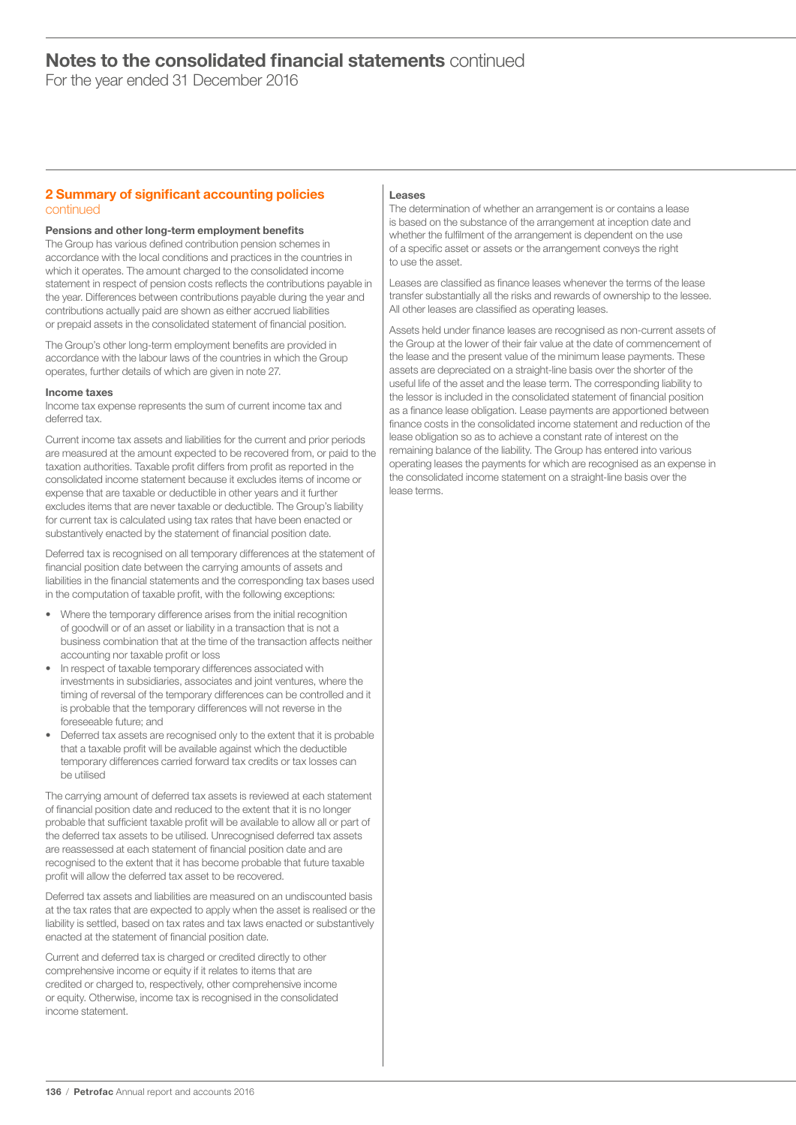For the year ended 31 December 2016

# 2 Summary of significant accounting policies continued

# Pensions and other long-term employment benefits

The Group has various defined contribution pension schemes in accordance with the local conditions and practices in the countries in which it operates. The amount charged to the consolidated income statement in respect of pension costs reflects the contributions payable in the year. Differences between contributions payable during the year and contributions actually paid are shown as either accrued liabilities or prepaid assets in the consolidated statement of financial position.

The Group's other long-term employment benefits are provided in accordance with the labour laws of the countries in which the Group operates, further details of which are given in note 27.

### Income taxes

Income tax expense represents the sum of current income tax and deferred tax.

Current income tax assets and liabilities for the current and prior periods are measured at the amount expected to be recovered from, or paid to the taxation authorities. Taxable profit differs from profit as reported in the consolidated income statement because it excludes items of income or expense that are taxable or deductible in other years and it further excludes items that are never taxable or deductible. The Group's liability for current tax is calculated using tax rates that have been enacted or substantively enacted by the statement of financial position date.

Deferred tax is recognised on all temporary differences at the statement of financial position date between the carrying amounts of assets and liabilities in the financial statements and the corresponding tax bases used in the computation of taxable profit, with the following exceptions:

- Where the temporary difference arises from the initial recognition of goodwill or of an asset or liability in a transaction that is not a business combination that at the time of the transaction affects neither accounting nor taxable profit or loss
- In respect of taxable temporary differences associated with investments in subsidiaries, associates and joint ventures, where the timing of reversal of the temporary differences can be controlled and it is probable that the temporary differences will not reverse in the foreseeable future; and
- Deferred tax assets are recognised only to the extent that it is probable that a taxable profit will be available against which the deductible temporary differences carried forward tax credits or tax losses can be utilised

The carrying amount of deferred tax assets is reviewed at each statement of financial position date and reduced to the extent that it is no longer probable that sufficient taxable profit will be available to allow all or part of the deferred tax assets to be utilised. Unrecognised deferred tax assets are reassessed at each statement of financial position date and are recognised to the extent that it has become probable that future taxable profit will allow the deferred tax asset to be recovered.

Deferred tax assets and liabilities are measured on an undiscounted basis at the tax rates that are expected to apply when the asset is realised or the liability is settled, based on tax rates and tax laws enacted or substantively enacted at the statement of financial position date.

Current and deferred tax is charged or credited directly to other comprehensive income or equity if it relates to items that are credited or charged to, respectively, other comprehensive income or equity. Otherwise, income tax is recognised in the consolidated income statement.

### Leases

The determination of whether an arrangement is or contains a lease is based on the substance of the arrangement at inception date and whether the fulfilment of the arrangement is dependent on the use of a specific asset or assets or the arrangement conveys the right to use the asset.

Leases are classified as finance leases whenever the terms of the lease transfer substantially all the risks and rewards of ownership to the lessee. All other leases are classified as operating leases.

Assets held under finance leases are recognised as non-current assets of the Group at the lower of their fair value at the date of commencement of the lease and the present value of the minimum lease payments. These assets are depreciated on a straight-line basis over the shorter of the useful life of the asset and the lease term. The corresponding liability to the lessor is included in the consolidated statement of financial position as a finance lease obligation. Lease payments are apportioned between finance costs in the consolidated income statement and reduction of the lease obligation so as to achieve a constant rate of interest on the remaining balance of the liability. The Group has entered into various operating leases the payments for which are recognised as an expense in the consolidated income statement on a straight-line basis over the lease terms.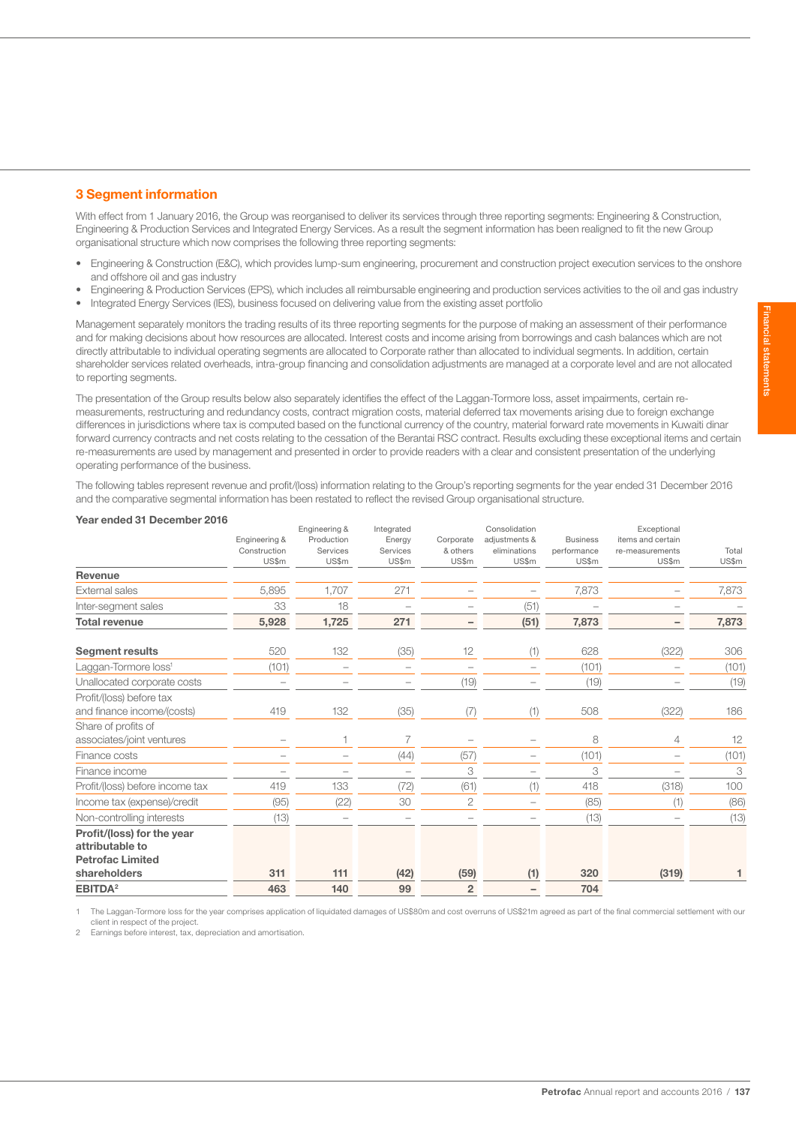# 3 Segment information

With effect from 1 January 2016, the Group was reorganised to deliver its services through three reporting segments: Engineering & Construction, Engineering & Production Services and Integrated Energy Services. As a result the segment information has been realigned to fit the new Group organisational structure which now comprises the following three reporting segments:

- Engineering & Construction (E&C), which provides lump-sum engineering, procurement and construction project execution services to the onshore and offshore oil and gas industry
- Engineering & Production Services (EPS), which includes all reimbursable engineering and production services activities to the oil and gas industry
- Integrated Energy Services (IES), business focused on delivering value from the existing asset portfolio

Management separately monitors the trading results of its three reporting segments for the purpose of making an assessment of their performance and for making decisions about how resources are allocated. Interest costs and income arising from borrowings and cash balances which are not directly attributable to individual operating segments are allocated to Corporate rather than allocated to individual segments. In addition, certain shareholder services related overheads, intra-group financing and consolidation adjustments are managed at a corporate level and are not allocated to reporting segments.

The presentation of the Group results below also separately identifies the effect of the Laggan-Tormore loss, asset impairments, certain remeasurements, restructuring and redundancy costs, contract migration costs, material deferred tax movements arising due to foreign exchange differences in jurisdictions where tax is computed based on the functional currency of the country, material forward rate movements in Kuwaiti dinar forward currency contracts and net costs relating to the cessation of the Berantai RSC contract. Results excluding these exceptional items and certain re-measurements are used by management and presented in order to provide readers with a clear and consistent presentation of the underlying operating performance of the business.

The following tables represent revenue and profit/(loss) information relating to the Group's reporting segments for the year ended 31 December 2016 and the comparative segmental information has been restated to reflect the revised Group organisational structure.

| Year ended 31 December 2016      |               |                             |                          |                          |                                |                 |                                  |       |
|----------------------------------|---------------|-----------------------------|--------------------------|--------------------------|--------------------------------|-----------------|----------------------------------|-------|
|                                  | Engineering & | Engineering &<br>Production | Integrated<br>Energy     | Corporate                | Consolidation<br>adjustments & | <b>Business</b> | Exceptional<br>items and certain |       |
|                                  | Construction  | Services                    | Services                 | & others                 | eliminations                   | performance     | re-measurements                  | Total |
|                                  | US\$m         | US\$m                       | US\$m                    | US\$m                    | US\$m                          | US\$m           | US\$m                            | US\$m |
| Revenue                          |               |                             |                          |                          |                                |                 |                                  |       |
| <b>External sales</b>            | 5,895         | 1,707                       | 271                      |                          |                                | 7,873           |                                  | 7,873 |
| Inter-segment sales              | 33            | 18                          |                          |                          | (51)                           |                 |                                  |       |
| <b>Total revenue</b>             | 5,928         | 1,725                       | 271                      | -                        | (51)                           | 7,873           |                                  | 7,873 |
| <b>Segment results</b>           | 520           | 132                         | (35)                     | 12                       | (1)                            | 628             | (322)                            | 306   |
| Laggan-Tormore loss <sup>1</sup> | (101)         | $\overline{\phantom{0}}$    | $\overline{\phantom{a}}$ | $\overline{\phantom{0}}$ | $\sim$                         | (101)           |                                  | (101) |
| Unallocated corporate costs      |               |                             |                          | (19)                     |                                | (19)            |                                  | (19)  |
| Profit/(loss) before tax         |               |                             |                          |                          |                                |                 |                                  |       |
| and finance income/(costs)       | 419           | 132                         | (35)                     | (7)                      | (1)                            | 508             | (322)                            | 186   |
| Share of profits of              |               |                             |                          |                          |                                |                 |                                  |       |
| associates/joint ventures        |               | $\mathbf{1}$                | 7                        |                          |                                | 8               | $\overline{4}$                   | 12    |
| Finance costs                    |               |                             | (44)                     | (57)                     |                                | (101)           |                                  | (101) |
| Finance income                   |               |                             |                          | 3                        |                                | 3               |                                  | 3     |
| Profit/(loss) before income tax  | 419           | 133                         | (72)                     | (61)                     | (1)                            | 418             | (318)                            | 100   |
| Income tax (expense)/credit      | (95)          | (22)                        | 30                       | $\overline{2}$           |                                | (85)            | (1)                              | (86)  |
| Non-controlling interests        | (13)          |                             |                          |                          |                                | (13)            |                                  | (13)  |
| Profit/(loss) for the year       |               |                             |                          |                          |                                |                 |                                  |       |
| attributable to                  |               |                             |                          |                          |                                |                 |                                  |       |
| <b>Petrofac Limited</b>          |               |                             |                          |                          |                                |                 |                                  |       |
| shareholders                     | 311           | 111                         | (42)                     | (59)                     | (1)                            | 320             | (319)                            |       |
| EBITDA <sup>2</sup>              | 463           | 140                         | 99                       | $\overline{2}$           |                                | 704             |                                  |       |

1 The Laggan-Tormore loss for the year comprises application of liquidated damages of US\$80m and cost overruns of US\$21m agreed as part of the final commercial settlement with our client in respect of the project.

Earnings before interest, tax, depreciation and amortisation.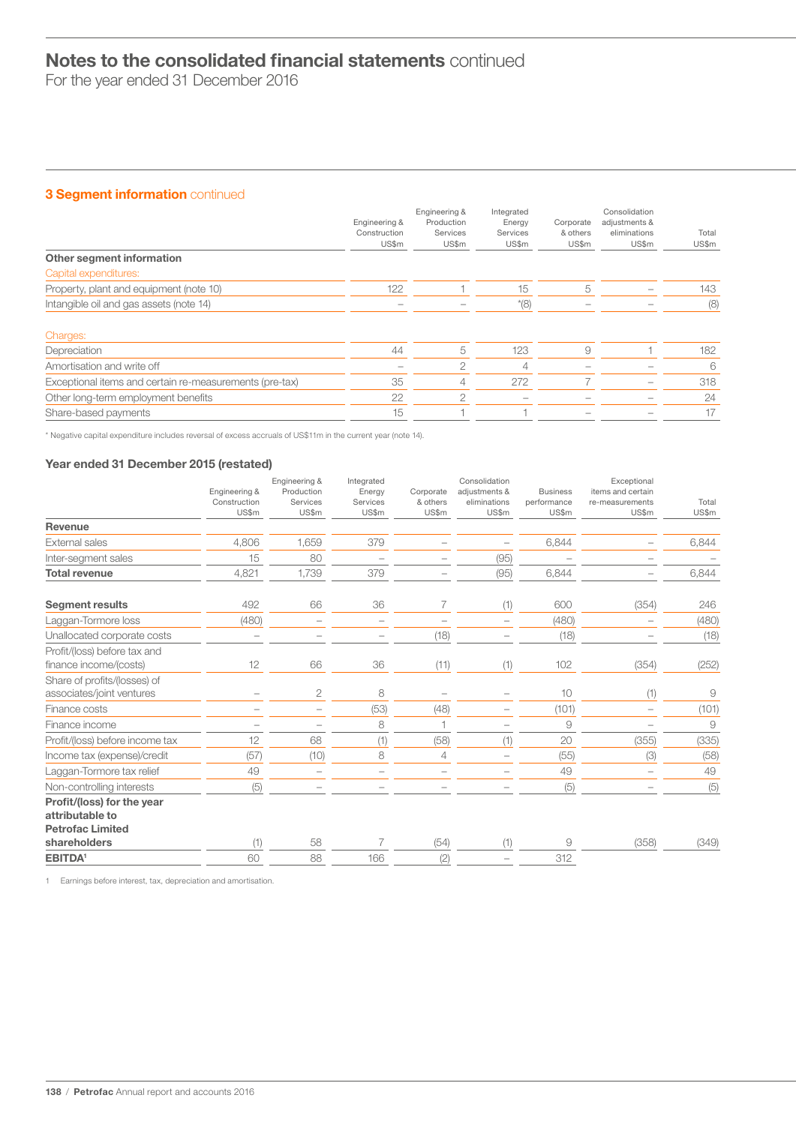For the year ended 31 December 2016

# 3 Segment information continued

|                                                         | Engineering &<br>Construction<br>US\$m | Engineering &<br>Production<br>Services<br>US\$m | Integrated<br>Energy<br>Services<br>US\$m | Corporate<br>& others<br>US\$m | Consolidation<br>adjustments &<br>eliminations<br>US\$m | Total<br>US\$m |
|---------------------------------------------------------|----------------------------------------|--------------------------------------------------|-------------------------------------------|--------------------------------|---------------------------------------------------------|----------------|
| Other segment information                               |                                        |                                                  |                                           |                                |                                                         |                |
| Capital expenditures:                                   |                                        |                                                  |                                           |                                |                                                         |                |
| Property, plant and equipment (note 10)                 | 122                                    |                                                  | 15                                        | 5                              |                                                         | 143            |
| Intangible oil and gas assets (note 14)                 |                                        |                                                  | $*(8)$                                    |                                |                                                         | (8)            |
| Charges:                                                |                                        |                                                  |                                           |                                |                                                         |                |
| Depreciation                                            | 44                                     | 5                                                | 123                                       | 9                              |                                                         | 182            |
| Amortisation and write off                              | -                                      | $\overline{2}$                                   | 4                                         |                                |                                                         | 6              |
| Exceptional items and certain re-measurements (pre-tax) | 35                                     | 4                                                | 272                                       |                                |                                                         | 318            |
| Other long-term employment benefits                     | 22                                     | 2                                                |                                           |                                |                                                         | 24             |
| Share-based payments                                    | 15                                     |                                                  |                                           |                                |                                                         | 17             |

\* Negative capital expenditure includes reversal of excess accruals of US\$11m in the current year (note 14).

# Year ended 31 December 2015 (restated)

|                                 |                               | Engineering &          | Integrated         |                       | Consolidation                 |                                | Exceptional                          |       |
|---------------------------------|-------------------------------|------------------------|--------------------|-----------------------|-------------------------------|--------------------------------|--------------------------------------|-------|
|                                 | Engineering &<br>Construction | Production<br>Services | Energy<br>Services | Corporate<br>& others | adjustments &<br>eliminations | <b>Business</b><br>performance | items and certain<br>re-measurements | Total |
|                                 | US\$m                         | US\$m                  | US\$m              | US\$m                 | US\$m                         | US\$m                          | US\$m                                | US\$m |
| Revenue                         |                               |                        |                    |                       |                               |                                |                                      |       |
| <b>External sales</b>           | 4.806                         | 1.659                  | 379                |                       |                               | 6,844                          |                                      | 6,844 |
| Inter-segment sales             | 15                            | 80                     |                    |                       | (95)                          |                                |                                      |       |
| <b>Total revenue</b>            | 4,821                         | 1,739                  | 379                |                       | (95)                          | 6,844                          |                                      | 6,844 |
| <b>Segment results</b>          | 492                           | 66                     | 36                 | 7                     | (1)                           | 600                            | (354)                                | 246   |
| Laggan-Tormore loss             | (480)                         |                        |                    |                       |                               | (480)                          |                                      | (480) |
| Unallocated corporate costs     |                               |                        |                    | (18)                  |                               | (18)                           |                                      | (18)  |
| Profit/(loss) before tax and    |                               |                        |                    |                       |                               |                                |                                      |       |
| finance income/(costs)          | 12                            | 66                     | 36                 | (11)                  | (1)                           | 102                            | (354)                                | (252) |
| Share of profits/(losses) of    |                               |                        |                    |                       |                               |                                |                                      |       |
| associates/joint ventures       |                               | 2                      | 8                  |                       |                               | 10                             | (1)                                  | 9     |
| Finance costs                   |                               |                        | (53)               | (48)                  |                               | (101)                          |                                      | (101) |
| Finance income                  |                               |                        | 8                  |                       |                               | 9                              |                                      | 9     |
| Profit/(loss) before income tax | 12                            | 68                     | (1)                | (58)                  | (1)                           | 20                             | (355)                                | (335) |
| Income tax (expense)/credit     | (57)                          | (10)                   | 8                  | 4                     |                               | (55)                           | (3)                                  | (58)  |
| Laggan-Tormore tax relief       | 49                            |                        |                    |                       |                               | 49                             |                                      | 49    |
| Non-controlling interests       | (5)                           |                        |                    |                       |                               | (5)                            |                                      | (5)   |
| Profit/(loss) for the year      |                               |                        |                    |                       |                               |                                |                                      |       |
| attributable to                 |                               |                        |                    |                       |                               |                                |                                      |       |
| <b>Petrofac Limited</b>         |                               |                        |                    |                       |                               |                                |                                      |       |
| shareholders                    | (1)                           | 58                     | 7                  | (54)                  | (1)                           | 9                              | (358)                                | (349) |
| <b>EBITDA<sup>1</sup></b>       | 60                            | 88                     | 166                | (2)                   |                               | 312                            |                                      |       |

1 Earnings before interest, tax, depreciation and amortisation.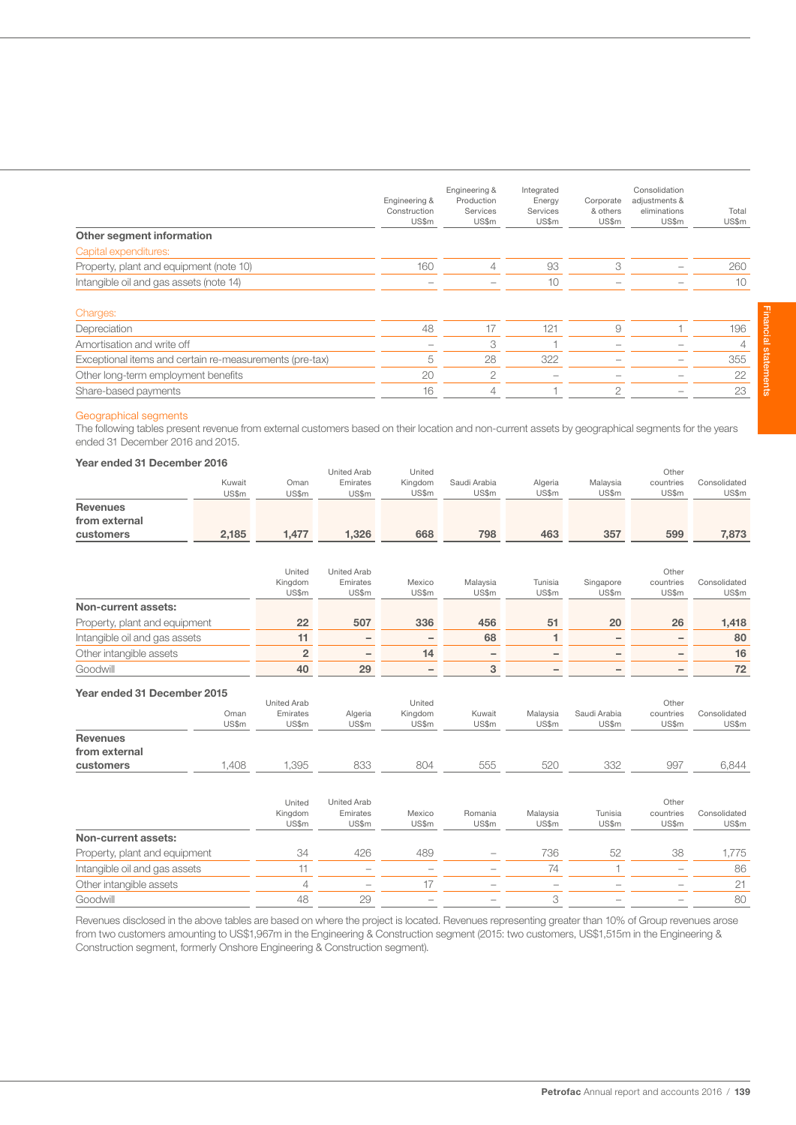| Other segment information                               | Engineering &<br>Construction<br>US\$m | Engineering &<br>Production<br>Services<br>US\$m | Integrated<br>Energy<br>Services<br>US\$m | Corporate<br>& others<br>US\$m | Consolidation<br>adjustments &<br>eliminations<br>US\$m | Total<br>US\$m |
|---------------------------------------------------------|----------------------------------------|--------------------------------------------------|-------------------------------------------|--------------------------------|---------------------------------------------------------|----------------|
| Capital expenditures:                                   |                                        |                                                  |                                           |                                |                                                         |                |
| Property, plant and equipment (note 10)                 | 160                                    | $\overline{4}$                                   | 93                                        | 3                              |                                                         | 260            |
| Intangible oil and gas assets (note 14)                 |                                        |                                                  | 10                                        |                                |                                                         | 10             |
| Charges:                                                |                                        |                                                  |                                           |                                |                                                         |                |
| Depreciation                                            | 48                                     | 17                                               | 121                                       | 9                              |                                                         | 196            |
| Amortisation and write off                              |                                        | 3                                                |                                           |                                |                                                         | 4              |
| Exceptional items and certain re-measurements (pre-tax) | 5                                      | 28                                               | 322                                       |                                |                                                         | 355            |
| Other long-term employment benefits                     | 20                                     | $\overline{2}$                                   |                                           |                                |                                                         | 22             |
| Share-based payments                                    | 16                                     | $\overline{4}$                                   |                                           | $\mathcal{P}$                  |                                                         | 23             |

### Geographical segments

The following tables present revenue from external customers based on their location and non-current assets by geographical segments for the years ended 31 December 2016 and 2015.

# Year ended 31 December 2016

|                               |        |                         | <b>United Arab</b> | United            |                   |                   |              | Other           |              |
|-------------------------------|--------|-------------------------|--------------------|-------------------|-------------------|-------------------|--------------|-----------------|--------------|
|                               | Kuwait | Oman                    | Emirates           | Kingdom           | Saudi Arabia      | Algeria           | Malaysia     | countries       | Consolidated |
|                               | US\$m  | US\$m                   | US\$m              | US\$m             | US\$m             | US\$m             | US\$m        | US\$m           | US\$m        |
| <b>Revenues</b>               |        |                         |                    |                   |                   |                   |              |                 |              |
| from external                 |        |                         |                    |                   |                   |                   |              |                 |              |
| customers                     | 2,185  | 1,477                   | 1,326              | 668               | 798               | 463               | 357          | 599             | 7,873        |
|                               |        |                         |                    |                   |                   |                   |              |                 |              |
|                               |        | United                  | <b>United Arab</b> |                   |                   |                   |              | Other           |              |
|                               |        | Kingdom                 | Emirates           | Mexico            | Malaysia          | Tunisia           | Singapore    | countries       | Consolidated |
|                               |        | US\$m                   | US\$m              | US\$m             | US\$m             | US\$m             | US\$m        | US\$m           | US\$m        |
| Non-current assets:           |        |                         |                    |                   |                   |                   |              |                 |              |
| Property, plant and equipment |        | 22                      | 507                | 336               | 456               | 51                | 20           | 26              | 1,418        |
| Intangible oil and gas assets |        | 11                      | $\qquad \qquad -$  | $\qquad \qquad -$ | 68                | 1                 | -            | $\qquad \qquad$ | 80           |
| Other intangible assets       |        | $\overline{\mathbf{c}}$ | $\qquad \qquad -$  | 14                | $\qquad \qquad -$ | $\qquad \qquad -$ | -            | $\qquad \qquad$ | 16           |
| Goodwill                      |        | 40                      | 29                 |                   | 3                 |                   |              |                 | 72           |
| Year ended 31 December 2015   |        |                         |                    |                   |                   |                   |              |                 |              |
|                               |        | <b>United Arab</b>      |                    | United            |                   |                   |              | Other           |              |
|                               | Oman   | Emirates                | Algeria            | Kingdom           | Kuwait            | Malaysia          | Saudi Arabia | countries       | Consolidated |
|                               | US\$m  | US\$m                   | US\$m              | US\$m             | US\$m             | US\$m             | US\$m        | US\$m           | US\$m        |
| <b>Revenues</b>               |        |                         |                    |                   |                   |                   |              |                 |              |
| from external                 |        |                         |                    |                   |                   |                   |              |                 |              |
| customers                     | 1,408  | 1,395                   | 833                | 804               | 555               | 520               | 332          | 997             | 6,844        |
|                               |        |                         |                    |                   |                   |                   |              |                 |              |
|                               |        | United                  | <b>United Arab</b> |                   |                   |                   |              | Other           |              |
|                               |        | Kingdom                 | Emirates           | Mexico            | Romania           | Malaysia          | Tunisia      | countries       | Consolidated |
|                               |        | US\$m                   | US\$m              | US\$m             | US\$m             | US\$m             | US\$m        | US\$m           | US\$m        |
| Non-current assets:           |        |                         |                    |                   |                   |                   |              |                 |              |
| Property, plant and equipment |        | 34                      | 426                | 489               |                   | 736               | 52           | 38              | 1,775        |
| Intangible oil and gas assets |        | 11                      |                    |                   |                   | 74                |              |                 | 86           |

Revenues disclosed in the above tables are based on where the project is located. Revenues representing greater than 10% of Group revenues arose from two customers amounting to US\$1,967m in the Engineering & Construction segment (2015: two customers, US\$1,515m in the Engineering & Construction segment, formerly Onshore Engineering & Construction segment).

Other intangible assets  $\overline{4}$  – 17 – – – – – – – – 21 Goodwill 48 29 – – 3 – – 80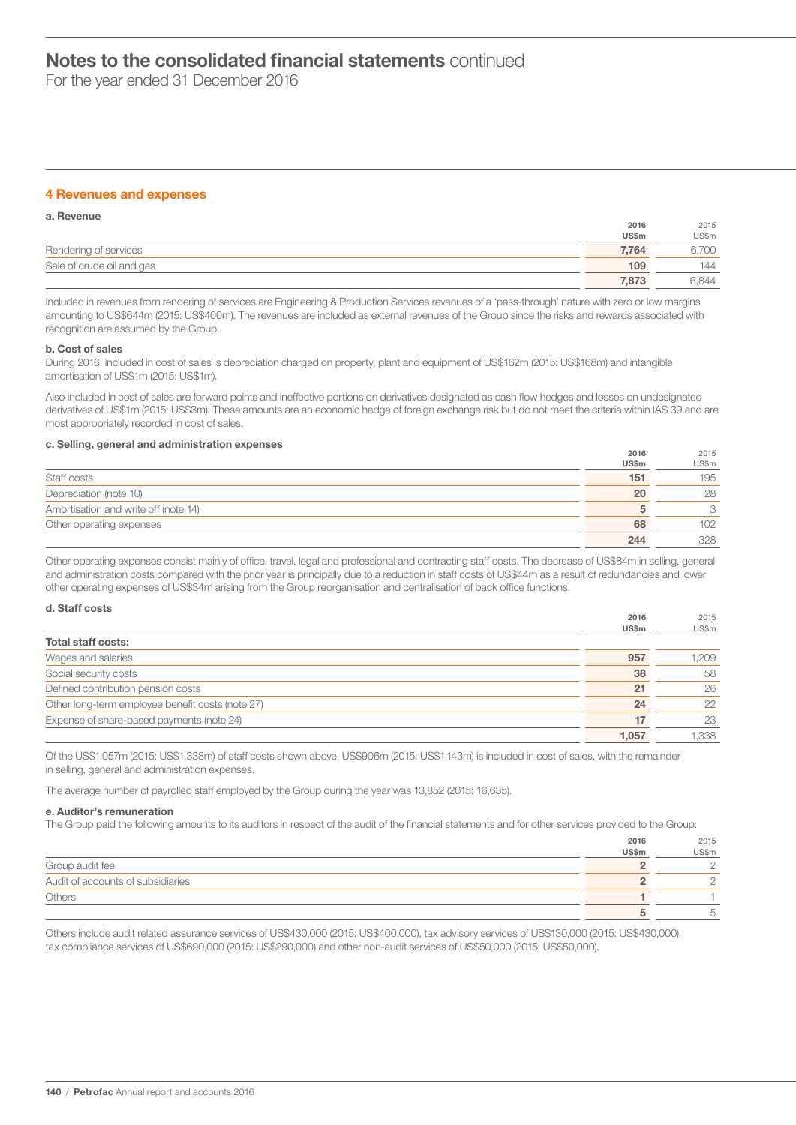For the year ended 31 December 2016

# 4 Revenues and expenses

| a. Revenue                |       |       |
|---------------------------|-------|-------|
|                           | 2016  | 2015  |
|                           | US\$m | US\$m |
| Rendering of services     | 7.764 | 1700  |
| Sale of crude oil and gas | 109   | 144   |
|                           | 7.873 | 6.844 |

Included in revenues from rendering of services are Engineering & Production Services revenues of a 'pass-through' nature with zero or low margins amounting to US\$644m (2015: US\$400m). The revenues are included as external revenues of the Group since the risks and rewards associated with recognition are assumed by the Group.

#### b. Cost of sales

During 2016, included in cost of sales is depreciation charged on property, plant and equipment of US\$162m (2015: US\$168m) and intangible amortisation of US\$1m (2015: US\$1m).

Also included in cost of sales are forward points and ineffective portions on derivatives designated as cash flow hedges and losses on undesignated derivatives of US\$1m (2015: US\$3m). These amounts are an economic hedge of foreign exchange risk but do not meet the criteria within IAS 39 and are most appropriately recorded in cost of sales.

# c. Selling, general and administration expenses

|                                      | 2016  | 2015  |
|--------------------------------------|-------|-------|
|                                      | US\$m | US\$m |
| Staff costs                          | 151   | 195   |
| Depreciation (note 10)               | 20    | 28    |
| Amortisation and write off (note 14) | b     | 3     |
| Other operating expenses             | 68    | 102   |
|                                      | 244   | 328   |

Other operating expenses consist mainly of office, travel, legal and professional and contracting staff costs. The decrease of US\$84m in selling, general and administration costs compared with the prior year is principally due to a reduction in staff costs of US\$44m as a result of redundancies and lower other operating expenses of US\$34m arising from the Group reorganisation and centralisation of back office functions.

| d. Staff costs                                   |       |       |
|--------------------------------------------------|-------|-------|
|                                                  | 2016  | 2015  |
|                                                  | US\$m | US\$m |
| <b>Total staff costs:</b>                        |       |       |
| Wages and salaries                               | 957   | 1,209 |
| Social security costs                            | 38    | 58    |
| Defined contribution pension costs               | 21    | 26    |
| Other long-term employee benefit costs (note 27) | 24    | 22    |
| Expense of share-based payments (note 24)        | 17    | 23    |
|                                                  | 1.057 | 1,338 |

Of the US\$1,057m (2015: US\$1,338m) of staff costs shown above, US\$906m (2015: US\$1,143m) is included in cost of sales, with the remainder in selling, general and administration expenses.

The average number of payrolled staff employed by the Group during the year was 13,852 (2015: 16,635).

#### e. Auditor's remuneration

The Group paid the following amounts to its auditors in respect of the audit of the financial statements and for other services provided to the Group:

|                                   | 2016         | 2015  |
|-----------------------------------|--------------|-------|
|                                   | <b>US\$m</b> | US\$m |
| Group audit fee                   |              |       |
| Audit of accounts of subsidiaries |              |       |
| Others                            |              |       |
|                                   |              |       |

Others include audit related assurance services of US\$430,000 (2015: US\$400,000), tax advisory services of US\$130,000 (2015: US\$430,000), tax compliance services of US\$690,000 (2015: US\$290,000) and other non-audit services of US\$50,000 (2015: US\$50,000).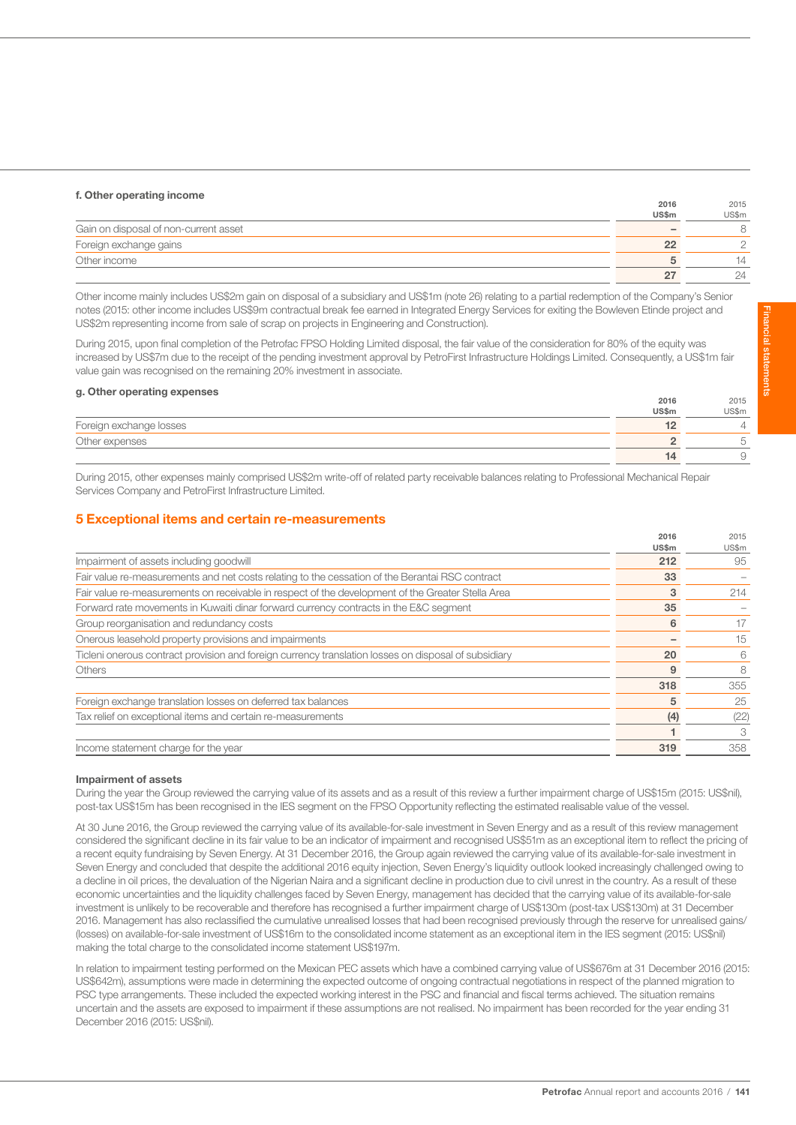# f. Other operating income

|                                       | 2016         | 2015  |
|---------------------------------------|--------------|-------|
|                                       | <b>US\$m</b> | US\$m |
| Gain on disposal of non-current asset |              |       |
| Foreign exchange gains                |              |       |
| Other income                          |              | 14    |
|                                       |              | 24    |

Other income mainly includes US\$2m gain on disposal of a subsidiary and US\$1m (note 26) relating to a partial redemption of the Company's Senior notes (2015: other income includes US\$9m contractual break fee earned in Integrated Energy Services for exiting the Bowleven Etinde project and US\$2m representing income from sale of scrap on projects in Engineering and Construction).

During 2015, upon final completion of the Petrofac FPSO Holding Limited disposal, the fair value of the consideration for 80% of the equity was increased by US\$7m due to the receipt of the pending investment approval by PetroFirst Infrastructure Holdings Limited. Consequently, a US\$1m fair value gain was recognised on the remaining 20% investment in associate.

### g. Other operating expenses

|                         | 2016         | 2015    |
|-------------------------|--------------|---------|
|                         | <b>US\$m</b> | US\$m   |
| Foreign exchange losses |              | $\perp$ |
| Other expenses          |              |         |
|                         |              | ◡       |

During 2015, other expenses mainly comprised US\$2m write-off of related party receivable balances relating to Professional Mechanical Repair Services Company and PetroFirst Infrastructure Limited.

# 5 Exceptional items and certain re-measurements

|                                                                                                      | 2016<br>US\$m | 2015<br>US\$m |
|------------------------------------------------------------------------------------------------------|---------------|---------------|
| Impairment of assets including goodwill                                                              | 212           | 95            |
| Fair value re-measurements and net costs relating to the cessation of the Berantai RSC contract      | 33            |               |
| Fair value re-measurements on receivable in respect of the development of the Greater Stella Area    | 3             | 214           |
| Forward rate movements in Kuwaiti dinar forward currency contracts in the E&C segment                | 35            |               |
| Group reorganisation and redundancy costs                                                            | 6             | 17            |
| Onerous leasehold property provisions and impairments                                                |               | 15            |
| Ticleni onerous contract provision and foreign currency translation losses on disposal of subsidiary | 20            | 6             |
| <b>Others</b>                                                                                        | 9             | 8             |
|                                                                                                      | 318           | 355           |
| Foreign exchange translation losses on deferred tax balances                                         | 5             | 25            |
| Tax relief on exceptional items and certain re-measurements                                          | (4)           | (22)          |
|                                                                                                      |               |               |
| Income statement charge for the year                                                                 | 319           | 358           |
|                                                                                                      |               |               |

### Impairment of assets

During the year the Group reviewed the carrying value of its assets and as a result of this review a further impairment charge of US\$15m (2015: US\$nil), post-tax US\$15m has been recognised in the IES segment on the FPSO Opportunity reflecting the estimated realisable value of the vessel.

At 30 June 2016, the Group reviewed the carrying value of its available-for-sale investment in Seven Energy and as a result of this review management considered the significant decline in its fair value to be an indicator of impairment and recognised US\$51m as an exceptional item to reflect the pricing of a recent equity fundraising by Seven Energy. At 31 December 2016, the Group again reviewed the carrying value of its available-for-sale investment in Seven Energy and concluded that despite the additional 2016 equity injection, Seven Energy's liquidity outlook looked increasingly challenged owing to a decline in oil prices, the devaluation of the Nigerian Naira and a significant decline in production due to civil unrest in the country. As a result of these economic uncertainties and the liquidity challenges faced by Seven Energy, management has decided that the carrying value of its available-for-sale investment is unlikely to be recoverable and therefore has recognised a further impairment charge of US\$130m (post-tax US\$130m) at 31 December 2016. Management has also reclassified the cumulative unrealised losses that had been recognised previously through the reserve for unrealised gains/ (losses) on available-for-sale investment of US\$16m to the consolidated income statement as an exceptional item in the IES segment (2015: US\$nil) making the total charge to the consolidated income statement US\$197m.

In relation to impairment testing performed on the Mexican PEC assets which have a combined carrying value of US\$676m at 31 December 2016 (2015: US\$642m), assumptions were made in determining the expected outcome of ongoing contractual negotiations in respect of the planned migration to PSC type arrangements. These included the expected working interest in the PSC and financial and fiscal terms achieved. The situation remains uncertain and the assets are exposed to impairment if these assumptions are not realised. No impairment has been recorded for the year ending 31 December 2016 (2015: US\$nil).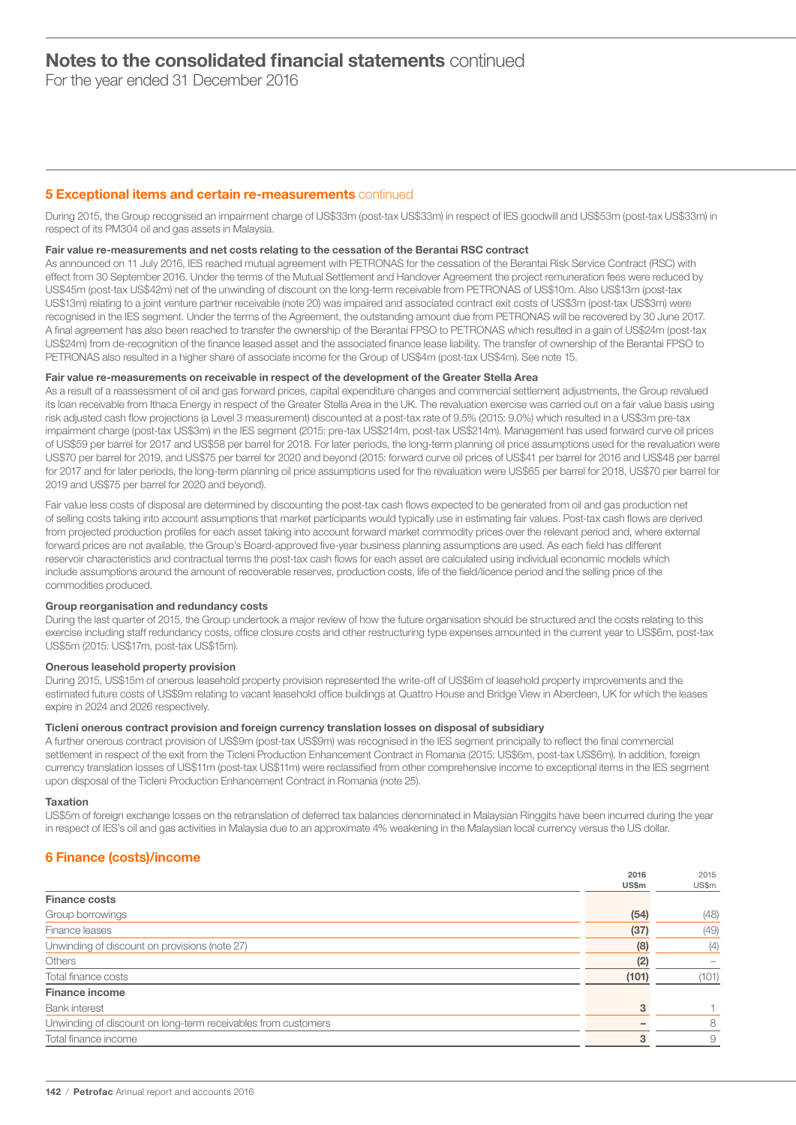For the year ended 31 December 2016

# **5 Exceptional items and certain re-measurements** continued

During 2015, the Group recognised an impairment charge of US\$33m (post-tax US\$33m) in respect of IES goodwill and US\$53m (post-tax US\$33m) in respect of its PM304 oil and gas assets in Malaysia.

### Fair value re-measurements and net costs relating to the cessation of the Berantai RSC contract

As announced on 11 July 2016, IES reached mutual agreement with PETRONAS for the cessation of the Berantai Risk Service Contract (RSC) with effect from 30 September 2016. Under the terms of the Mutual Settlement and Handover Agreement the project remuneration fees were reduced by US\$45m (post-tax US\$42m) net of the unwinding of discount on the long-term receivable from PETRONAS of US\$10m. Also US\$13m (post-tax US\$13m) relating to a joint venture partner receivable (note 20) was impaired and associated contract exit costs of US\$3m (post-tax US\$3m) were recognised in the IES segment. Under the terms of the Agreement, the outstanding amount due from PETRONAS will be recovered by 30 June 2017. A final agreement has also been reached to transfer the ownership of the Berantai FPSO to PETRONAS which resulted in a gain of US\$24m (post-tax US\$24m) from de-recognition of the finance leased asset and the associated finance lease liability. The transfer of ownership of the Berantai FPSO to PETRONAS also resulted in a higher share of associate income for the Group of US\$4m (post-tax US\$4m). See note 15.

# Fair value re-measurements on receivable in respect of the development of the Greater Stella Area

As a result of a reassessment of oil and gas forward prices, capital expenditure changes and commercial settlement adjustments, the Group revalued its loan receivable from Ithaca Energy in respect of the Greater Stella Area in the UK. The revaluation exercise was carried out on a fair value basis using risk adjusted cash flow projections (a Level 3 measurement) discounted at a post-tax rate of 9.5% (2015: 9.0%) which resulted in a US\$3m pre-tax impairment charge (post-tax US\$3m) in the IES segment (2015: pre-tax US\$214m, post-tax US\$214m). Management has used forward curve oil prices of US\$59 per barrel for 2017 and US\$58 per barrel for 2018. For later periods, the long-term planning oil price assumptions used for the revaluation were US\$70 per barrel for 2019, and US\$75 per barrel for 2020 and beyond (2015: forward curve oil prices of US\$41 per barrel for 2016 and US\$48 per barrel for 2017 and for later periods, the long-term planning oil price assumptions used for the revaluation were US\$65 per barrel for 2018, US\$70 per barrel for 2019 and US\$75 per barrel for 2020 and beyond).

Fair value less costs of disposal are determined by discounting the post-tax cash flows expected to be generated from oil and gas production net of selling costs taking into account assumptions that market participants would typically use in estimating fair values. Post-tax cash flows are derived from projected production profiles for each asset taking into account forward market commodity prices over the relevant period and, where external forward prices are not available, the Group's Board-approved five-year business planning assumptions are used. As each field has different reservoir characteristics and contractual terms the post-tax cash flows for each asset are calculated using individual economic models which include assumptions around the amount of recoverable reserves, production costs, life of the field/licence period and the selling price of the commodities produced.

### Group reorganisation and redundancy costs

During the last quarter of 2015, the Group undertook a major review of how the future organisation should be structured and the costs relating to this exercise including staff redundancy costs, office closure costs and other restructuring type expenses amounted in the current year to US\$6m, post-tax US\$5m (2015: US\$17m, post-tax US\$15m).

# Onerous leasehold property provision

During 2015, US\$15m of onerous leasehold property provision represented the write-off of US\$6m of leasehold property improvements and the estimated future costs of US\$9m relating to vacant leasehold office buildings at Quattro House and Bridge View in Aberdeen, UK for which the leases expire in 2024 and 2026 respectively.

# Ticleni onerous contract provision and foreign currency translation losses on disposal of subsidiary

A further onerous contract provision of US\$9m (post-tax US\$9m) was recognised in the IES segment principally to reflect the final commercial settlement in respect of the exit from the Ticleni Production Enhancement Contract in Romania (2015: US\$6m, post-tax US\$6m). In addition, foreign currency translation losses of US\$11m (post-tax US\$11m) were reclassified from other comprehensive income to exceptional items in the IES segment upon disposal of the Ticleni Production Enhancement Contract in Romania (note 25).

### Taxation

US\$5m of foreign exchange losses on the retranslation of deferred tax balances denominated in Malaysian Ringgits have been incurred during the year in respect of IES's oil and gas activities in Malaysia due to an approximate 4% weakening in the Malaysian local currency versus the US dollar.

# 6 Finance (costs)/income

|                                                               | 2016  | 2015  |
|---------------------------------------------------------------|-------|-------|
|                                                               | US\$m | US\$m |
| <b>Finance costs</b>                                          |       |       |
| Group borrowings                                              | (54)  | (48)  |
| Finance leases                                                | (37)  | (49)  |
| Unwinding of discount on provisions (note 27)                 | (8)   | (4)   |
| Others                                                        | (2)   |       |
| Total finance costs                                           | (101) | (101) |
| <b>Finance income</b>                                         |       |       |
| <b>Bank interest</b>                                          | 3     |       |
| Unwinding of discount on long-term receivables from customers |       | 8     |
| Total finance income                                          | 3     | 9     |
|                                                               |       |       |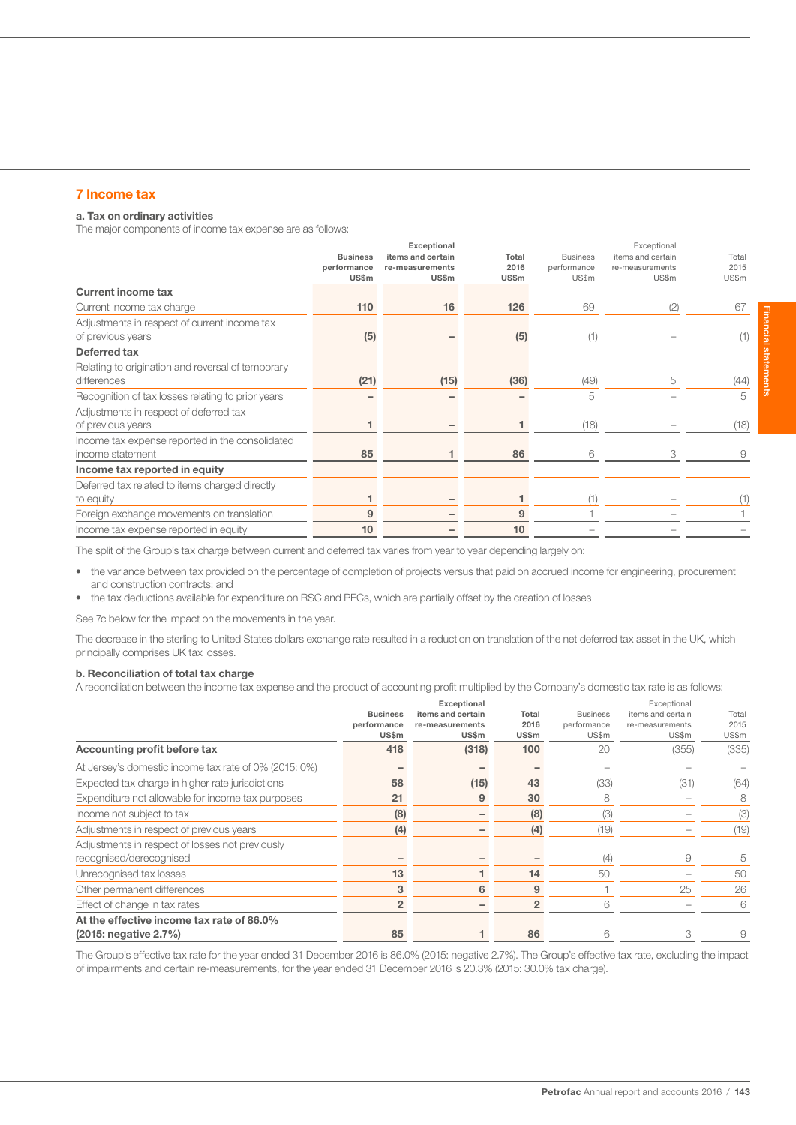# 7 Income tax

# a. Tax on ordinary activities

The major components of income tax expense are as follows:

|                                                                     | <b>Business</b><br>performance<br><b>US\$m</b> | Exceptional<br>items and certain<br>re-measurements<br>US\$m | Total<br>2016<br><b>US\$m</b> | <b>Business</b><br>performance<br>US\$m | Exceptional<br>items and certain<br>re-measurements<br>US\$m | Total<br>2015<br>US\$m |
|---------------------------------------------------------------------|------------------------------------------------|--------------------------------------------------------------|-------------------------------|-----------------------------------------|--------------------------------------------------------------|------------------------|
| <b>Current income tax</b>                                           |                                                |                                                              |                               |                                         |                                                              |                        |
| Current income tax charge                                           | 110                                            | 16                                                           | 126                           | 69                                      | (2)                                                          | 67                     |
| Adjustments in respect of current income tax<br>of previous years   | (5)                                            |                                                              | (5)                           | (1)                                     |                                                              | (1)                    |
| Deferred tax                                                        |                                                |                                                              |                               |                                         |                                                              |                        |
| Relating to origination and reversal of temporary<br>differences    | (21)                                           | (15)                                                         | (36)                          | (49)                                    | 5                                                            | (44)                   |
| Recognition of tax losses relating to prior years                   |                                                |                                                              |                               | 5                                       |                                                              | 5                      |
| Adjustments in respect of deferred tax<br>of previous years         | 1                                              |                                                              |                               | (18)                                    |                                                              | (18)                   |
| Income tax expense reported in the consolidated<br>income statement | 85                                             |                                                              | 86                            | 6                                       | 3                                                            | 9                      |
| Income tax reported in equity                                       |                                                |                                                              |                               |                                         |                                                              |                        |
| Deferred tax related to items charged directly<br>to equity         |                                                |                                                              |                               | (1)                                     |                                                              | (1)                    |
| Foreign exchange movements on translation                           | 9                                              |                                                              | 9                             |                                         |                                                              |                        |
| Income tax expense reported in equity                               | 10                                             |                                                              | 10                            |                                         |                                                              |                        |

The split of the Group's tax charge between current and deferred tax varies from year to year depending largely on:

- the variance between tax provided on the percentage of completion of projects versus that paid on accrued income for engineering, procurement and construction contracts; and
- the tax deductions available for expenditure on RSC and PECs, which are partially offset by the creation of losses

See 7c below for the impact on the movements in the year.

The decrease in the sterling to United States dollars exchange rate resulted in a reduction on translation of the net deferred tax asset in the UK, which principally comprises UK tax losses.

### b. Reconciliation of total tax charge

A reconciliation between the income tax expense and the product of accounting profit multiplied by the Company's domestic tax rate is as follows:

|                                                       |                 | Exceptional       |                |                 | Exceptional       |       |
|-------------------------------------------------------|-----------------|-------------------|----------------|-----------------|-------------------|-------|
|                                                       | <b>Business</b> | items and certain | Total          | <b>Business</b> | items and certain | Total |
|                                                       | performance     | re-measurements   | 2016           | performance     | re-measurements   | 2015  |
|                                                       | US\$m           | <b>US\$m</b>      | <b>US\$m</b>   | US\$m           | US\$m             | US\$m |
| Accounting profit before tax                          | 418             | (318)             | 100            | 20              | (355)             | (335) |
| At Jersey's domestic income tax rate of 0% (2015: 0%) |                 |                   |                |                 |                   |       |
| Expected tax charge in higher rate jurisdictions      | 58              | (15)              | 43             | (33)            | (31)              | (64)  |
| Expenditure not allowable for income tax purposes     | 21              | 9                 | 30             | 8               |                   | 8     |
| Income not subject to tax                             | (8)             |                   | (8)            | (3)             |                   | (3)   |
| Adjustments in respect of previous years              | (4)             |                   | (4)            | (19)            |                   | (19)  |
| Adjustments in respect of losses not previously       |                 |                   |                |                 |                   |       |
| recognised/derecognised                               |                 |                   |                | (4)             | 9                 | 5     |
| Unrecognised tax losses                               | 13              |                   | 14             | 50              |                   | 50    |
| Other permanent differences                           | 3               | 6                 | 9              |                 | 25                | 26    |
| Effect of change in tax rates                         | $\overline{2}$  |                   | $\overline{2}$ | 6               |                   | 6     |
| At the effective income tax rate of 86.0%             |                 |                   |                |                 |                   |       |
| (2015: negative 2.7%)                                 | 85              |                   | 86             |                 | 3                 | 9     |

The Group's effective tax rate for the year ended 31 December 2016 is 86.0% (2015: negative 2.7%). The Group's effective tax rate, excluding the impact of impairments and certain re-measurements, for the year ended 31 December 2016 is 20.3% (2015: 30.0% tax charge).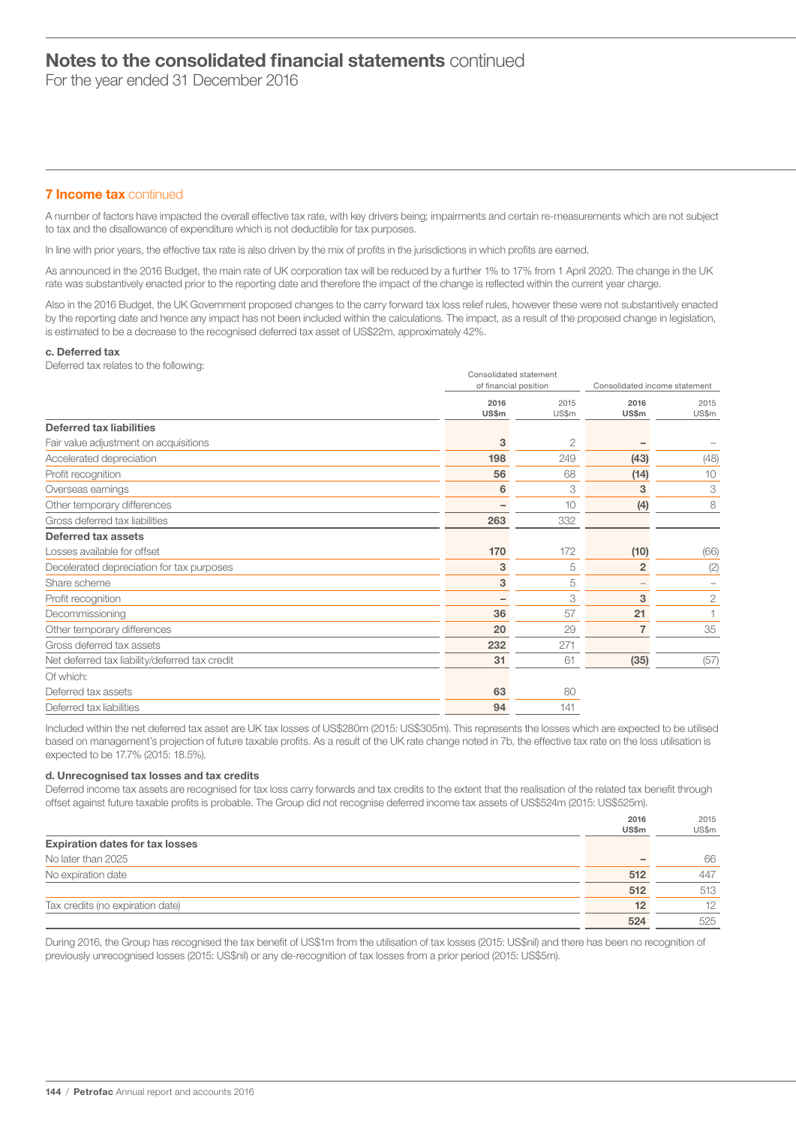For the year ended 31 December 2016

# **7 Income tax continued**

A number of factors have impacted the overall effective tax rate, with key drivers being; impairments and certain re-measurements which are not subject to tax and the disallowance of expenditure which is not deductible for tax purposes.

In line with prior years, the effective tax rate is also driven by the mix of profits in the jurisdictions in which profits are earned.

As announced in the 2016 Budget, the main rate of UK corporation tax will be reduced by a further 1% to 17% from 1 April 2020. The change in the UK rate was substantively enacted prior to the reporting date and therefore the impact of the change is reflected within the current year charge.

Also in the 2016 Budget, the UK Government proposed changes to the carry forward tax loss relief rules, however these were not substantively enacted by the reporting date and hence any impact has not been included within the calculations. The impact, as a result of the proposed change in legislation, is estimated to be a decrease to the recognised deferred tax asset of US\$22m, approximately 42%.

### c. Deferred tax

Deferred tax relates to the following:

| of financial position |                | Consolidated income statement   |              |
|-----------------------|----------------|---------------------------------|--------------|
| 2016                  | 2015           | 2016                            | 2015         |
|                       |                |                                 | US\$m        |
|                       |                |                                 |              |
| 3                     | $\overline{c}$ |                                 |              |
| 198                   | 249            | (43)                            | (48)         |
| 56                    | 68             | (14)                            | 10           |
| 6                     | 3              | 3                               | 3            |
|                       | 10             | (4)                             | 8            |
| 263                   | 332            |                                 |              |
|                       |                |                                 |              |
| 170                   | 172            | (10)                            | (66)         |
| 3                     | 5              | $\overline{2}$                  | (2)          |
| 3                     | 5              | $-$                             |              |
|                       | 3              | 3                               | $\mathbf{2}$ |
| 36                    | 57             | 21                              |              |
| 20                    | 29             | 7                               | 35           |
| 232                   | 271            |                                 |              |
| 31                    | 61             | (35)                            | (57)         |
|                       |                |                                 |              |
| 63                    | 80             |                                 |              |
| 94                    | 141            |                                 |              |
|                       | US\$m          | Consolidated statement<br>US\$m | US\$m        |

Included within the net deferred tax asset are UK tax losses of US\$280m (2015: US\$305m). This represents the losses which are expected to be utilised based on management's projection of future taxable profits. As a result of the UK rate change noted in 7b, the effective tax rate on the loss utilisation is expected to be 17.7% (2015: 18.5%).

### d. Unrecognised tax losses and tax credits

Deferred income tax assets are recognised for tax loss carry forwards and tax credits to the extent that the realisation of the related tax benefit through offset against future taxable profits is probable. The Group did not recognise deferred income tax assets of US\$524m (2015: US\$525m).

|                                        | 2016  | 2015  |
|----------------------------------------|-------|-------|
|                                        | US\$m | US\$m |
| <b>Expiration dates for tax losses</b> |       |       |
| No later than 2025                     |       | 66    |
| No expiration date                     | 512   | 447   |
|                                        | 512   | 513   |
| Tax credits (no expiration date)       | 12    | 12    |
|                                        | 524   | 525   |

During 2016, the Group has recognised the tax benefit of US\$1m from the utilisation of tax losses (2015; US\$nil) and there has been no recognition of previously unrecognised losses (2015: US\$nil) or any de-recognition of tax losses from a prior period (2015: US\$5m).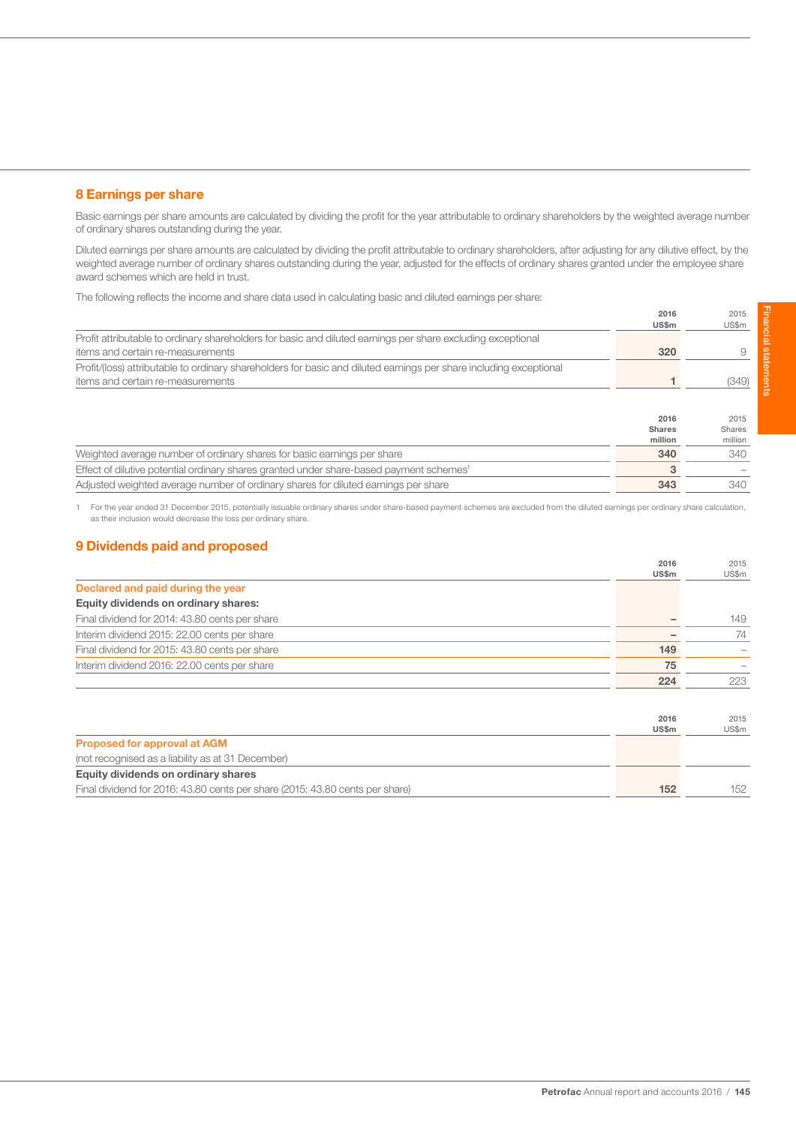# 8 Earnings per share

Basic earnings per share amounts are calculated by dividing the profit for the year attributable to ordinary shareholders by the weighted average number of ordinary shares outstanding during the year.

Diluted earnings per share amounts are calculated by dividing the profit attributable to ordinary shareholders, after adjusting for any dilutive effect, by the weighted average number of ordinary shares outstanding during the year, adjusted for the effects of ordinary shares granted under the employee share award schemes which are held in trust.

The following reflects the income and share data used in calculating basic and diluted earnings per share:

|                                                                                                                    | 2016<br><b>US\$m</b> | 2015<br>US\$m |
|--------------------------------------------------------------------------------------------------------------------|----------------------|---------------|
| Profit attributable to ordinary shareholders for basic and diluted earnings per share excluding exceptional        |                      |               |
| items and certain re-measurements                                                                                  | 320                  |               |
| Profit/(loss) attributable to ordinary shareholders for basic and diluted earnings per share including exceptional |                      |               |
| items and certain re-measurements                                                                                  |                      | (349)         |

|                                                                                                     | 2016<br><b>Shares</b><br>million | 2015<br>Shares<br>million |
|-----------------------------------------------------------------------------------------------------|----------------------------------|---------------------------|
| Weighted average number of ordinary shares for basic earnings per share                             | 340                              | 340                       |
| Effect of dilutive potential ordinary shares granted under share-based payment schemes <sup>1</sup> |                                  |                           |
| Adjusted weighted average number of ordinary shares for diluted earnings per share                  | 343                              | 340.                      |

1 For the year ended 31 December 2015, potentially issuable ordinary shares under share-based payment schemes are excluded from the diluted earnings per ordinary share calculation, as their inclusion would decrease the loss per ordinary share.

# 9 Dividends paid and proposed

|                                                | 2016  | 2015  |
|------------------------------------------------|-------|-------|
|                                                | US\$m | US\$m |
| Declared and paid during the year              |       |       |
| Equity dividends on ordinary shares:           |       |       |
| Final dividend for 2014: 43.80 cents per share |       | 149   |
| Interim dividend 2015: 22.00 cents per share   |       | 74    |
| Final dividend for 2015: 43.80 cents per share | 149   |       |
| Interim dividend 2016: 22.00 cents per share   | 75    |       |
|                                                | 224   | 223   |

|                                                                              | 2016<br><b>US\$m</b> | 2015<br>US\$m |
|------------------------------------------------------------------------------|----------------------|---------------|
| <b>Proposed for approval at AGM</b>                                          |                      |               |
| (not recognised as a liability as at 31 December)                            |                      |               |
| Equity dividends on ordinary shares                                          |                      |               |
| Final dividend for 2016: 43.80 cents per share (2015: 43.80 cents per share) | 152                  | 152           |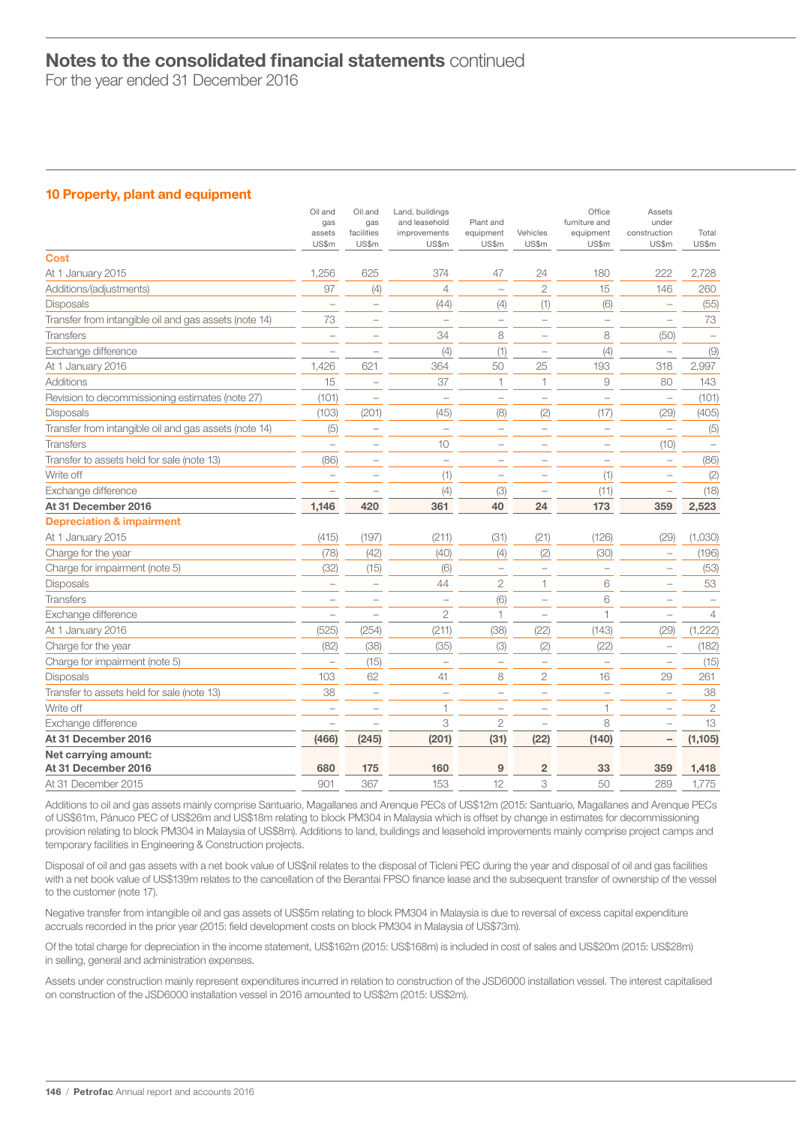For the year ended 31 December 2016

# 10 Property, plant and equipment

|                                                       | Oil and<br>gas<br>assets<br>US\$m | Oil and<br>gas<br>facilities<br>US\$m | Land, buildings<br>and leasehold<br>improvements<br>US\$m | Plant and<br>equipment<br>US\$m | Vehicles<br>US\$m        | Office<br>furniture and<br>equipment<br>US\$m | Assets<br>under<br>construction<br>US\$m | Total<br>US\$m |
|-------------------------------------------------------|-----------------------------------|---------------------------------------|-----------------------------------------------------------|---------------------------------|--------------------------|-----------------------------------------------|------------------------------------------|----------------|
| <b>Cost</b>                                           |                                   |                                       |                                                           |                                 |                          |                                               |                                          |                |
| At 1 January 2015                                     | 1,256                             | 625                                   | 374                                                       | 47                              | 24                       | 180                                           | 222                                      | 2,728          |
| Additions/(adjustments)                               | 97                                | (4)                                   | $\overline{4}$                                            | $\equiv$                        | $\overline{2}$           | 15                                            | 146                                      | 260            |
| Disposals                                             | ÷.                                | $\overline{\phantom{0}}$              | (44)                                                      | (4)                             | (1)                      | (6)                                           | $\overline{\phantom{0}}$                 | (55)           |
| Transfer from intangible oil and gas assets (note 14) | 73                                | ۰                                     | $\overline{\phantom{0}}$                                  | $\overline{\phantom{0}}$        | $\overline{\phantom{a}}$ | $\overline{\phantom{0}}$                      | $\sim$                                   | 73             |
| <b>Transfers</b>                                      | L.                                | L.                                    | 34                                                        | 8                               | $\overline{\phantom{a}}$ | 8                                             | (50)                                     |                |
| Exchange difference                                   |                                   |                                       | (4)                                                       | (1)                             | $\overline{\phantom{a}}$ | (4)                                           | $\overline{\phantom{0}}$                 | (9)            |
| At 1 January 2016                                     | 1,426                             | 621                                   | 364                                                       | 50                              | 25                       | 193                                           | 318                                      | 2,997          |
| Additions                                             | 15                                |                                       | 37                                                        | 1                               | 1                        | 9                                             | 80                                       | 143            |
| Revision to decommissioning estimates (note 27)       | (101)                             | $\overline{\phantom{0}}$              | $\overline{\phantom{0}}$                                  | $\overline{\phantom{0}}$        | $\overline{\phantom{0}}$ |                                               | $\overline{\phantom{0}}$                 | (101)          |
| <b>Disposals</b>                                      | (103)                             | (201)                                 | (45)                                                      | (8)                             | (2)                      | (17)                                          | (29)                                     | (405)          |
| Transfer from intangible oil and gas assets (note 14) | (5)                               | $\overline{\phantom{0}}$              | $\overline{\phantom{0}}$                                  | $\qquad \qquad -$               | $\overline{\phantom{0}}$ | $\qquad \qquad -$                             | $\hspace{1.0cm} - \hspace{1.0cm}$        | (5)            |
| <b>Transfers</b>                                      | $\overline{\phantom{0}}$          | $\overline{\phantom{0}}$              | 10                                                        | $\overline{\phantom{0}}$        | $\overline{\phantom{0}}$ | $\overline{\phantom{0}}$                      | (10)                                     |                |
| Transfer to assets held for sale (note 13)            | (86)                              | $\qquad \qquad -$                     | $\overline{\phantom{0}}$                                  | $\overline{\phantom{0}}$        |                          | $\qquad \qquad -$                             | $\overline{\phantom{0}}$                 | (86)           |
| Write off                                             | $\overline{\phantom{0}}$          | $\overline{\phantom{0}}$              | (1)                                                       | $\overline{\phantom{a}}$        |                          | (1)                                           | $\overline{\phantom{0}}$                 | (2)            |
| Exchange difference                                   |                                   |                                       | (4)                                                       | (3)                             | $\qquad \qquad -$        | (11)                                          | $\overline{\phantom{a}}$                 | (18)           |
| At 31 December 2016                                   | 1,146                             | 420                                   | 361                                                       | 40                              | 24                       | 173                                           | 359                                      | 2,523          |
| <b>Depreciation &amp; impairment</b>                  |                                   |                                       |                                                           |                                 |                          |                                               |                                          |                |
| At 1 January 2015                                     | (415)                             | (197)                                 | (211)                                                     | (31)                            | (21)                     | (126)                                         | (29)                                     | (1,030)        |
| Charge for the year                                   | (78)                              | (42)                                  | (40)                                                      | (4)                             | (2)                      | (30)                                          | $\overline{\phantom{0}}$                 | (196)          |
| Charge for impairment (note 5)                        | (32)                              | (15)                                  | (6)                                                       | $\overline{\phantom{0}}$        | $\overline{\phantom{0}}$ | $\overline{\phantom{0}}$                      | $\overline{\phantom{0}}$                 | (53)           |
| <b>Disposals</b>                                      | $\overline{\phantom{0}}$          | $\overline{\phantom{0}}$              | 44                                                        | $\mathbf{2}$                    | 1                        | 6                                             | $\overline{\phantom{0}}$                 | 53             |
| <b>Transfers</b>                                      | ÷                                 | $\overline{\phantom{0}}$              | $\overline{\phantom{0}}$                                  | (6)                             |                          | 6                                             | L.                                       |                |
| Exchange difference                                   |                                   | -                                     | $\mathfrak 2$                                             | 1                               | $\qquad \qquad -$        | 1                                             | $\overline{\phantom{a}}$                 | $\overline{4}$ |
| At 1 January 2016                                     | (525)                             | (254)                                 | (211)                                                     | (38)                            | (22)                     | (143)                                         | (29)                                     | (1, 222)       |
| Charge for the year                                   | (82)                              | (38)                                  | (35)                                                      | (3)                             | (2)                      | (22)                                          | $\overline{\phantom{0}}$                 | (182)          |
| Charge for impairment (note 5)                        |                                   | (15)                                  | $\overline{\phantom{0}}$                                  | $\overline{\phantom{0}}$        | $\overline{\phantom{0}}$ | ÷                                             | $\overline{\phantom{a}}$                 | (15)           |
| Disposals                                             | 103                               | 62                                    | 41                                                        | 8                               | $\overline{2}$           | 16                                            | 29                                       | 261            |
| Transfer to assets held for sale (note 13)            | 38                                | $\overline{\phantom{0}}$              | ÷,                                                        | $\overline{\phantom{0}}$        |                          | $\overline{\phantom{0}}$                      |                                          | 38             |
| Write off                                             |                                   | ÷                                     | 1                                                         | $\overline{\phantom{0}}$        |                          | 1                                             |                                          | $\mathbf{2}$   |
| Exchange difference                                   |                                   |                                       | 3                                                         | $\overline{2}$                  |                          | 8                                             |                                          | 13             |
| At 31 December 2016                                   | (466)                             | (245)                                 | (201)                                                     | (31)                            | (22)                     | (140)                                         | $\qquad \qquad -$                        | (1, 105)       |
| Net carrying amount:                                  |                                   |                                       |                                                           |                                 |                          |                                               |                                          |                |
| At 31 December 2016                                   | 680                               | 175                                   | 160                                                       | 9                               | $\overline{2}$           | 33                                            | 359                                      | 1,418          |
| At 31 December 2015                                   | 901                               | 367                                   | 153                                                       | 12                              | 3                        | 50                                            | 289                                      | 1,775          |

Additions to oil and gas assets mainly comprise Santuario, Magallanes and Arenque PECs of US\$12m (2015: Santuario, Magallanes and Arenque PECs of US\$61m, Pánuco PEC of US\$26m and US\$18m relating to block PM304 in Malaysia which is offset by change in estimates for decommissioning provision relating to block PM304 in Malaysia of US\$8m). Additions to land, buildings and leasehold improvements mainly comprise project camps and temporary facilities in Engineering & Construction projects.

Disposal of oil and gas assets with a net book value of US\$nil relates to the disposal of Ticleni PEC during the year and disposal of oil and gas facilities with a net book value of US\$139m relates to the cancellation of the Berantai FPSO finance lease and the subsequent transfer of ownership of the vessel to the customer (note 17).

Negative transfer from intangible oil and gas assets of US\$5m relating to block PM304 in Malaysia is due to reversal of excess capital expenditure accruals recorded in the prior year (2015: field development costs on block PM304 in Malaysia of US\$73m).

Of the total charge for depreciation in the income statement, US\$162m (2015: US\$168m) is included in cost of sales and US\$20m (2015: US\$28m) in selling, general and administration expenses.

Assets under construction mainly represent expenditures incurred in relation to construction of the JSD6000 installation vessel. The interest capitalised on construction of the JSD6000 installation vessel in 2016 amounted to US\$2m (2015: US\$2m).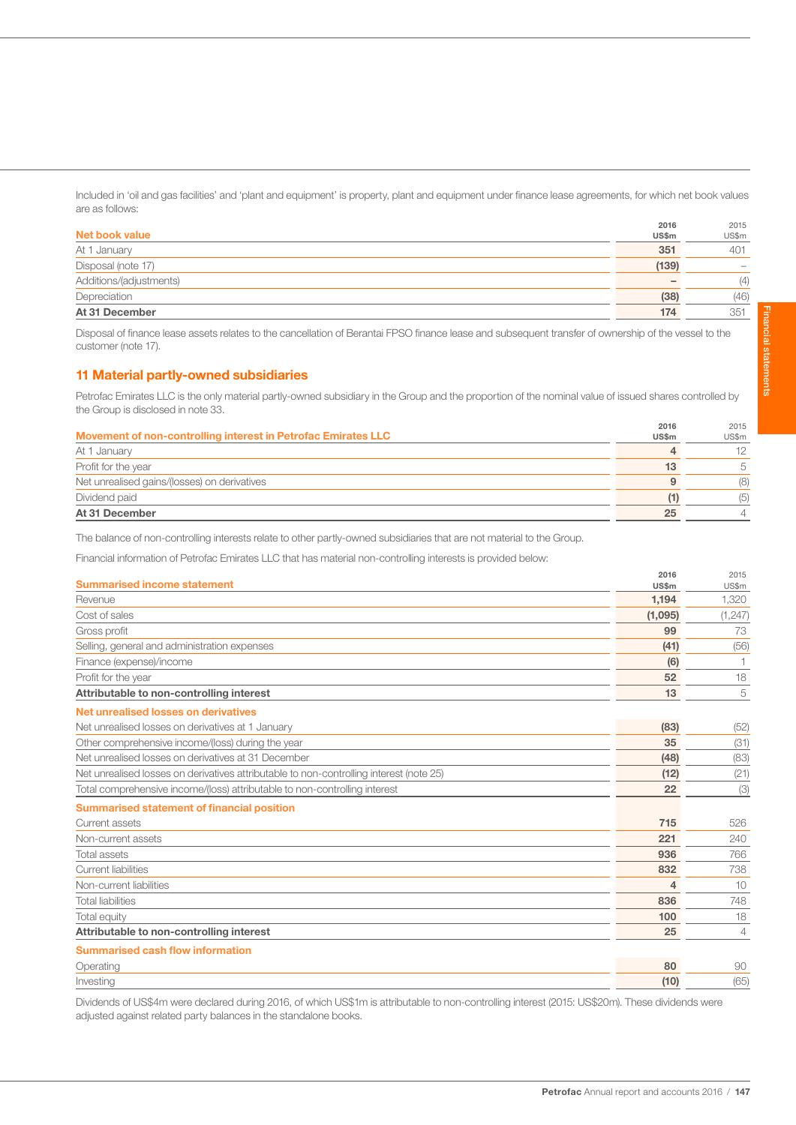Included in 'oil and gas facilities' and 'plant and equipment' is property, plant and equipment under finance lease agreements, for which net book values are as follows:

|                         | 2016  | 2015  |
|-------------------------|-------|-------|
| Net book value          | US\$m | US\$m |
| At 1 January            | 351   | 401   |
| Disposal (note 17)      | (139) |       |
| Additions/(adjustments) |       | (4)   |
| Depreciation            | (38)  | (46)  |
| At 31 December          | 174   | 351   |

Disposal of finance lease assets relates to the cancellation of Berantai FPSO finance lease and subsequent transfer of ownership of the vessel to the customer (note 17).

# 11 Material partly-owned subsidiaries

Petrofac Emirates LLC is the only material partly-owned subsidiary in the Group and the proportion of the nominal value of issued shares controlled by the Group is disclosed in note 33.

|                                                               | 2016         | 2015           |
|---------------------------------------------------------------|--------------|----------------|
| Movement of non-controlling interest in Petrofac Emirates LLC | <b>US\$m</b> | US\$m          |
| At 1 January                                                  | 4            | 12             |
| Profit for the year                                           | 13           | 5              |
| Net unrealised gains/(losses) on derivatives                  | 9            | (8)            |
| Dividend paid                                                 | 11           | (5)            |
| At 31 December                                                | 25           | $\overline{4}$ |

The balance of non-controlling interests relate to other partly-owned subsidiaries that are not material to the Group.

Financial information of Petrofac Emirates LLC that has material non-controlling interests is provided below:

| <b>Summarised income statement</b>                                                      | 2016<br>US\$m | 2015<br>US\$m |
|-----------------------------------------------------------------------------------------|---------------|---------------|
| Revenue                                                                                 | 1,194         | 1,320         |
| Cost of sales                                                                           | (1,095)       | (1, 247)      |
| Gross profit                                                                            | 99            | 73            |
| Selling, general and administration expenses                                            | (41)          | (56)          |
| Finance (expense)/income                                                                | (6)           |               |
| Profit for the year                                                                     | 52            | 18            |
| Attributable to non-controlling interest                                                | 13            | 5             |
| Net unrealised losses on derivatives                                                    |               |               |
| Net unrealised losses on derivatives at 1 January                                       | (83)          | (52)          |
| Other comprehensive income/(loss) during the year                                       | 35            | (31)          |
| Net unrealised losses on derivatives at 31 December                                     | (48)          | (83)          |
| Net unrealised losses on derivatives attributable to non-controlling interest (note 25) | (12)          | (21)          |
| Total comprehensive income/(loss) attributable to non-controlling interest              | 22            | (3)           |
| <b>Summarised statement of financial position</b>                                       |               |               |
| Current assets                                                                          | 715           | 526           |
| Non-current assets                                                                      | 221           | 240           |
| Total assets                                                                            | 936           | 766           |
| <b>Current liabilities</b>                                                              | 832           | 738           |
| Non-current liabilities                                                                 | 4             | 10            |
| <b>Total liabilities</b>                                                                | 836           | 748           |
| <b>Total equity</b>                                                                     | 100           | 18            |
| Attributable to non-controlling interest                                                | 25            | 4             |
| <b>Summarised cash flow information</b>                                                 |               |               |
| Operating                                                                               | 80            | 90            |
| Investing                                                                               | (10)          | (65)          |

Dividends of US\$4m were declared during 2016, of which US\$1m is attributable to non-controlling interest (2015: US\$20m). These dividends were adjusted against related party balances in the standalone books.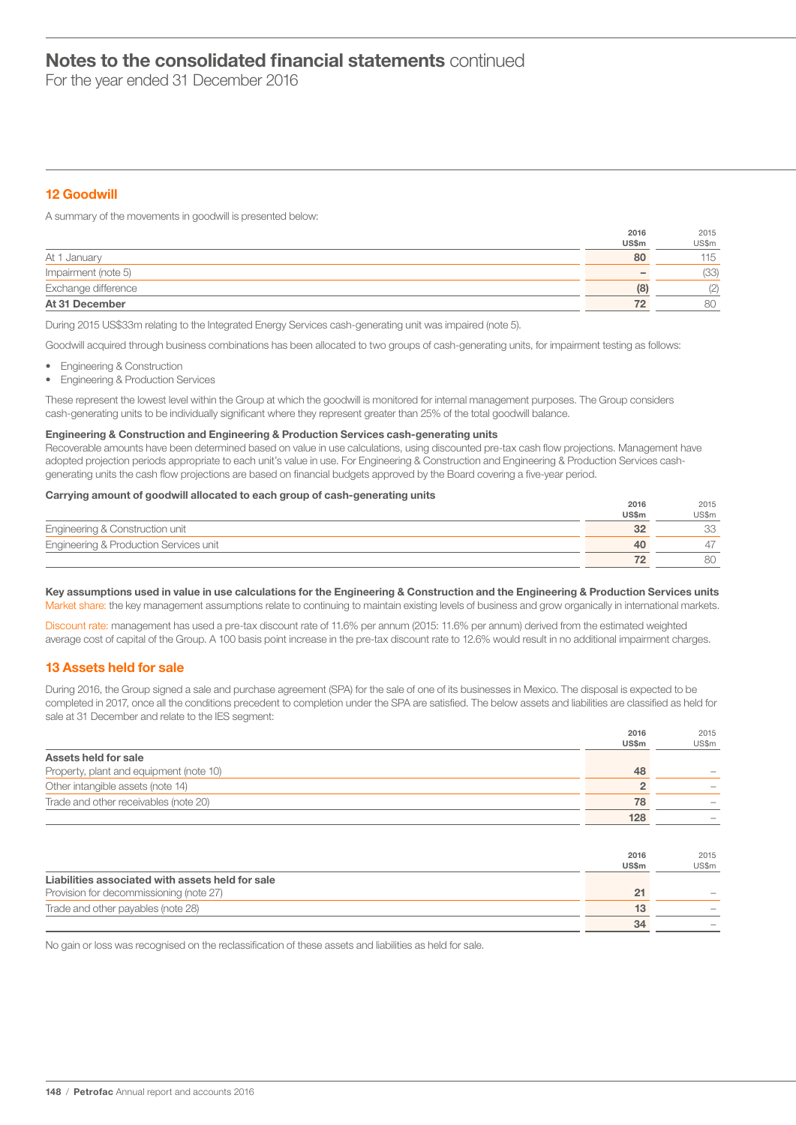For the year ended 31 December 2016

# 12 Goodwill

A summary of the movements in goodwill is presented below:

|                     | <b>US\$m</b>             | US\$m |
|---------------------|--------------------------|-------|
| At 1 January        | 80                       | 115   |
| Impairment (note 5) | $\overline{\phantom{0}}$ | (33)  |
| Exchange difference | (8)                      | (2)   |
| At 31 December      | 72                       | 80    |

During 2015 US\$33m relating to the Integrated Energy Services cash-generating unit was impaired (note 5).

Goodwill acquired through business combinations has been allocated to two groups of cash-generating units, for impairment testing as follows:

- Engineering & Construction
- Engineering & Production Services

These represent the lowest level within the Group at which the goodwill is monitored for internal management purposes. The Group considers cash-generating units to be individually significant where they represent greater than 25% of the total goodwill balance.

# Engineering & Construction and Engineering & Production Services cash-generating units

Recoverable amounts have been determined based on value in use calculations, using discounted pre-tax cash flow projections. Management have adopted projection periods appropriate to each unit's value in use. For Engineering & Construction and Engineering & Production Services cashgenerating units the cash flow projections are based on financial budgets approved by the Board covering a five-year period.

# Carrying amount of goodwill allocated to each group of cash-generating units 2016

|                                        | ----  | ----  |
|----------------------------------------|-------|-------|
|                                        | US\$m | US\$m |
| Engineering & Construction unit        |       | UU    |
| Engineering & Production Services unit | Δſ    |       |
|                                        |       | 80    |

 $2015$ 

### Key assumptions used in value in use calculations for the Engineering & Construction and the Engineering & Production Services units Market share: the key management assumptions relate to continuing to maintain existing levels of business and grow organically in international markets.

Discount rate: management has used a pre-tax discount rate of 11.6% per annum (2015: 11.6% per annum) derived from the estimated weighted average cost of capital of the Group. A 100 basis point increase in the pre-tax discount rate to 12.6% would result in no additional impairment charges.

# 13 Assets held for sale

During 2016, the Group signed a sale and purchase agreement (SPA) for the sale of one of its businesses in Mexico. The disposal is expected to be completed in 2017, once all the conditions precedent to completion under the SPA are satisfied. The below assets and liabilities are classified as held for sale at 31 December and relate to the IES segment:

|                                                  | 2016<br>US\$m  | 2015<br>US\$m |
|--------------------------------------------------|----------------|---------------|
| Assets held for sale                             |                |               |
| Property, plant and equipment (note 10)          | 48             |               |
| Other intangible assets (note 14)                | $\overline{2}$ |               |
| Trade and other receivables (note 20)            | 78             |               |
|                                                  | 128            |               |
|                                                  |                |               |
|                                                  | 2016<br>US\$m  | 2015<br>US\$m |
| Liabilities associated with assets held for sale |                |               |
| Provision for decommissioning (note 27)          | 21             |               |
| Trade and other payables (note 28)               | 13             |               |
|                                                  | 34             |               |

No gain or loss was recognised on the reclassification of these assets and liabilities as held for sale.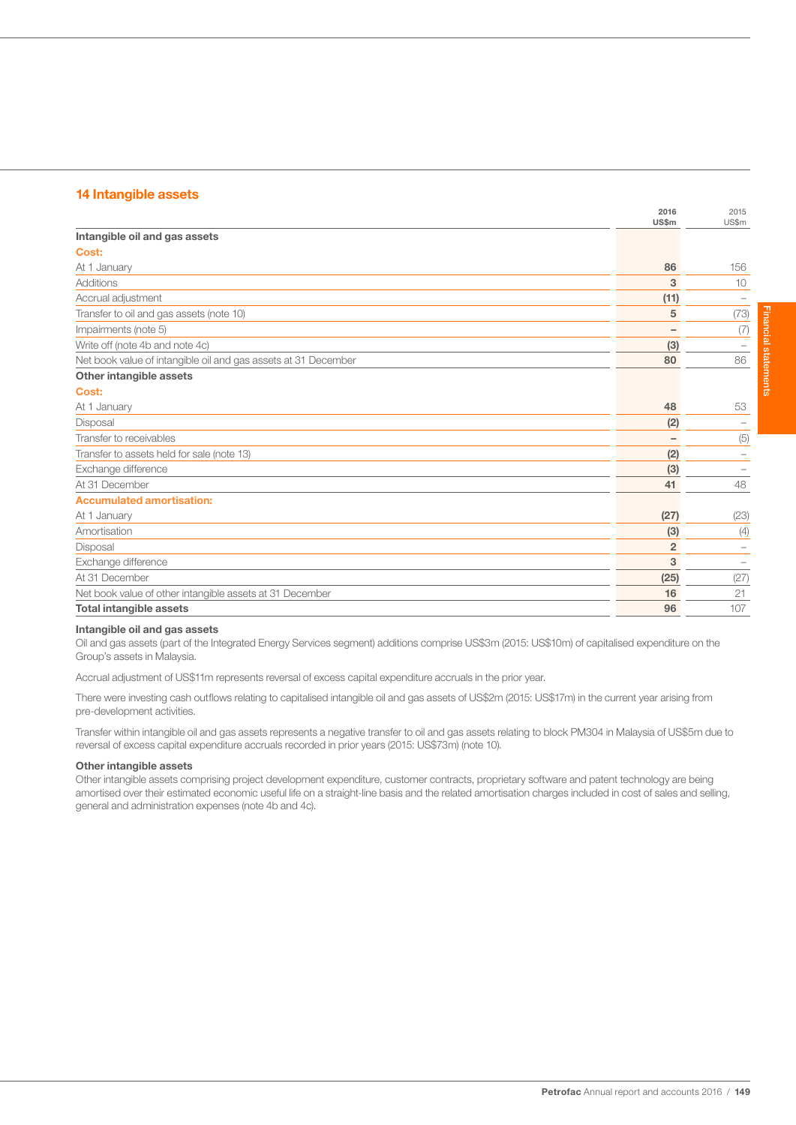# 14 Intangible assets

|                                                                | 2016<br><b>US\$m</b>     | 2015<br>US\$m |
|----------------------------------------------------------------|--------------------------|---------------|
| Intangible oil and gas assets                                  |                          |               |
| Cost:                                                          |                          |               |
| At 1 January                                                   | 86                       | 156           |
| Additions                                                      | 3                        | 10            |
| Accrual adjustment                                             | (11)                     |               |
| Transfer to oil and gas assets (note 10)                       | 5                        | (73)          |
| Impairments (note 5)                                           | $\overline{\phantom{0}}$ | (7)           |
| Write off (note 4b and note 4c)                                | (3)                      |               |
| Net book value of intangible oil and gas assets at 31 December | 80                       | 86            |
| Other intangible assets                                        |                          |               |
| Cost:                                                          |                          |               |
| At 1 January                                                   | 48                       | 53            |
| Disposal                                                       | (2)                      |               |
| Transfer to receivables                                        |                          | (5)           |
| Transfer to assets held for sale (note 13)                     | (2)                      |               |
| Exchange difference                                            | (3)                      |               |
| At 31 December                                                 | 41                       | 48            |
| <b>Accumulated amortisation:</b>                               |                          |               |
| At 1 January                                                   | (27)                     | (23)          |
| Amortisation                                                   | (3)                      | (4)           |
| Disposal                                                       | $\overline{2}$           |               |
| Exchange difference                                            | 3                        |               |
| At 31 December                                                 | (25)                     | (27)          |
| Net book value of other intangible assets at 31 December       | 16                       | 21            |
| <b>Total intangible assets</b>                                 | 96                       | 107           |

### Intangible oil and gas assets

Oil and gas assets (part of the Integrated Energy Services segment) additions comprise US\$3m (2015: US\$10m) of capitalised expenditure on the Group's assets in Malaysia.

Accrual adjustment of US\$11m represents reversal of excess capital expenditure accruals in the prior year.

There were investing cash outflows relating to capitalised intangible oil and gas assets of US\$2m (2015: US\$17m) in the current year arising from pre-development activities.

Transfer within intangible oil and gas assets represents a negative transfer to oil and gas assets relating to block PM304 in Malaysia of US\$5m due to reversal of excess capital expenditure accruals recorded in prior years (2015: US\$73m) (note 10).

### Other intangible assets

Other intangible assets comprising project development expenditure, customer contracts, proprietary software and patent technology are being amortised over their estimated economic useful life on a straight-line basis and the related amortisation charges included in cost of sales and selling, general and administration expenses (note 4b and 4c).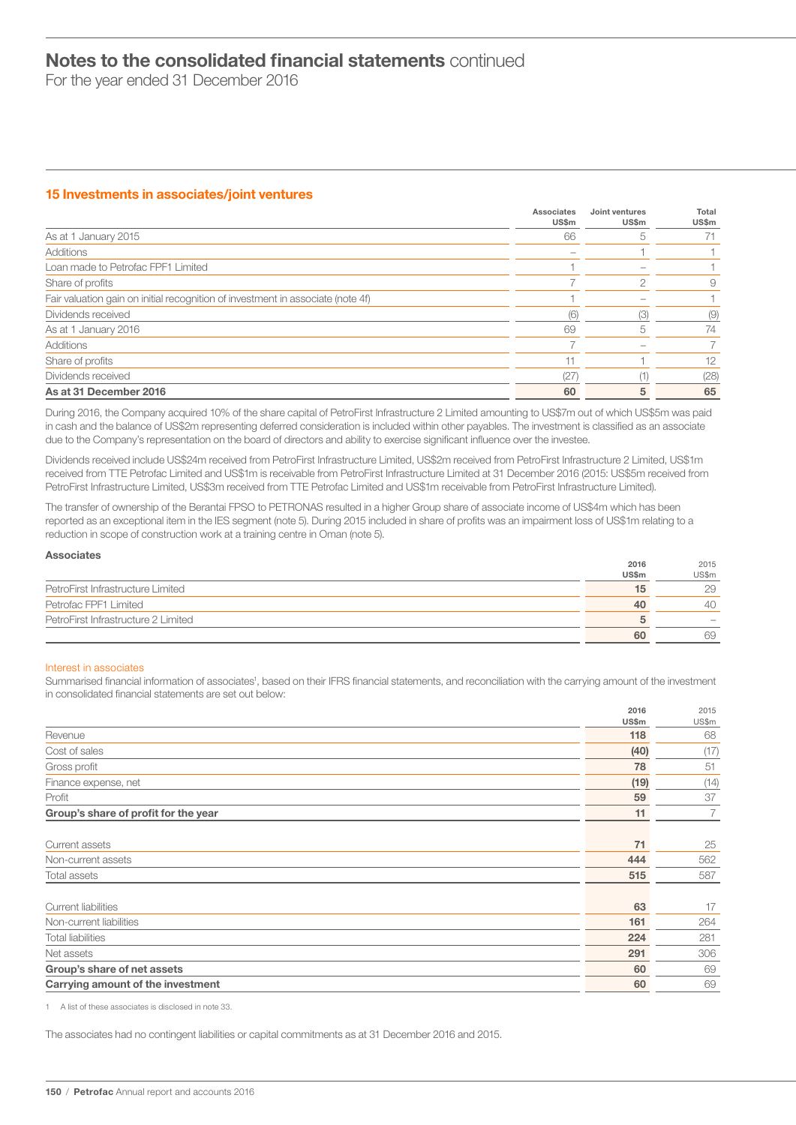For the year ended 31 December 2016

# 15 Investments in associates/joint ventures

|                                                                                 | Associates<br>US\$m | Joint ventures<br>US\$m | Total<br>US\$m |
|---------------------------------------------------------------------------------|---------------------|-------------------------|----------------|
| As at 1 January 2015                                                            | 66                  |                         |                |
| Additions                                                                       |                     |                         |                |
| Loan made to Petrofac FPF1 Limited                                              |                     |                         |                |
| Share of profits                                                                |                     | ∩                       | 9              |
| Fair valuation gain on initial recognition of investment in associate (note 4f) |                     |                         |                |
| Dividends received                                                              | (6)                 | (3)                     | (9)            |
| As at 1 January 2016                                                            | 69                  | h                       | 74             |
| Additions                                                                       |                     |                         |                |
| Share of profits                                                                |                     |                         | 12             |
| Dividends received                                                              | (27)                |                         | (28)           |
| As at 31 December 2016                                                          | 60                  | 5                       | 65             |

During 2016, the Company acquired 10% of the share capital of PetroFirst Infrastructure 2 Limited amounting to US\$7m out of which US\$5m was paid in cash and the balance of US\$2m representing deferred consideration is included within other payables. The investment is classified as an associate due to the Company's representation on the board of directors and ability to exercise significant influence over the investee.

Dividends received include US\$24m received from PetroFirst Infrastructure Limited, US\$2m received from PetroFirst Infrastructure 2 Limited, US\$1m received from TTE Petrofac Limited and US\$1m is receivable from PetroFirst Infrastructure Limited at 31 December 2016 (2015: US\$5m received from PetroFirst Infrastructure Limited, US\$3m received from TTE Petrofac Limited and US\$1m receivable from PetroFirst Infrastructure Limited).

The transfer of ownership of the Berantai FPSO to PETRONAS resulted in a higher Group share of associate income of US\$4m which has been reported as an exceptional item in the IES segment (note 5). During 2015 included in share of profits was an impairment loss of US\$1m relating to a reduction in scope of construction work at a training centre in Oman (note 5).

| <b>Associates</b>                   |       |                          |
|-------------------------------------|-------|--------------------------|
|                                     | 2016  | 2015                     |
|                                     | US\$m | US\$m                    |
| PetroFirst Infrastructure Limited   | 15    | 29                       |
| Petrofac FPF1 Limited               | 40    | 40                       |
| PetroFirst Infrastructure 2 Limited | h     | $\overline{\phantom{a}}$ |
|                                     | 60    | 69                       |

### Interest in associates

Summarised financial information of associates<sup>1</sup>, based on their IFRS financial statements, and reconciliation with the carrying amount of the investment in consolidated financial statements are set out below:

|                                      | 2016<br>US\$m | 2015<br>US\$m  |
|--------------------------------------|---------------|----------------|
| Revenue                              | 118           | 68             |
| Cost of sales                        | (40)          | (17)           |
| Gross profit                         | 78            | 51             |
| Finance expense, net                 | (19)          | (14)           |
| Profit                               | 59            | 37             |
| Group's share of profit for the year | 11            | $\overline{7}$ |
| Current assets                       | 71            | 25             |
| Non-current assets                   | 444           | 562            |
| Total assets                         | 515           | 587            |
| <b>Current liabilities</b>           | 63            | 17             |
| Non-current liabilities              | 161           | 264            |
| <b>Total liabilities</b>             | 224           | 281            |
| Net assets                           | 291           | 306            |
| Group's share of net assets          | 60            | 69             |
| Carrying amount of the investment    | 60            | 69             |

1 A list of these associates is disclosed in note 33.

The associates had no contingent liabilities or capital commitments as at 31 December 2016 and 2015.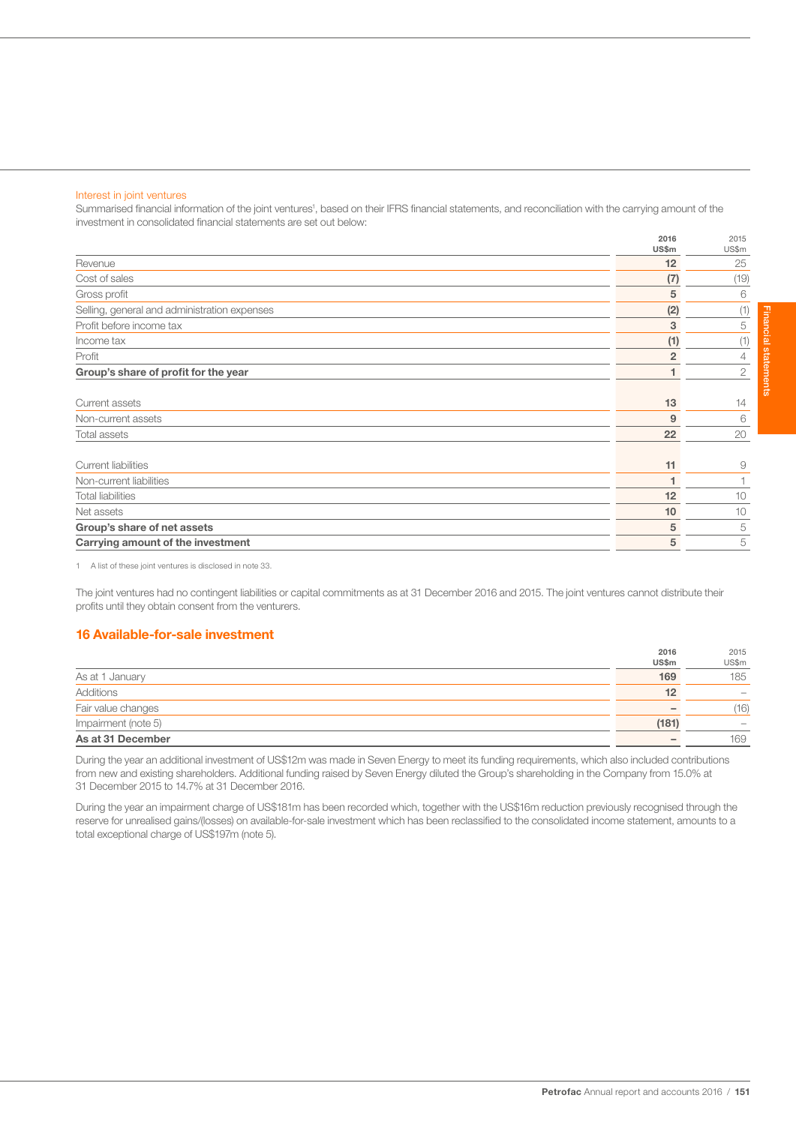### Interest in joint ventures

Summarised financial information of the joint ventures<sup>1</sup>, based on their IFRS financial statements, and reconciliation with the carrying amount of the investment in consolidated financial statements are set out below:

|                                              | 2016<br>US\$m  | 2015<br>US\$m  |
|----------------------------------------------|----------------|----------------|
| Revenue                                      | 12             | 25             |
| Cost of sales                                | (7)            | (19)           |
| Gross profit                                 | 5              | 6              |
| Selling, general and administration expenses | (2)            | (1)            |
| Profit before income tax                     | 3              | 5              |
| Income tax                                   | (1)            | (1)            |
| Profit                                       | $\overline{2}$ | $\overline{4}$ |
| Group's share of profit for the year         |                | 2              |
|                                              |                |                |
| Current assets                               | 13             | 14             |
| Non-current assets                           | 9              | 6              |
| <b>Total assets</b>                          | 22             | 20             |
|                                              |                |                |
| <b>Current liabilities</b>                   | 11             | 9              |
| Non-current liabilities                      | 1              |                |
| <b>Total liabilities</b>                     | 12             | 10             |
| Net assets                                   | 10             | 10             |
| Group's share of net assets                  | 5              | 5              |
| Carrying amount of the investment            | 5              | 5              |

1 A list of these joint ventures is disclosed in note 33.

The joint ventures had no contingent liabilities or capital commitments as at 31 December 2016 and 2015. The joint ventures cannot distribute their profits until they obtain consent from the venturers.

# 16 Available-for-sale investment

|                     | 2016                     | 2015                     |
|---------------------|--------------------------|--------------------------|
|                     | US\$m                    | US\$m                    |
| As at 1 January     | 169                      | 185                      |
| Additions           | 12                       | $\overline{\phantom{a}}$ |
| Fair value changes  | $\overline{\phantom{a}}$ | (16)                     |
| Impairment (note 5) | (181)                    | $\overline{\phantom{a}}$ |
| As at 31 December   | $\overline{\phantom{a}}$ | 169                      |

During the year an additional investment of US\$12m was made in Seven Energy to meet its funding requirements, which also included contributions from new and existing shareholders. Additional funding raised by Seven Energy diluted the Group's shareholding in the Company from 15.0% at 31 December 2015 to 14.7% at 31 December 2016.

During the year an impairment charge of US\$181m has been recorded which, together with the US\$16m reduction previously recognised through the reserve for unrealised gains/(losses) on available-for-sale investment which has been reclassified to the consolidated income statement, amounts to a total exceptional charge of US\$197m (note 5).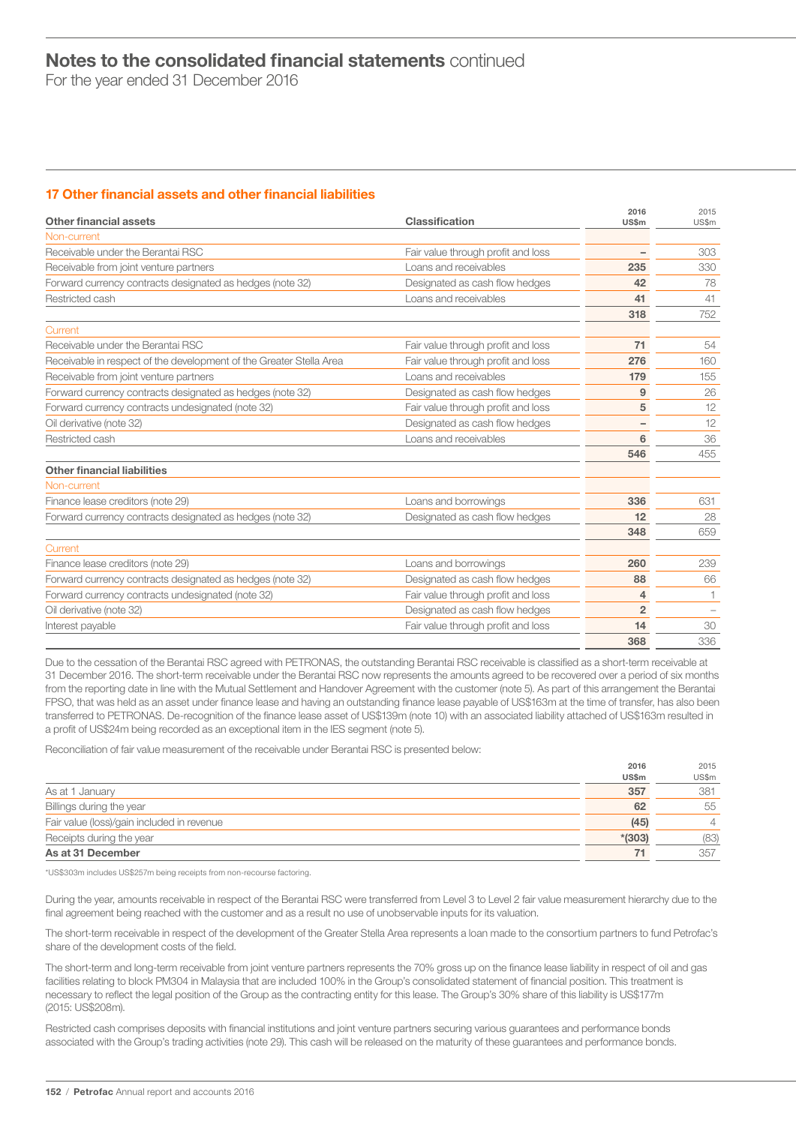For the year ended 31 December 2016

# 17 Other financial assets and other financial liabilities

| Other financial assets                                              | Classification                     | 2016<br><b>US\$m</b> | 2015<br>US\$m |
|---------------------------------------------------------------------|------------------------------------|----------------------|---------------|
| Non-current                                                         |                                    |                      |               |
| Receivable under the Berantai RSC                                   | Fair value through profit and loss |                      | 303           |
| Receivable from joint venture partners                              | Loans and receivables              | 235                  | 330           |
| Forward currency contracts designated as hedges (note 32)           | Designated as cash flow hedges     | 42                   | 78            |
| Restricted cash                                                     | Loans and receivables              | 41                   | 41            |
|                                                                     |                                    | 318                  | 752           |
| Current                                                             |                                    |                      |               |
| Receivable under the Berantai RSC                                   | Fair value through profit and loss | 71                   | 54            |
| Receivable in respect of the development of the Greater Stella Area | Fair value through profit and loss | 276                  | 160           |
| Receivable from joint venture partners                              | Loans and receivables              | 179                  | 155           |
| Forward currency contracts designated as hedges (note 32)           | Designated as cash flow hedges     | 9                    | 26            |
| Forward currency contracts undesignated (note 32)                   | Fair value through profit and loss | 5                    | 12            |
| Oil derivative (note 32)                                            | Designated as cash flow hedges     | -                    | 12            |
| Restricted cash                                                     | Loans and receivables              | $6\phantom{1}6$      | 36            |
|                                                                     |                                    | 546                  | 455           |
| <b>Other financial liabilities</b>                                  |                                    |                      |               |
| Non-current                                                         |                                    |                      |               |
| Finance lease creditors (note 29)                                   | Loans and borrowings               | 336                  | 631           |
| Forward currency contracts designated as hedges (note 32)           | Designated as cash flow hedges     | 12                   | 28            |
|                                                                     |                                    | 348                  | 659           |
| Current                                                             |                                    |                      |               |
| Finance lease creditors (note 29)                                   | Loans and borrowings               | 260                  | 239           |
| Forward currency contracts designated as hedges (note 32)           | Designated as cash flow hedges     | 88                   | 66            |
| Forward currency contracts undesignated (note 32)                   | Fair value through profit and loss | 4                    |               |
| Oil derivative (note 32)                                            | Designated as cash flow hedges     | $\overline{2}$       |               |
| Interest payable                                                    | Fair value through profit and loss | 14                   | 30            |
|                                                                     |                                    | 368                  | 336           |

Due to the cessation of the Berantai RSC agreed with PETRONAS, the outstanding Berantai RSC receivable is classified as a short-term receivable at 31 December 2016. The short-term receivable under the Berantai RSC now represents the amounts agreed to be recovered over a period of six months from the reporting date in line with the Mutual Settlement and Handover Agreement with the customer (note 5). As part of this arrangement the Berantai FPSO, that was held as an asset under finance lease and having an outstanding finance lease payable of US\$163m at the time of transfer, has also been transferred to PETRONAS. De-recognition of the finance lease asset of US\$139m (note 10) with an associated liability attached of US\$163m resulted in a profit of US\$24m being recorded as an exceptional item in the IES segment (note 5).

Reconciliation of fair value measurement of the receivable under Berantai RSC is presented below:

|                                            | 2016     | 2015           |
|--------------------------------------------|----------|----------------|
|                                            | US\$m    | US\$m          |
| As at 1 January                            | 357      | 381            |
| Billings during the year                   | 62       | 55             |
| Fair value (loss)/gain included in revenue | (45)     | $\overline{4}$ |
| Receipts during the year                   | $*(303)$ | (83)           |
| As at 31 December                          | 71       | 357            |

\*US\$303m includes US\$257m being receipts from non-recourse factoring.

During the year, amounts receivable in respect of the Berantai RSC were transferred from Level 3 to Level 2 fair value measurement hierarchy due to the final agreement being reached with the customer and as a result no use of unobservable inputs for its valuation.

The short-term receivable in respect of the development of the Greater Stella Area represents a loan made to the consortium partners to fund Petrofac's share of the development costs of the field.

The short-term and long-term receivable from joint venture partners represents the 70% gross up on the finance lease liability in respect of oil and gas facilities relating to block PM304 in Malaysia that are included 100% in the Group's consolidated statement of financial position. This treatment is necessary to reflect the legal position of the Group as the contracting entity for this lease. The Group's 30% share of this liability is US\$177m (2015: US\$208m).

Restricted cash comprises deposits with financial institutions and joint venture partners securing various guarantees and performance bonds associated with the Group's trading activities (note 29). This cash will be released on the maturity of these guarantees and performance bonds.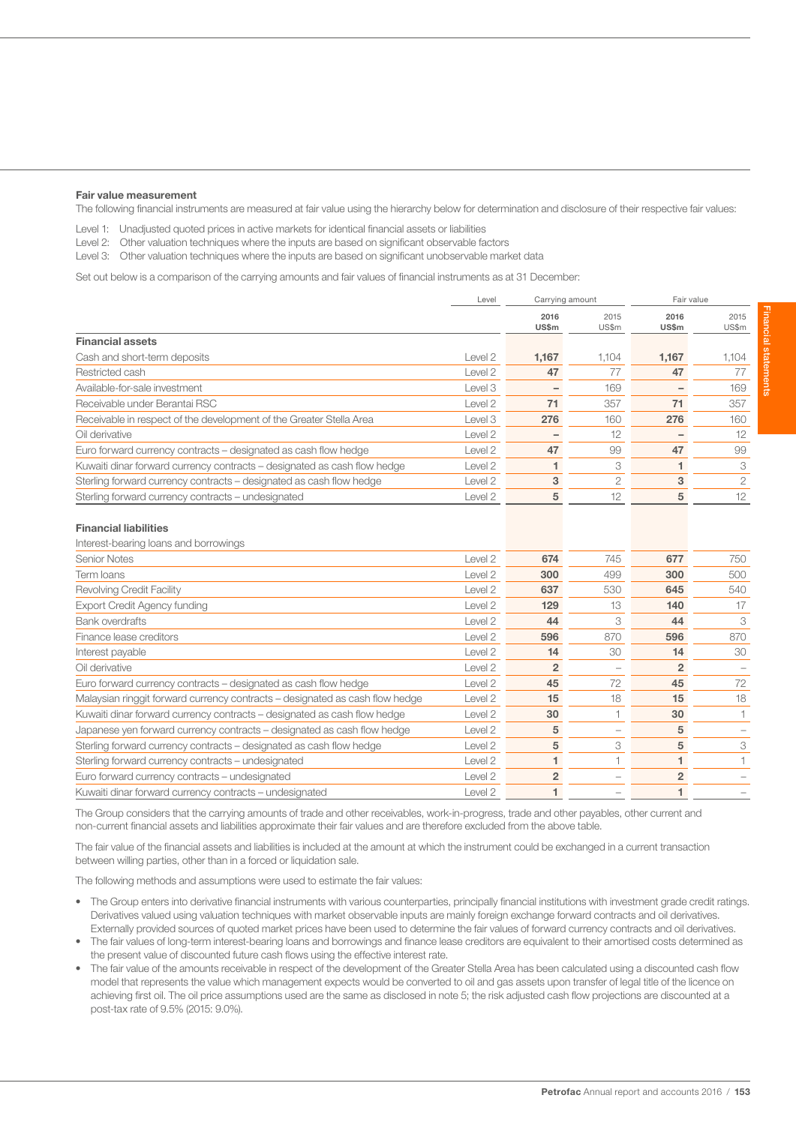#### Fair value measurement

The following financial instruments are measured at fair value using the hierarchy below for determination and disclosure of their respective fair values:

Level 1: Unadjusted quoted prices in active markets for identical financial assets or liabilities

Level 2: Other valuation techniques where the inputs are based on significant observable factors

Level 3: Other valuation techniques where the inputs are based on significant unobservable market data

Set out below is a comparison of the carrying amounts and fair values of financial instruments as at 31 December:

| Level                                                                               | Carrying amount      |                |               | Fair value    |
|-------------------------------------------------------------------------------------|----------------------|----------------|---------------|---------------|
|                                                                                     | 2016<br><b>US\$m</b> | 2015<br>US\$m  | 2016<br>US\$m | 2015<br>US\$m |
| <b>Financial assets</b>                                                             |                      |                |               |               |
| Cash and short-term deposits<br>Level 2                                             | 1,167                | 1.104          | 1,167         | 1.104         |
| Restricted cash<br>Level 2                                                          | 47                   | 77             | 47            | 77            |
| Available-for-sale investment<br>Level 3                                            |                      | 169            |               | 169           |
| Receivable under Berantai RSC<br>Level 2                                            | 71                   | 357            | 71            | 357           |
| Receivable in respect of the development of the Greater Stella Area<br>Level 3      | 276                  | 160            | 276           | 160           |
| Oil derivative<br>Level 2                                                           |                      | 12             |               | 12            |
| Euro forward currency contracts – designated as cash flow hedge<br>Level 2          | 47                   | 99             | 47            | 99            |
| Kuwaiti dinar forward currency contracts – designated as cash flow hedge<br>Level 2 |                      | 3              |               | 3             |
| Sterling forward currency contracts – designated as cash flow hedge<br>Level 2      | 3                    | $\overline{2}$ | 3             | 2             |
| Sterling forward currency contracts - undesignated<br>Level 2                       | 5                    | 12             | 5             | 12            |

#### Financial liabilities

| Interest-bearing loans and borrowings                                        |                    |                |                          |                |     |
|------------------------------------------------------------------------------|--------------------|----------------|--------------------------|----------------|-----|
| Senior Notes                                                                 | Level 2            | 674            | 745                      | 677            | 750 |
| Term Ioans                                                                   | Level 2            | 300            | 499                      | 300            | 500 |
| <b>Revolving Credit Facility</b>                                             | Level 2            | 637            | 530                      | 645            | 540 |
| <b>Export Credit Agency funding</b>                                          | Level <sub>2</sub> | 129            | 13                       | 140            | 17  |
| <b>Bank overdrafts</b>                                                       | Level <sub>2</sub> | 44             | 3                        | 44             | 3   |
| Finance lease creditors                                                      | Level <sub>2</sub> | 596            | 870                      | 596            | 870 |
| Interest payable                                                             | Level 2            | 14             | 30                       | 14             | 30  |
| Oil derivative                                                               | Level 2            | 2              |                          | $\overline{2}$ |     |
| Euro forward currency contracts – designated as cash flow hedge              | Level 2            | 45             | 72                       | 45             | 72  |
| Malaysian ringgit forward currency contracts – designated as cash flow hedge | Level 2            | 15             | 18                       | 15             | 18  |
| Kuwaiti dinar forward currency contracts – designated as cash flow hedge     | Level 2            | 30             |                          | 30             |     |
| Japanese yen forward currency contracts – designated as cash flow hedge      | Level 2            | 5              | $\overline{\phantom{a}}$ | 5              |     |
| Sterling forward currency contracts - designated as cash flow hedge          | Level 2            | 5              | 3                        | 5              | 3   |
| Sterling forward currency contracts – undesignated                           | Level 2            |                |                          |                |     |
| Euro forward currency contracts – undesignated                               | Level 2            | $\overline{2}$ |                          | $\overline{2}$ |     |
| Kuwaiti dinar forward currency contracts - undesignated                      | Level 2            |                |                          |                |     |

The Group considers that the carrying amounts of trade and other receivables, work-in-progress, trade and other payables, other current and non-current financial assets and liabilities approximate their fair values and are therefore excluded from the above table.

The fair value of the financial assets and liabilities is included at the amount at which the instrument could be exchanged in a current transaction between willing parties, other than in a forced or liquidation sale.

The following methods and assumptions were used to estimate the fair values:

- The Group enters into derivative financial instruments with various counterparties, principally financial institutions with investment grade credit ratings. Derivatives valued using valuation techniques with market observable inputs are mainly foreign exchange forward contracts and oil derivatives. Externally provided sources of quoted market prices have been used to determine the fair values of forward currency contracts and oil derivatives.
- The fair values of long-term interest-bearing loans and borrowings and finance lease creditors are equivalent to their amortised costs determined as the present value of discounted future cash flows using the effective interest rate.
- The fair value of the amounts receivable in respect of the development of the Greater Stella Area has been calculated using a discounted cash flow model that represents the value which management expects would be converted to oil and gas assets upon transfer of legal title of the licence on achieving first oil. The oil price assumptions used are the same as disclosed in note 5; the risk adjusted cash flow projections are discounted at a post-tax rate of 9.5% (2015: 9.0%).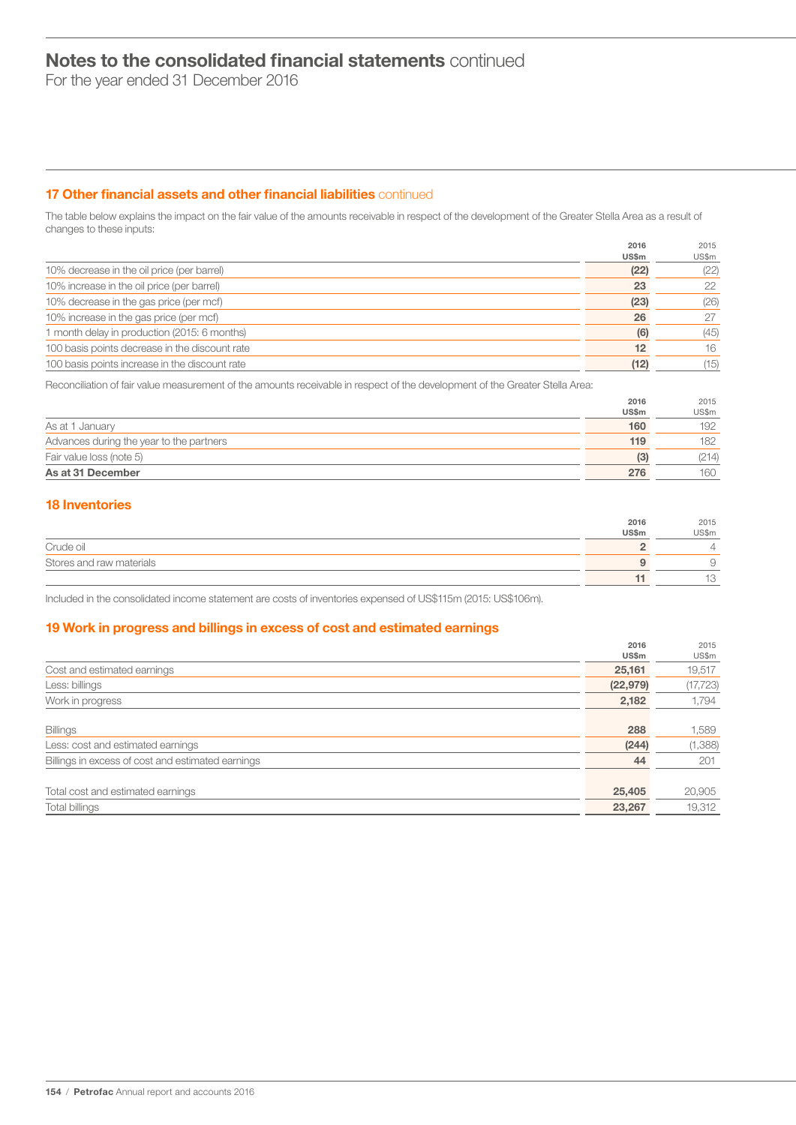For the year ended 31 December 2016

# 17 Other financial assets and other financial liabilities continued

The table below explains the impact on the fair value of the amounts receivable in respect of the development of the Greater Stella Area as a result of changes to these inputs:

|                                                | 2016<br>US\$m | 2015<br>US\$m |
|------------------------------------------------|---------------|---------------|
| 10% decrease in the oil price (per barrel)     | (22)          | (22)          |
| 10% increase in the oil price (per barrel)     | 23            | 22            |
| 10% decrease in the gas price (per mcf)        | (23)          | (26)          |
| 10% increase in the gas price (per mcf)        | 26            | 27            |
| 1 month delay in production (2015: 6 months)   | (6)           | (45)          |
| 100 basis points decrease in the discount rate | 12            | 16            |
| 100 basis points increase in the discount rate | (12)          | (15)          |

Reconciliation of fair value measurement of the amounts receivable in respect of the development of the Greater Stella Area:

|                                          | 2016  | 2015  |
|------------------------------------------|-------|-------|
|                                          | US\$m | US\$m |
| As at 1 January                          | 160   | 192   |
| Advances during the year to the partners | 119   | 182   |
| Fair value loss (note 5)                 | (3)   | (214) |
| As at 31 December                        | 276   | 160   |
|                                          |       |       |

# 18 Inventories

|                          | 2016         | 2015                 |
|--------------------------|--------------|----------------------|
|                          | <b>US\$m</b> | US\$m                |
| Crude oil                |              | ∸                    |
| Stores and raw materials |              |                      |
|                          |              | $\overline{1}$<br>ΙU |

Included in the consolidated income statement are costs of inventories expensed of US\$115m (2015: US\$106m).

# 19 Work in progress and billings in excess of cost and estimated earnings

|                                                   | 2016      | 2015      |
|---------------------------------------------------|-----------|-----------|
|                                                   | US\$m     | US\$m     |
| Cost and estimated earnings                       | 25,161    | 19,517    |
| Less: billings                                    | (22, 979) | (17, 723) |
| Work in progress                                  | 2,182     | 1,794     |
|                                                   |           |           |
| <b>Billings</b>                                   | 288       | 1,589     |
| Less: cost and estimated earnings                 | (244)     | (1,388)   |
| Billings in excess of cost and estimated earnings | 44        | 201       |
|                                                   |           |           |
| Total cost and estimated earnings                 | 25,405    | 20,905    |
| Total billings                                    | 23,267    | 19,312    |
|                                                   |           |           |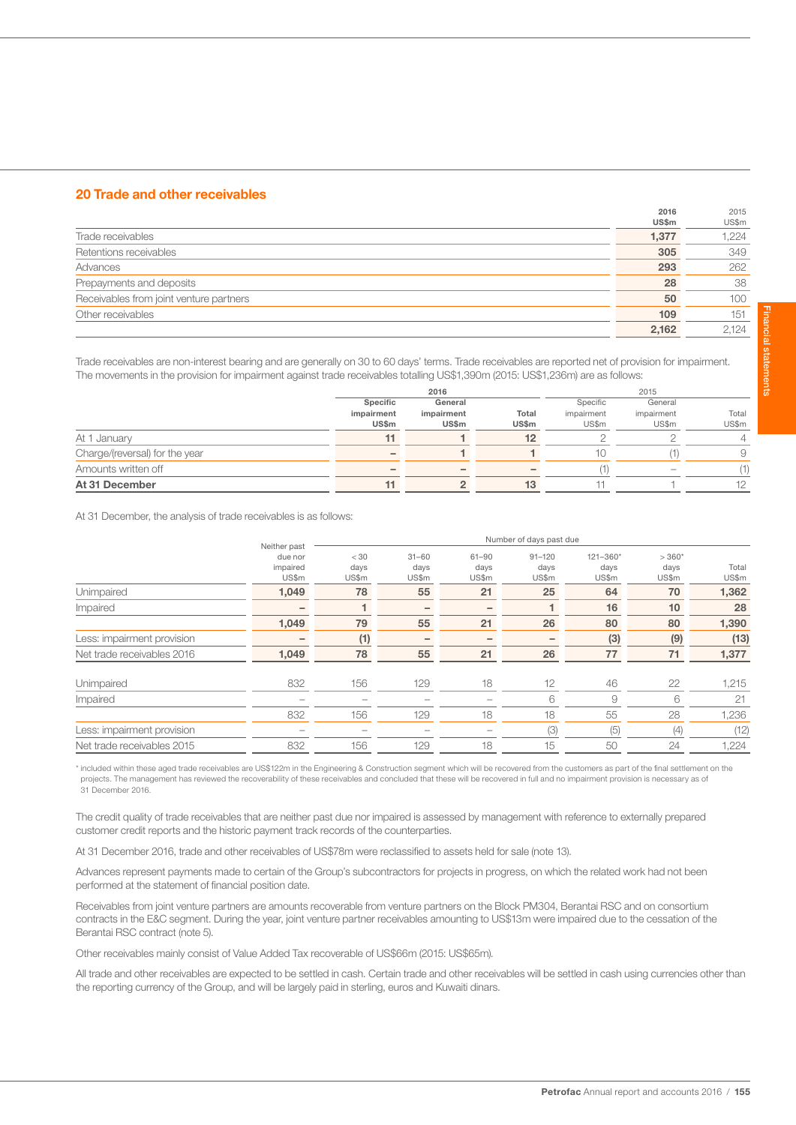# 20 Trade and other receivables

|                                         | 2016  | 2015  |
|-----------------------------------------|-------|-------|
|                                         | US\$m | US\$m |
| Trade receivables                       | 1,377 | 1,224 |
| Retentions receivables                  | 305   | 349   |
| Advances                                | 293   | 262   |
| Prepayments and deposits                | 28    | 38    |
| Receivables from joint venture partners | 50    | 100   |
| Other receivables                       | 109   | 151   |
|                                         | 2.162 | 2.124 |

Trade receivables are non-interest bearing and are generally on 30 to 60 days' terms. Trade receivables are reported net of provision for impairment. The movements in the provision for impairment against trade receivables totalling US\$1,390m (2015: US\$1,236m) are as follows:

|                                |                          | 2016       |       | 2015       |                          |                |  |
|--------------------------------|--------------------------|------------|-------|------------|--------------------------|----------------|--|
|                                | Specific                 | General    |       | Specific   | General                  |                |  |
|                                | impairment               | impairment | Total | impairment | impairment               | Total          |  |
|                                | US\$m                    | US\$m      | US\$m | US\$m      | US\$m                    | US\$m          |  |
| At 1 January                   | 11                       |            | 12    |            |                          | $\overline{4}$ |  |
| Charge/(reversal) for the year | $\overline{\phantom{a}}$ |            |       | 10         |                          | 9              |  |
| Amounts written off            | $\overline{\phantom{a}}$ |            |       |            | $\overline{\phantom{a}}$ | (1)            |  |
| At 31 December                 |                          |            | 13    |            |                          | 12             |  |

At 31 December, the analysis of trade receivables is as follows:

|                            | Neither past                 | Number of days past due |                            |                            |                             |                               |                          |                |  |  |
|----------------------------|------------------------------|-------------------------|----------------------------|----------------------------|-----------------------------|-------------------------------|--------------------------|----------------|--|--|
|                            | due nor<br>impaired<br>US\$m | $<$ 30<br>days<br>US\$m | $31 - 60$<br>days<br>US\$m | $61 - 90$<br>days<br>US\$m | $91 - 120$<br>days<br>US\$m | $121 - 360*$<br>days<br>US\$m | $>360*$<br>days<br>US\$m | Total<br>US\$m |  |  |
| Unimpaired                 | 1,049                        | 78                      | 55                         | 21                         | 25                          | 64                            | 70                       | 1,362          |  |  |
| Impaired                   | -                            |                         | $\overline{\phantom{0}}$   |                            | и                           | 16                            | 10                       | 28             |  |  |
|                            | 1,049                        | 79                      | 55                         | 21                         | 26                          | 80                            | 80                       | 1,390          |  |  |
| Less: impairment provision | -                            | (1)                     |                            |                            |                             | (3)                           | (9)                      | (13)           |  |  |
| Net trade receivables 2016 | 1,049                        | 78                      | 55                         | 21                         | 26                          | 77                            | 71                       | 1,377          |  |  |
| Unimpaired                 | 832                          | 156                     | 129                        | 18                         | 12                          | 46                            | 22                       | 1,215          |  |  |
| Impaired                   | -                            |                         |                            |                            | 6                           | 9                             | 6                        | 21             |  |  |
|                            | 832                          | 156                     | 129                        | 18                         | 18                          | 55                            | 28                       | 1,236          |  |  |
| Less: impairment provision |                              |                         |                            |                            | (3)                         | (5)                           | (4)                      | (12)           |  |  |
| Net trade receivables 2015 | 832                          | 156                     | 129                        | 18                         | 15                          | 50                            | 24                       | 1,224          |  |  |

\* included within these aged trade receivables are US\$122m in the Engineering & Construction segment which will be recovered from the customers as part of the final settlement on the projects. The management has reviewed the recoverability of these receivables and concluded that these will be recovered in full and no impairment provision is necessary as of 31 December 2016.

The credit quality of trade receivables that are neither past due nor impaired is assessed by management with reference to externally prepared customer credit reports and the historic payment track records of the counterparties.

At 31 December 2016, trade and other receivables of US\$78m were reclassified to assets held for sale (note 13).

Advances represent payments made to certain of the Group's subcontractors for projects in progress, on which the related work had not been performed at the statement of financial position date.

Receivables from joint venture partners are amounts recoverable from venture partners on the Block PM304, Berantai RSC and on consortium contracts in the E&C segment. During the year, joint venture partner receivables amounting to US\$13m were impaired due to the cessation of the Berantai RSC contract (note 5).

Other receivables mainly consist of Value Added Tax recoverable of US\$66m (2015: US\$65m).

All trade and other receivables are expected to be settled in cash. Certain trade and other receivables will be settled in cash using currencies other than the reporting currency of the Group, and will be largely paid in sterling, euros and Kuwaiti dinars.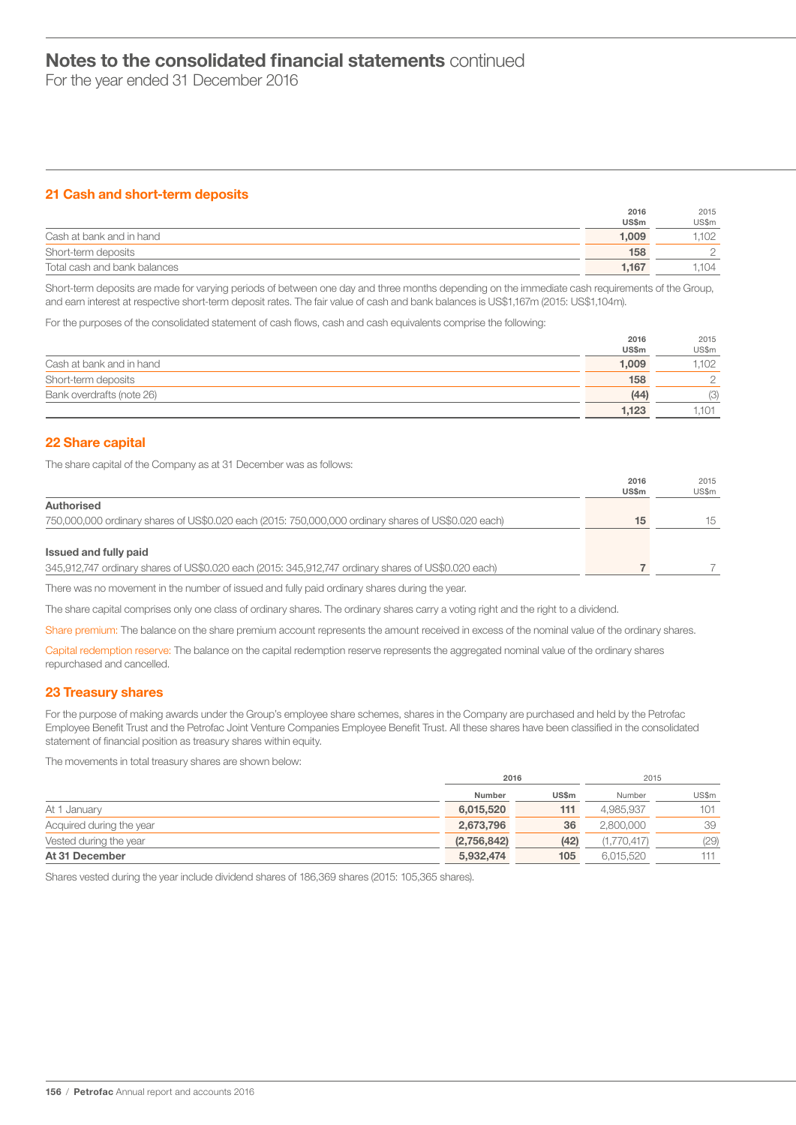For the year ended 31 December 2016

# 21 Cash and short-term deposits

|                              | 2016  | 2015  |
|------------------------------|-------|-------|
|                              | US\$m | US\$m |
| Cash at bank and in hand     | 1.009 | .102  |
| Short-term deposits          | 158   |       |
| Total cash and bank balances | 1.167 | .104  |

Short-term deposits are made for varying periods of between one day and three months depending on the immediate cash requirements of the Group, and earn interest at respective short-term deposit rates. The fair value of cash and bank balances is US\$1,167m (2015: US\$1,104m).

For the purposes of the consolidated statement of cash flows, cash and cash equivalents comprise the following:

|                           | 2016  | 2015   |
|---------------------------|-------|--------|
|                           | US\$m | US\$m  |
| Cash at bank and in hand  | 1.009 | .102   |
| Short-term deposits       | 158   | $\cap$ |
| Bank overdrafts (note 26) | (44)  | (3)    |
|                           | 1.123 | .101   |

# 22 Share capital

The share capital of the Company as at 31 December was as follows:

|                                                                                                     | 2016  | 2015  |
|-----------------------------------------------------------------------------------------------------|-------|-------|
|                                                                                                     | US\$m | US\$m |
| Authorised                                                                                          |       |       |
| 750,000,000 ordinary shares of US\$0.020 each (2015: 750,000,000 ordinary shares of US\$0.020 each) | 15    | 15    |
|                                                                                                     |       |       |
| Issued and fully paid                                                                               |       |       |
| 345,912,747 ordinary shares of US\$0.020 each (2015: 345,912,747 ordinary shares of US\$0.020 each) |       |       |

There was no movement in the number of issued and fully paid ordinary shares during the year.

The share capital comprises only one class of ordinary shares. The ordinary shares carry a voting right and the right to a dividend.

Share premium: The balance on the share premium account represents the amount received in excess of the nominal value of the ordinary shares.

Capital redemption reserve: The balance on the capital redemption reserve represents the aggregated nominal value of the ordinary shares repurchased and cancelled.

# 23 Treasury shares

For the purpose of making awards under the Group's employee share schemes, shares in the Company are purchased and held by the Petrofac Employee Benefit Trust and the Petrofac Joint Venture Companies Employee Benefit Trust. All these shares have been classified in the consolidated statement of financial position as treasury shares within equity.

The movements in total treasury shares are shown below:

|                          | 2016        |       | 2015        |       |  |
|--------------------------|-------------|-------|-------------|-------|--|
|                          | Number      | US\$m | Number      | US\$m |  |
| At 1 January             | 6,015,520   | 111   | 4.985.937   | 101   |  |
| Acquired during the year | 2,673,796   | 36    | 2,800,000   | 39    |  |
| Vested during the year   | (2,756,842) | (42)  | (1.770.417) | (29)  |  |
| At 31 December           | 5,932,474   | 105   | 6.015.520   | 111   |  |

Shares vested during the year include dividend shares of 186,369 shares (2015: 105,365 shares).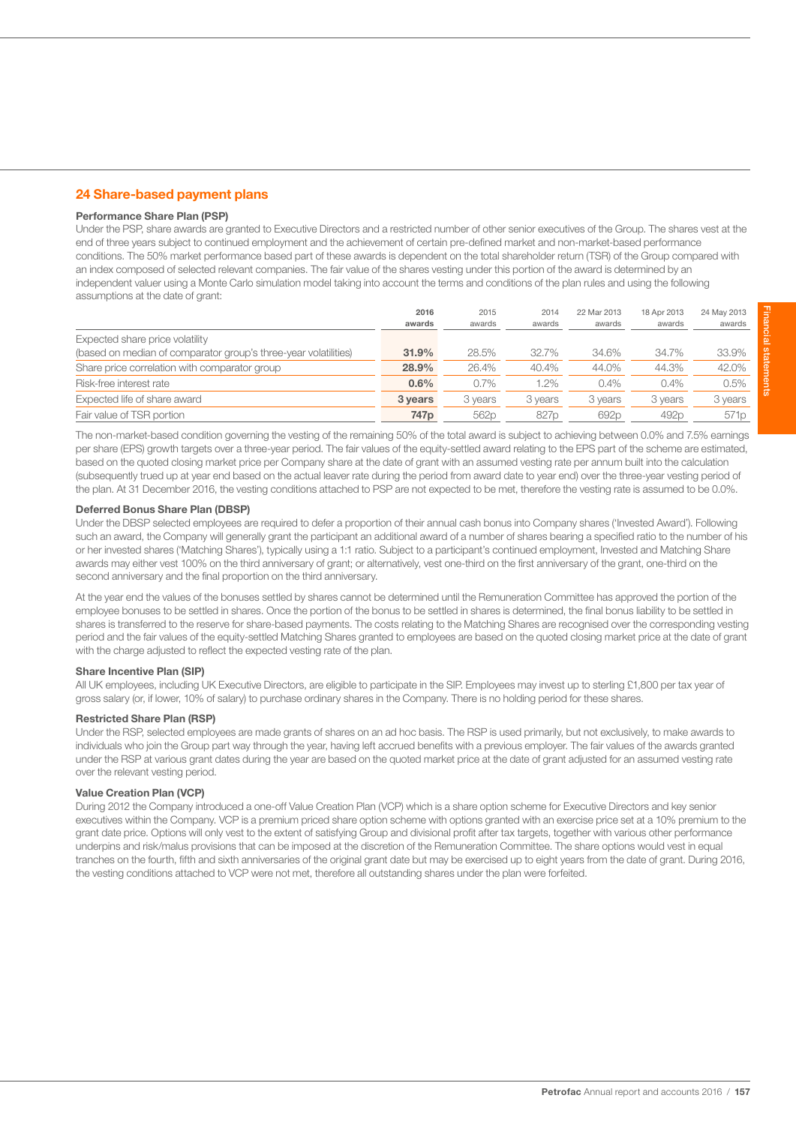# 24 Share-based payment plans

# Performance Share Plan (PSP)

Under the PSP, share awards are granted to Executive Directors and a restricted number of other senior executives of the Group. The shares vest at the end of three years subject to continued employment and the achievement of certain pre-defined market and non-market-based performance conditions. The 50% market performance based part of these awards is dependent on the total shareholder return (TSR) of the Group compared with an index composed of selected relevant companies. The fair value of the shares vesting under this portion of the award is determined by an independent valuer using a Monte Carlo simulation model taking into account the terms and conditions of the plan rules and using the following assumptions at the date of grant:

| 2016             | 2015    | 2014    | 22 Mar 2013      | 18 Apr 2013      | 24 May 2013      |
|------------------|---------|---------|------------------|------------------|------------------|
| awards           | awards  | awards  | awards           | awards           | awards           |
|                  |         |         |                  |                  |                  |
| 31.9%            | 28.5%   | 32.7%   | 34.6%            | 34.7%            | 33.9%            |
| 28.9%            | 26.4%   | 40.4%   | 44.0%            | 44.3%            | 42.0%            |
| 0.6%             | 0.7%    | $1.2\%$ | 0.4%             | 0.4%             | 0.5%             |
| 3 years          | 3 years | 3 years | 3 years          | 3 years          | 3 years          |
| 747 <sub>p</sub> | 562p    | 827p    | 692 <sub>p</sub> | 492 <sub>p</sub> | 571 <sub>p</sub> |
|                  |         |         |                  |                  |                  |

The non-market-based condition governing the vesting of the remaining 50% of the total award is subject to achieving between 0.0% and 7.5% earnings per share (EPS) growth targets over a three-year period. The fair values of the equity-settled award relating to the EPS part of the scheme are estimated, based on the quoted closing market price per Company share at the date of grant with an assumed vesting rate per annum built into the calculation (subsequently trued up at year end based on the actual leaver rate during the period from award date to year end) over the three-year vesting period of the plan. At 31 December 2016, the vesting conditions attached to PSP are not expected to be met, therefore the vesting rate is assumed to be 0.0%.

# Deferred Bonus Share Plan (DBSP)

Under the DBSP selected employees are required to defer a proportion of their annual cash bonus into Company shares ('Invested Award'). Following such an award, the Company will generally grant the participant an additional award of a number of shares bearing a specified ratio to the number of his or her invested shares ('Matching Shares'), typically using a 1:1 ratio. Subject to a participant's continued employment, Invested and Matching Share awards may either vest 100% on the third anniversary of grant; or alternatively, vest one-third on the first anniversary of the grant, one-third on the second anniversary and the final proportion on the third anniversary.

At the year end the values of the bonuses settled by shares cannot be determined until the Remuneration Committee has approved the portion of the employee bonuses to be settled in shares. Once the portion of the bonus to be settled in shares is determined, the final bonus liability to be settled in shares is transferred to the reserve for share-based payments. The costs relating to the Matching Shares are recognised over the corresponding vesting period and the fair values of the equity-settled Matching Shares granted to employees are based on the quoted closing market price at the date of grant with the charge adjusted to reflect the expected vesting rate of the plan.

# Share Incentive Plan (SIP)

All UK employees, including UK Executive Directors, are eligible to participate in the SIP. Employees may invest up to sterling £1,800 per tax year of gross salary (or, if lower, 10% of salary) to purchase ordinary shares in the Company. There is no holding period for these shares.

### Restricted Share Plan (RSP)

Under the RSP, selected employees are made grants of shares on an ad hoc basis. The RSP is used primarily, but not exclusively, to make awards to individuals who join the Group part way through the year, having left accrued benefits with a previous employer. The fair values of the awards granted under the RSP at various grant dates during the year are based on the quoted market price at the date of grant adjusted for an assumed vesting rate over the relevant vesting period.

# Value Creation Plan (VCP)

During 2012 the Company introduced a one-off Value Creation Plan (VCP) which is a share option scheme for Executive Directors and key senior executives within the Company. VCP is a premium priced share option scheme with options granted with an exercise price set at a 10% premium to the grant date price. Options will only vest to the extent of satisfying Group and divisional profit after tax targets, together with various other performance underpins and risk/malus provisions that can be imposed at the discretion of the Remuneration Committee. The share options would vest in equal tranches on the fourth, fifth and sixth anniversaries of the original grant date but may be exercised up to eight years from the date of grant. During 2016, the vesting conditions attached to VCP were not met, therefore all outstanding shares under the plan were forfeited.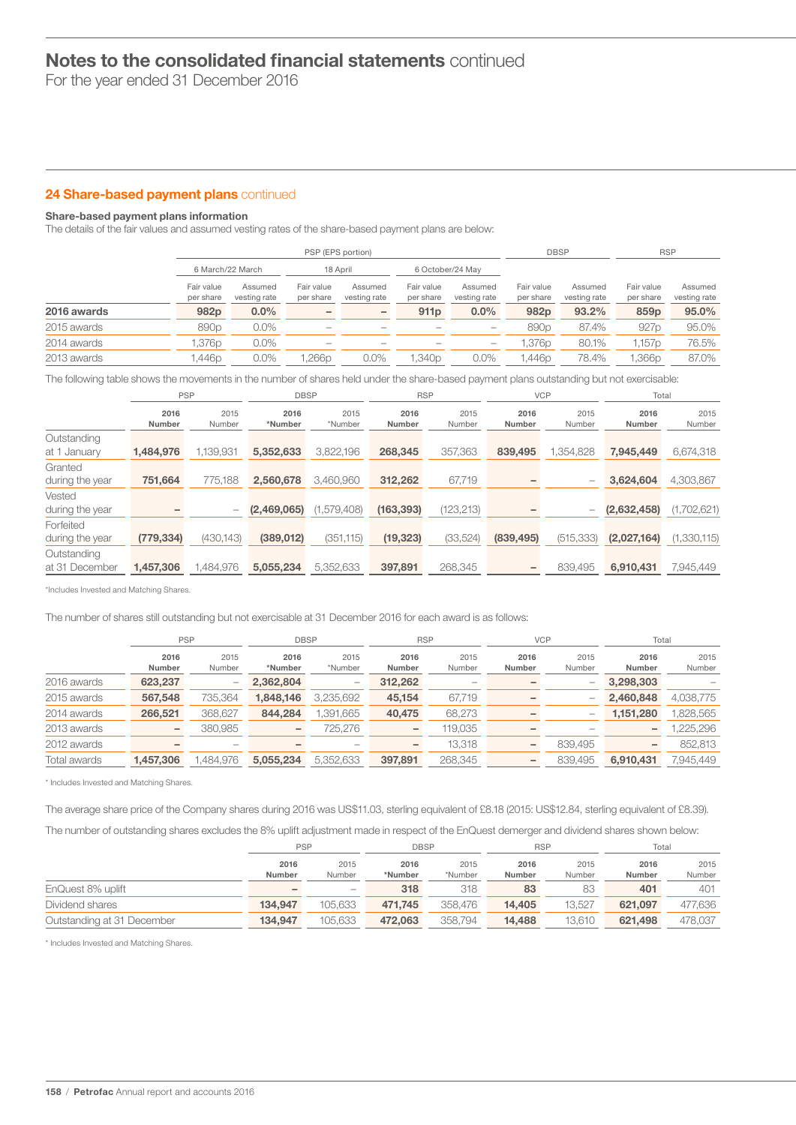For the year ended 31 December 2016

# 24 Share-based payment plans continued

# Share-based payment plans information

The details of the fair values and assumed vesting rates of the share-based payment plans are below:

|             |                         |                         | PSP (EPS portion)        |                          | <b>DBSP</b>             |                         | <b>RSP</b>              |                         |                         |                         |
|-------------|-------------------------|-------------------------|--------------------------|--------------------------|-------------------------|-------------------------|-------------------------|-------------------------|-------------------------|-------------------------|
|             |                         | 6 March/22 March        |                          | 18 April                 |                         | 6 October/24 May        |                         |                         |                         |                         |
|             | Fair value<br>per share | Assumed<br>vesting rate | Fair value<br>per share  | Assumed<br>vesting rate  | Fair value<br>per share | Assumed<br>vesting rate | Fair value<br>per share | Assumed<br>vesting rate | Fair value<br>per share | Assumed<br>vesting rate |
| 2016 awards | 982 <sub>p</sub>        | $0.0\%$                 | $\overline{\phantom{0}}$ |                          | 911 <sub>p</sub>        | $0.0\%$                 | 982 <sub>p</sub>        | 93.2%                   | 859p                    | 95.0%                   |
| 2015 awards | 890 <sub>p</sub>        | $0.0\%$                 | -                        | $\overline{\phantom{a}}$ |                         | $\hspace{0.05cm}$       | 890 <sub>p</sub>        | 87.4%                   | 927 <sub>p</sub>        | 95.0%                   |
| 2014 awards | .376p                   | $0.0\%$                 | -                        |                          |                         |                         | 1,376p                  | 80.1%                   | 1,157p                  | 76.5%                   |
| 2013 awards | .446p                   | $0.0\%$                 | ,266p                    | $0.0\%$                  | l.340p                  | $0.0\%$                 | l.446p                  | 78.4%                   | l,366p                  | 87.0%                   |

The following table shows the movements in the number of shares held under the share-based payment plans outstanding but not exercisable:

| 2016<br>2015<br>2015<br>2015<br>2016<br>2016<br>2015<br>2016<br>2016<br>Number<br>*Number<br>*Number<br>Number<br>Number<br>Number<br>Number<br>Number<br>Number | 2015<br>Number |
|------------------------------------------------------------------------------------------------------------------------------------------------------------------|----------------|
|                                                                                                                                                                  |                |
| Outstanding                                                                                                                                                      |                |
| 3,822,196<br>357,363<br>1,139,931<br>1.354.828<br>5,352,633<br>268,345<br>839,495<br>7.945.449<br>1,484,976<br>at 1 January                                      | 6,674,318      |
| Granted                                                                                                                                                          |                |
| 67,719<br>775,188<br>751,664<br>2,560,678<br>3.460.960<br>312,262<br>3,624,604<br>during the year<br>$\overline{\phantom{a}}$                                    | 4,303,867      |
| Vested                                                                                                                                                           |                |
| (1,579,408)<br>(123, 213)<br>(163, 393)<br>(2,469,065)<br>(2,632,458)<br>during the year<br>$\overline{\phantom{m}}$<br>-                                        | (1,702,621)    |
| Forfeited                                                                                                                                                        |                |
| (430, 143)<br>(33,524)<br>(389, 012)<br>(351, 115)<br>(839, 495)<br>(515, 333)<br>(779, 334)<br>(19, 323)<br>(2,027,164)<br>during the year                      | (1,330,115)    |
| Outstanding                                                                                                                                                      |                |
| 5,352,633<br>839.495<br>1,457,306<br>1.484.976<br>397,891<br>268,345<br>5,055,234<br>6,910,431<br>at 31 December                                                 | 7,945,449      |

\*Includes Invested and Matching Shares.

The number of shares still outstanding but not exercisable at 31 December 2016 for each award is as follows:

|              | <b>PSP</b>     |                | <b>DBSP</b>              |                   | <b>RSP</b>               |                |                 | <b>VCP</b>               | Total          |                |
|--------------|----------------|----------------|--------------------------|-------------------|--------------------------|----------------|-----------------|--------------------------|----------------|----------------|
|              | 2016<br>Number | 2015<br>Number | 2016<br>*Number          | 2015<br>*Number   | 2016<br><b>Number</b>    | 2015<br>Number | 2016<br>Number  | 2015<br>Number           | 2016<br>Number | 2015<br>Number |
| 2016 awards  | 623,237        |                | 2.362.804                | $\hspace{0.05cm}$ | 312,262                  | $\sim$         |                 | $\qquad \qquad$          | 3,298,303      |                |
| 2015 awards  | 567,548        | 735,364        | 1,848,146                | 3,235,692         | 45,154                   | 67,719         |                 | -                        | 2,460,848      | 4,038,775      |
| 2014 awards  | 266,521        | 368.627        | 844.284                  | ,391,665          | 40,475                   | 68,273         |                 | $\overline{\phantom{0}}$ | 1,151,280      | ,828,565       |
| 2013 awards  | -              | 380,985        | $\overline{\phantom{0}}$ | 725,276           | $\overline{\phantom{0}}$ | 119,035        |                 |                          | -              | ,225,296       |
| 2012 awards  |                |                |                          |                   |                          | 13.318         |                 | 839.495                  | -              | 852,813        |
| Total awards | 1.457.306      | 1.484.976      | 5.055.234                | 5.352.633         | 397.891                  | 268,345        | $\qquad \qquad$ | 839.495                  | 6.910.431      | 7.945.449      |

\* Includes Invested and Matching Shares.

The average share price of the Company shares during 2016 was US\$11.03, sterling equivalent of £8.18 (2015: US\$12.84, sterling equivalent of £8.39).

The number of outstanding shares excludes the 8% uplift adjustment made in respect of the EnQuest demerger and dividend shares shown below:

|                            | <b>PSP</b>            |                | DBSP            |                 | <b>RSP</b>     |                | Total          |                |
|----------------------------|-----------------------|----------------|-----------------|-----------------|----------------|----------------|----------------|----------------|
|                            | 2016<br><b>Number</b> | 2015<br>Number | 2016<br>*Number | 2015<br>*Number | 2016<br>Number | 2015<br>Number | 2016<br>Number | 2015<br>Number |
| EnQuest 8% uplift          |                       |                | 318             | 318             | 83             | 83             | 401            | 401            |
| Dividend shares            | 134.947               | 105.633        | 471.745         | 358,476         | 14.405         | 13.527         | 621.097        | 477.636        |
| Outstanding at 31 December | 134.947               | 105.633        | 472.063         | 358.794         | 14.488         | 13.610         | 621.498        | 478.037        |

\* Includes Invested and Matching Shares.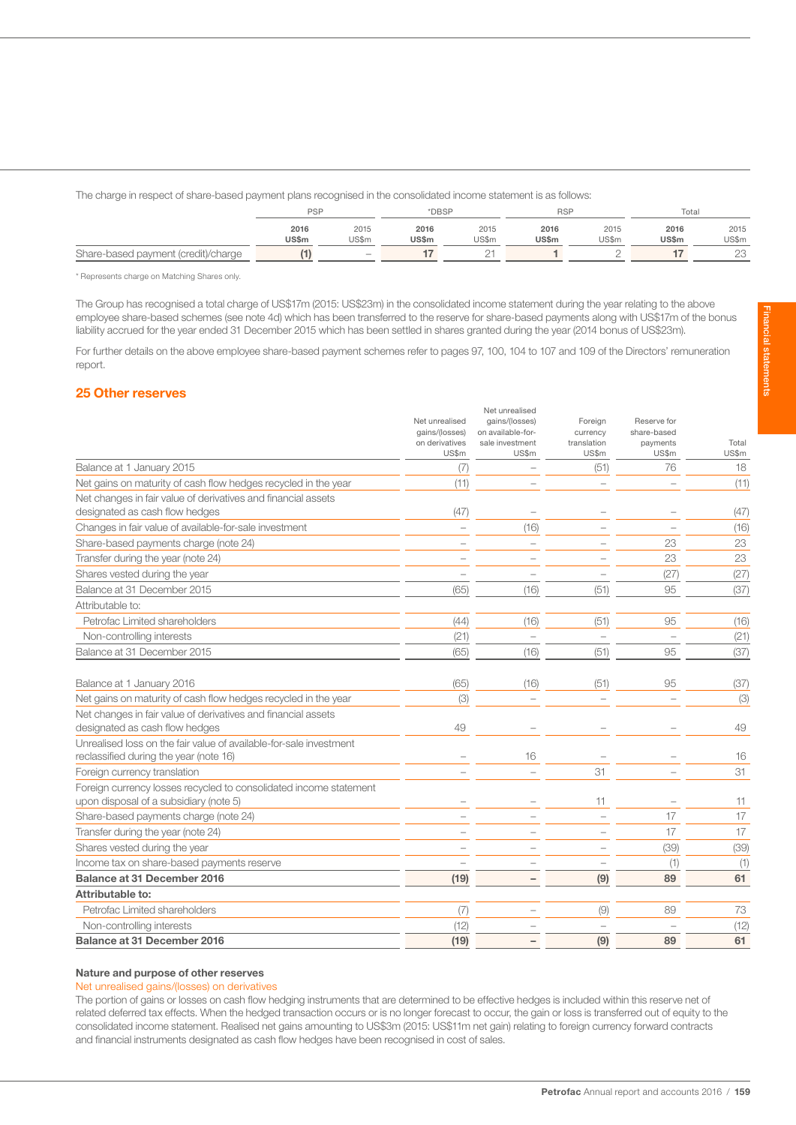The charge in respect of share-based payment plans recognised in the consolidated income statement is as follows:

|                                     | <b>PSP</b> |                   |              | *DBSP |       | <b>RSF</b> |       | Total        |  |
|-------------------------------------|------------|-------------------|--------------|-------|-------|------------|-------|--------------|--|
|                                     | 2016       | 2015              | 2016         | 2015  | 2016  | 2015       | 2016  | 2015         |  |
|                                     | US\$m      | US\$m             | <b>US\$m</b> | US\$m | US\$m | US\$m      | US\$m | US\$m        |  |
| Share-based payment (credit)/charge |            | $\qquad \qquad -$ |              | ∼     |       |            |       | $\cap$<br>LU |  |

\* Represents charge on Matching Shares only.

The Group has recognised a total charge of US\$17m (2015: US\$23m) in the consolidated income statement during the year relating to the above employee share-based schemes (see note 4d) which has been transferred to the reserve for share-based payments along with US\$17m of the bonus liability accrued for the year ended 31 December 2015 which has been settled in shares granted during the year (2014 bonus of US\$23m).

For further details on the above employee share-based payment schemes refer to pages 97, 100, 104 to 107 and 109 of the Directors' remuneration report.

# 25 Other reserves

|                                                                                                              | Net unrealised<br>gains/(losses)<br>on derivatives<br>US\$m | Net unrealised<br>gains/(losses)<br>on available-for-<br>sale investment<br>US\$m | Foreign<br>currency<br>translation<br>US\$m | Reserve for<br>share-based<br>payments<br>US\$m | Total<br>US\$m |
|--------------------------------------------------------------------------------------------------------------|-------------------------------------------------------------|-----------------------------------------------------------------------------------|---------------------------------------------|-------------------------------------------------|----------------|
| Balance at 1 January 2015                                                                                    | (7)                                                         |                                                                                   | (51)                                        | 76                                              | 18             |
| Net gains on maturity of cash flow hedges recycled in the year                                               | (11)                                                        | ÷                                                                                 |                                             |                                                 | (11)           |
| Net changes in fair value of derivatives and financial assets                                                |                                                             |                                                                                   |                                             |                                                 |                |
| designated as cash flow hedges                                                                               | (47)                                                        |                                                                                   |                                             |                                                 | (47)           |
| Changes in fair value of available-for-sale investment                                                       |                                                             | (16)                                                                              |                                             | $\sim$                                          | (16)           |
| Share-based payments charge (note 24)                                                                        |                                                             |                                                                                   |                                             | 23                                              | 23             |
| Transfer during the year (note 24)                                                                           |                                                             |                                                                                   |                                             | 23                                              | 23             |
| Shares vested during the year                                                                                |                                                             |                                                                                   |                                             | (27)                                            | (27)           |
| Balance at 31 December 2015                                                                                  | (65)                                                        | (16)                                                                              | (51)                                        | 95                                              | (37)           |
| Attributable to:                                                                                             |                                                             |                                                                                   |                                             |                                                 |                |
| Petrofac Limited shareholders                                                                                | (44)                                                        | (16)                                                                              | (51)                                        | 95                                              | (16)           |
| Non-controlling interests                                                                                    | (21)                                                        | $\overline{\phantom{a}}$                                                          | $\overline{\phantom{a}}$                    |                                                 | (21)           |
| Balance at 31 December 2015                                                                                  | (65)                                                        | (16)                                                                              | (51)                                        | 95                                              | (37)           |
| Balance at 1 January 2016                                                                                    | (65)                                                        | (16)                                                                              | (51)                                        | 95                                              | (37)           |
| Net gains on maturity of cash flow hedges recycled in the year                                               | (3)                                                         |                                                                                   |                                             |                                                 | (3)            |
| Net changes in fair value of derivatives and financial assets<br>designated as cash flow hedges              | 49                                                          |                                                                                   |                                             |                                                 | 49             |
| Unrealised loss on the fair value of available-for-sale investment<br>reclassified during the year (note 16) |                                                             | 16                                                                                |                                             |                                                 | 16             |
| Foreign currency translation                                                                                 |                                                             |                                                                                   | 31                                          |                                                 | 31             |
| Foreign currency losses recycled to consolidated income statement<br>upon disposal of a subsidiary (note 5)  |                                                             |                                                                                   | 11                                          |                                                 | 11             |
| Share-based payments charge (note 24)                                                                        |                                                             |                                                                                   |                                             | 17                                              | 17             |
| Transfer during the year (note 24)                                                                           |                                                             |                                                                                   |                                             | 17                                              | 17             |
| Shares vested during the year                                                                                |                                                             |                                                                                   |                                             | (39)                                            | (39)           |
| Income tax on share-based payments reserve                                                                   |                                                             |                                                                                   |                                             | (1)                                             | (1)            |
| <b>Balance at 31 December 2016</b>                                                                           | (19)                                                        |                                                                                   | (9)                                         | 89                                              | 61             |
| Attributable to:                                                                                             |                                                             |                                                                                   |                                             |                                                 |                |
| Petrofac Limited shareholders                                                                                | (7)                                                         |                                                                                   | (9)                                         | 89                                              | 73             |
| Non-controlling interests                                                                                    | (12)                                                        |                                                                                   | L                                           |                                                 | (12)           |
| Balance at 31 December 2016                                                                                  | (19)                                                        |                                                                                   | (9)                                         | 89                                              | 61             |

#### Nature and purpose of other reserves

Net unrealised gains/(losses) on derivatives

The portion of gains or losses on cash flow hedging instruments that are determined to be effective hedges is included within this reserve net of related deferred tax effects. When the hedged transaction occurs or is no longer forecast to occur, the gain or loss is transferred out of equity to the consolidated income statement. Realised net gains amounting to US\$3m (2015: US\$11m net gain) relating to foreign currency forward contracts and financial instruments designated as cash flow hedges have been recognised in cost of sales.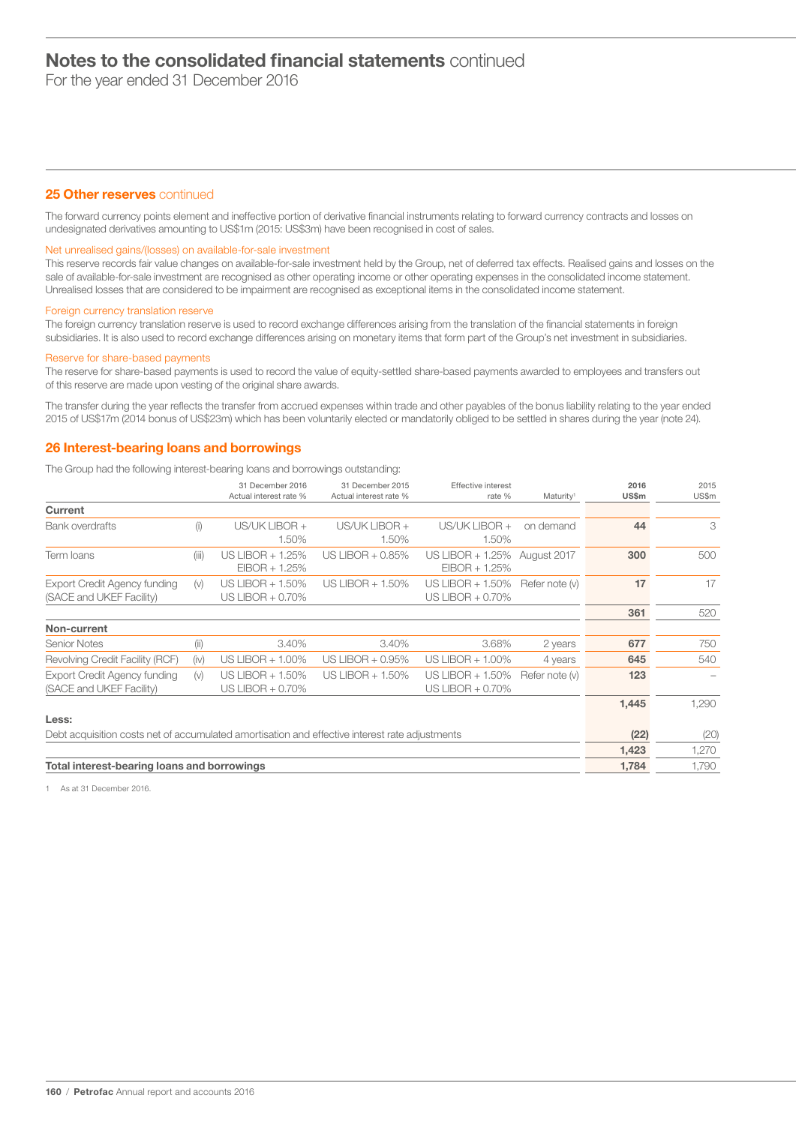For the year ended 31 December 2016

# 25 Other reserves continued

The forward currency points element and ineffective portion of derivative financial instruments relating to forward currency contracts and losses on undesignated derivatives amounting to US\$1m (2015: US\$3m) have been recognised in cost of sales.

#### Net unrealised gains/(losses) on available-for-sale investment

This reserve records fair value changes on available-for-sale investment held by the Group, net of deferred tax effects. Realised gains and losses on the sale of available-for-sale investment are recognised as other operating income or other operating expenses in the consolidated income statement. Unrealised losses that are considered to be impairment are recognised as exceptional items in the consolidated income statement.

#### Foreign currency translation reserve

The foreign currency translation reserve is used to record exchange differences arising from the translation of the financial statements in foreign subsidiaries. It is also used to record exchange differences arising on monetary items that form part of the Group's net investment in subsidiaries.

#### Reserve for share-based payments

The reserve for share-based payments is used to record the value of equity-settled share-based payments awarded to employees and transfers out of this reserve are made upon vesting of the original share awards.

The transfer during the year reflects the transfer from accrued expenses within trade and other payables of the bonus liability relating to the year ended 2015 of US\$17m (2014 bonus of US\$23m) which has been voluntarily elected or mandatorily obliged to be settled in shares during the year (note 24).

# 26 Interest-bearing loans and borrowings

The Group had the following interest-bearing loans and borrowings outstanding:

|                                                                                                |       | 31 December 2016<br>Actual interest rate % | 31 December 2015<br>Actual interest rate % | Effective interest<br>rate %            | Maturity <sup>1</sup> | 2016<br><b>US\$m</b> | 2015<br>US\$m |
|------------------------------------------------------------------------------------------------|-------|--------------------------------------------|--------------------------------------------|-----------------------------------------|-----------------------|----------------------|---------------|
| Current                                                                                        |       |                                            |                                            |                                         |                       |                      |               |
| <b>Bank overdrafts</b>                                                                         | (i)   | US/UK LIBOR +<br>1.50%                     | US/UK LIBOR +<br>1.50%                     | US/UK LIBOR +<br>1.50%                  | on demand             | 44                   | 3             |
| Term Ioans                                                                                     | (iii) | US LIBOR + 1.25%<br>$EIBOR + 1.25%$        | US LIBOR + 0.85%                           | US LIBOR + 1.25%<br>$EIBOR + 1.25%$     | August 2017           | 300                  | 500           |
| <b>Export Credit Agency funding</b><br>(SACE and UKEF Facility)                                | (v)   | US LIBOR $+$ 1.50%<br>US LIBOR $+$ 0.70%   | US LIBOR $+ 1.50\%$                        | US LIBOR + 1.50%<br>US LIBOR + 0.70%    | Refer note (v)        | 17                   | 17            |
|                                                                                                |       |                                            |                                            |                                         |                       | 361                  | 520           |
| Non-current                                                                                    |       |                                            |                                            |                                         |                       |                      |               |
| <b>Senior Notes</b>                                                                            | (ii)  | 3.40%                                      | 3.40%                                      | 3.68%                                   | 2 years               | 677                  | 750           |
| Revolving Credit Facility (RCF)                                                                | (iv)  | US LIBOR + 1.00%                           | US LIBOR + 0.95%                           | US LIBOR $+$ 1.00%                      | 4 years               | 645                  | 540           |
| Export Credit Agency funding<br>(SACE and UKEF Facility)                                       | (v)   | US LIBOR $+$ 1.50%<br>US LIBOR + 0.70%     | US LIBOR $+ 1.50\%$                        | US LIBOR $+ 1.50\%$<br>US LIBOR + 0.70% | Refer note (v)        | 123                  |               |
|                                                                                                |       |                                            |                                            |                                         |                       | 1,445                | 1,290         |
| Less:                                                                                          |       |                                            |                                            |                                         |                       |                      |               |
| Debt acquisition costs net of accumulated amortisation and effective interest rate adjustments |       |                                            |                                            |                                         |                       | (22)                 | (20)          |
|                                                                                                |       |                                            |                                            |                                         |                       | 1,423                | 1,270         |
| Total interest-bearing loans and borrowings                                                    |       |                                            |                                            |                                         |                       | 1,784                | 1,790         |

1 As at 31 December 2016.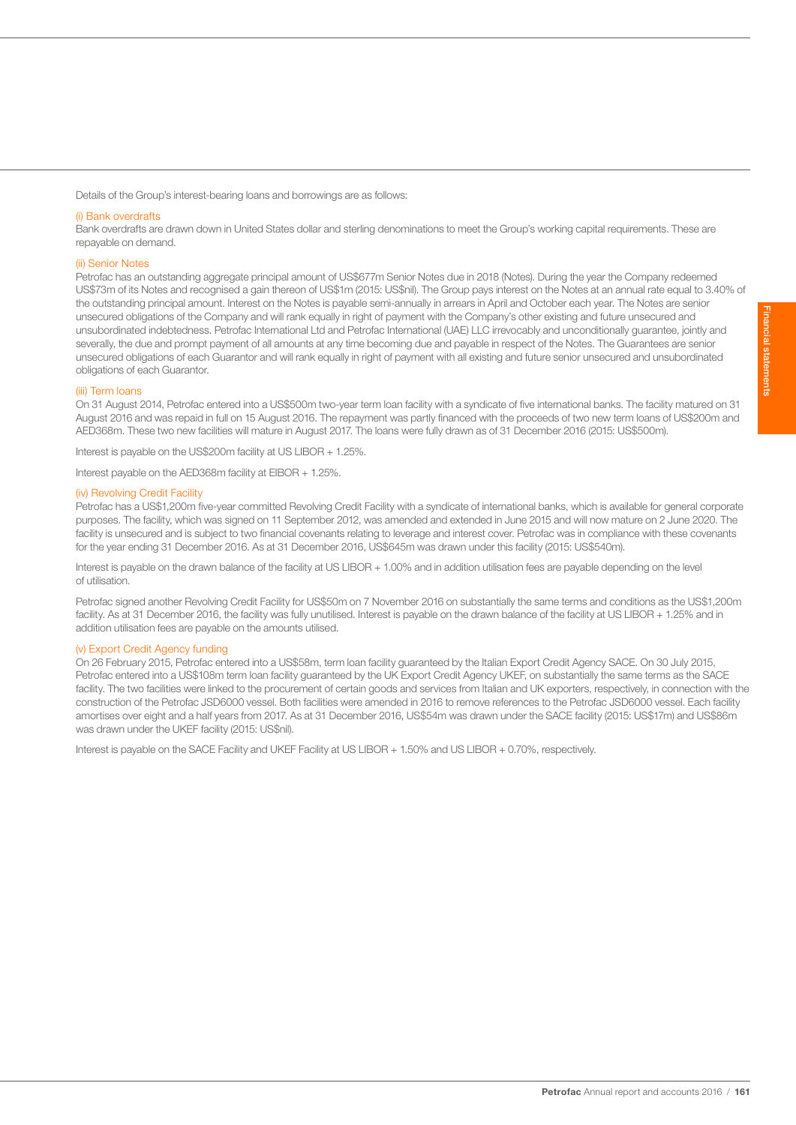Details of the Group's interest-bearing loans and borrowings are as follows:

#### (i) Bank overdrafts

Bank overdrafts are drawn down in United States dollar and sterling denominations to meet the Group's working capital requirements. These are repayable on demand.

#### (ii) Senior Notes

Petrofac has an outstanding aggregate principal amount of US\$677m Senior Notes due in 2018 (Notes). During the year the Company redeemed US\$73m of its Notes and recognised a gain thereon of US\$1m (2015: US\$nil). The Group pays interest on the Notes at an annual rate equal to 3.40% of the outstanding principal amount. Interest on the Notes is payable semi-annually in arrears in April and October each year. The Notes are senior unsecured obligations of the Company and will rank equally in right of payment with the Company's other existing and future unsecured and unsubordinated indebtedness. Petrofac International Ltd and Petrofac International (UAE) LLC irrevocably and unconditionally guarantee, jointly and severally, the due and prompt payment of all amounts at any time becoming due and payable in respect of the Notes. The Guarantees are senior unsecured obligations of each Guarantor and will rank equally in right of payment with all existing and future senior unsecured and unsubordinated obligations of each Guarantor.

#### (iii) Term loans

On 31 August 2014, Petrofac entered into a US\$500m two-year term loan facility with a syndicate of five international banks. The facility matured on 31 August 2016 and was repaid in full on 15 August 2016. The repayment was partly financed with the proceeds of two new term loans of US\$200m and AED368m. These two new facilities will mature in August 2017. The loans were fully drawn as of 31 December 2016 (2015: US\$500m).

Interest is payable on the US\$200m facility at US LIBOR + 1.25%.

Interest payable on the AED368m facility at EIBOR + 1.25%.

# (iv) Revolving Credit Facility

Petrofac has a US\$1,200m five-year committed Revolving Credit Facility with a syndicate of international banks, which is available for general corporate purposes. The facility, which was signed on 11 September 2012, was amended and extended in June 2015 and will now mature on 2 June 2020. The facility is unsecured and is subject to two financial covenants relating to leverage and interest cover. Petrofac was in compliance with these covenants for the year ending 31 December 2016. As at 31 December 2016, US\$645m was drawn under this facility (2015: US\$540m).

Interest is payable on the drawn balance of the facility at US LIBOR + 1.00% and in addition utilisation fees are payable depending on the level of utilisation.

Petrofac signed another Revolving Credit Facility for US\$50m on 7 November 2016 on substantially the same terms and conditions as the US\$1,200m facility. As at 31 December 2016, the facility was fully unutilised. Interest is payable on the drawn balance of the facility at US LIBOR + 1.25% and in addition utilisation fees are payable on the amounts utilised.

# (v) Export Credit Agency funding

On 26 February 2015, Petrofac entered into a US\$58m, term loan facility guaranteed by the Italian Export Credit Agency SACE. On 30 July 2015, Petrofac entered into a US\$108m term loan facility guaranteed by the UK Export Credit Agency UKEF, on substantially the same terms as the SACE facility. The two facilities were linked to the procurement of certain goods and services from Italian and UK exporters, respectively, in connection with the construction of the Petrofac JSD6000 vessel. Both facilities were amended in 2016 to remove references to the Petrofac JSD6000 vessel. Each facility amortises over eight and a half years from 2017. As at 31 December 2016, US\$54m was drawn under the SACE facility (2015: US\$17m) and US\$86m was drawn under the UKEF facility (2015: US\$nil).

Interest is payable on the SACE Facility and UKEF Facility at US LIBOR + 1.50% and US LIBOR + 0.70%, respectively.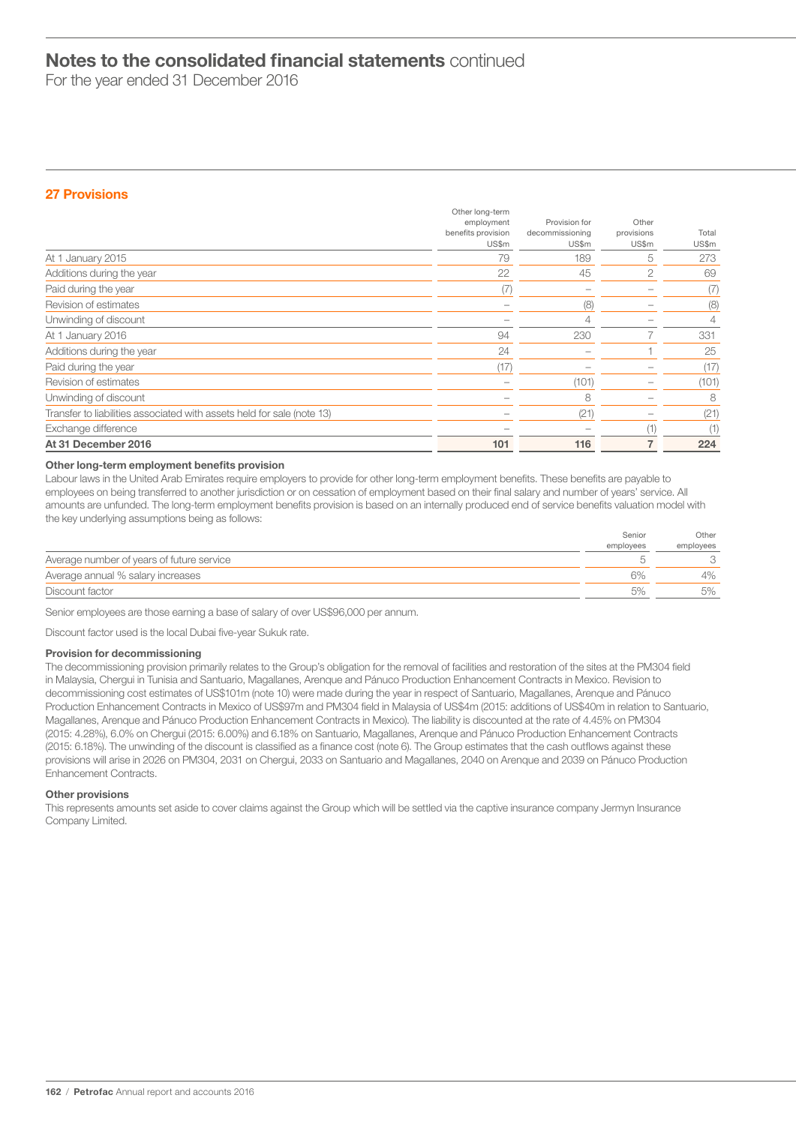For the year ended 31 December 2016

# 27 Provisions

|                                                                        | Other long-term<br>employment<br>benefits provision<br>US\$m | Provision for<br>decommissioning<br>US\$m | Other<br>provisions<br>US\$m | Total<br>US\$m |
|------------------------------------------------------------------------|--------------------------------------------------------------|-------------------------------------------|------------------------------|----------------|
| At 1 January 2015                                                      | 79                                                           | 189                                       | 5                            | 273            |
| Additions during the year                                              | 22                                                           | 45                                        | $\overline{c}$               | 69             |
| Paid during the year                                                   | (7)                                                          |                                           |                              | (7)            |
| Revision of estimates                                                  |                                                              | (8)                                       |                              | (8)            |
| Unwinding of discount                                                  |                                                              | 4                                         |                              | 4              |
| At 1 January 2016                                                      | 94                                                           | 230                                       |                              | 331            |
| Additions during the year                                              | 24                                                           |                                           |                              | 25             |
| Paid during the year                                                   | (17)                                                         |                                           |                              | (17)           |
| Revision of estimates                                                  |                                                              | (101)                                     |                              | (101)          |
| Unwinding of discount                                                  |                                                              | 8                                         |                              | 8              |
| Transfer to liabilities associated with assets held for sale (note 13) |                                                              | (21)                                      |                              | (21)           |
| Exchange difference                                                    |                                                              |                                           | (1                           | (1)            |
| At 31 December 2016                                                    | 101                                                          | 116                                       |                              | 224            |

# Other long-term employment benefits provision

Labour laws in the United Arab Emirates require employers to provide for other long-term employment benefits. These benefits are payable to employees on being transferred to another jurisdiction or on cessation of employment based on their final salary and number of years' service. All amounts are unfunded. The long-term employment benefits provision is based on an internally produced end of service benefits valuation model with the key underlying assumptions being as follows:

|                                           | Senior    | Other     |
|-------------------------------------------|-----------|-----------|
|                                           | employees | employees |
| Average number of years of future service |           |           |
| Average annual % salary increases         | 6%        | 4%        |
| Discount factor                           | 5%        | 5%        |

Senior employees are those earning a base of salary of over US\$96,000 per annum.

Discount factor used is the local Dubai five-year Sukuk rate.

# Provision for decommissioning

The decommissioning provision primarily relates to the Group's obligation for the removal of facilities and restoration of the sites at the PM304 field in Malaysia, Chergui in Tunisia and Santuario, Magallanes, Arenque and Pánuco Production Enhancement Contracts in Mexico. Revision to decommissioning cost estimates of US\$101m (note 10) were made during the year in respect of Santuario, Magallanes, Arenque and Pánuco Production Enhancement Contracts in Mexico of US\$97m and PM304 field in Malaysia of US\$4m (2015: additions of US\$40m in relation to Santuario, Magallanes, Arenque and Pánuco Production Enhancement Contracts in Mexico). The liability is discounted at the rate of 4.45% on PM304 (2015: 4.28%), 6.0% on Chergui (2015: 6.00%) and 6.18% on Santuario, Magallanes, Arenque and Pánuco Production Enhancement Contracts (2015: 6.18%). The unwinding of the discount is classified as a finance cost (note 6). The Group estimates that the cash outflows against these provisions will arise in 2026 on PM304, 2031 on Chergui, 2033 on Santuario and Magallanes, 2040 on Arenque and 2039 on Pánuco Production Enhancement Contracts.

# Other provisions

This represents amounts set aside to cover claims against the Group which will be settled via the captive insurance company Jermyn Insurance Company Limited.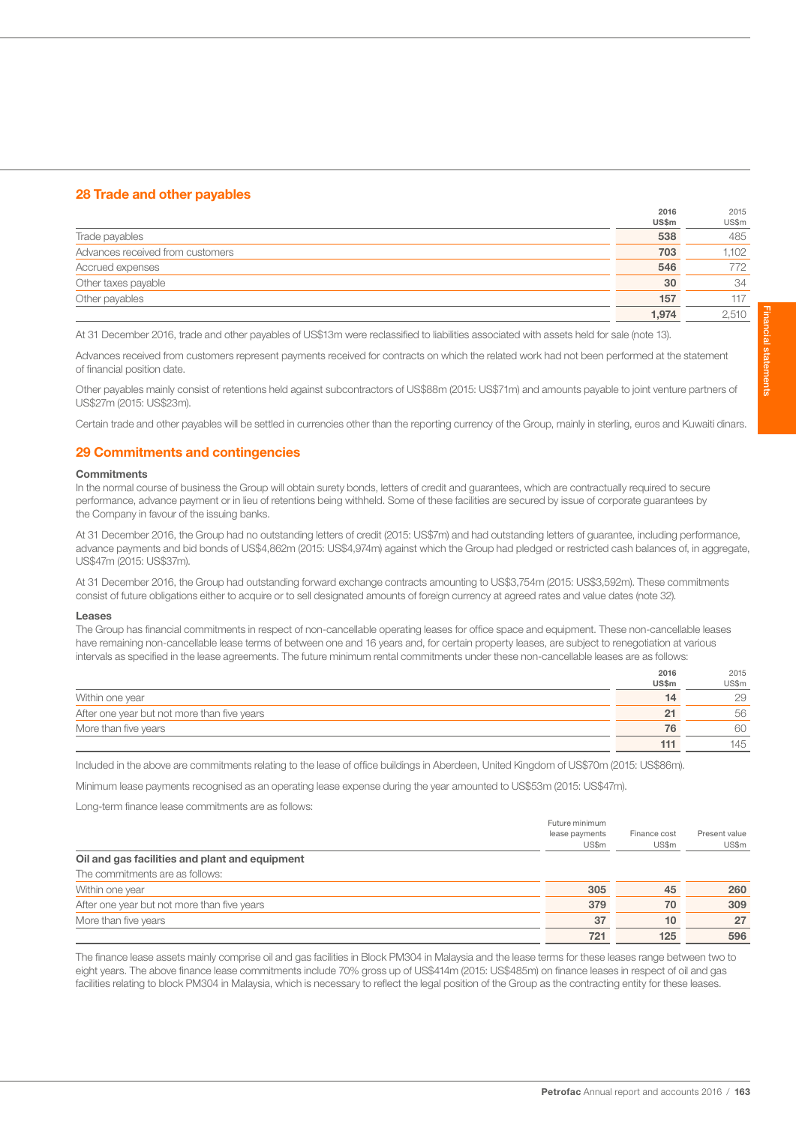# 28 Trade and other payables

|                                  | 2016  | 2015  |
|----------------------------------|-------|-------|
|                                  | US\$m | US\$m |
| Trade payables                   | 538   | 485   |
| Advances received from customers | 703   | 1.102 |
| Accrued expenses                 | 546   | 772   |
| Other taxes payable              | 30    | 34    |
| Other payables                   | 157   | 117   |
|                                  | 1.974 | 2.510 |

At 31 December 2016, trade and other payables of US\$13m were reclassified to liabilities associated with assets held for sale (note 13).

Advances received from customers represent payments received for contracts on which the related work had not been performed at the statement of financial position date.

Other payables mainly consist of retentions held against subcontractors of US\$88m (2015: US\$71m) and amounts payable to joint venture partners of US\$27m (2015: US\$23m).

Certain trade and other payables will be settled in currencies other than the reporting currency of the Group, mainly in sterling, euros and Kuwaiti dinars.

# 29 Commitments and contingencies

### **Commitments**

In the normal course of business the Group will obtain surety bonds, letters of credit and guarantees, which are contractually required to secure performance, advance payment or in lieu of retentions being withheld. Some of these facilities are secured by issue of corporate guarantees by the Company in favour of the issuing banks.

At 31 December 2016, the Group had no outstanding letters of credit (2015: US\$7m) and had outstanding letters of guarantee, including performance, advance payments and bid bonds of US\$4,862m (2015: US\$4,974m) against which the Group had pledged or restricted cash balances of, in aggregate, US\$47m (2015: US\$37m).

At 31 December 2016, the Group had outstanding forward exchange contracts amounting to US\$3,754m (2015: US\$3,592m). These commitments consist of future obligations either to acquire or to sell designated amounts of foreign currency at agreed rates and value dates (note 32).

#### Leases

The Group has financial commitments in respect of non-cancellable operating leases for office space and equipment. These non-cancellable leases have remaining non-cancellable lease terms of between one and 16 years and, for certain property leases, are subject to renegotiation at various intervals as specified in the lease agreements. The future minimum rental commitments under these non-cancellable leases are as follows:

|                                             | 2016  | 2015  |
|---------------------------------------------|-------|-------|
|                                             | US\$m | US\$m |
| Within one year                             | 14    | 29    |
| After one year but not more than five years | 21    | 56    |
| More than five years                        | 76    | 60    |
|                                             | 111   | 145   |

Included in the above are commitments relating to the lease of office buildings in Aberdeen, United Kingdom of US\$70m (2015: US\$86m).

Minimum lease payments recognised as an operating lease expense during the year amounted to US\$53m (2015: US\$47m).

Long-term finance lease commitments are as follows:

|                                                | Future minimum |              |               |
|------------------------------------------------|----------------|--------------|---------------|
|                                                | lease payments | Finance cost | Present value |
|                                                | US\$m          | US\$m        | US\$m         |
| Oil and gas facilities and plant and equipment |                |              |               |
| The commitments are as follows:                |                |              |               |
| Within one year                                | 305            | 45           | 260           |
| After one year but not more than five years    | 379            | 70           | 309           |
| More than five years                           | 37             | 10           | 27            |
|                                                | 721            | 125          | 596           |

The finance lease assets mainly comprise oil and gas facilities in Block PM304 in Malaysia and the lease terms for these leases range between two to eight years. The above finance lease commitments include 70% gross up of US\$414m (2015: US\$485m) on finance leases in respect of oil and gas facilities relating to block PM304 in Malaysia, which is necessary to reflect the legal position of the Group as the contracting entity for these leases.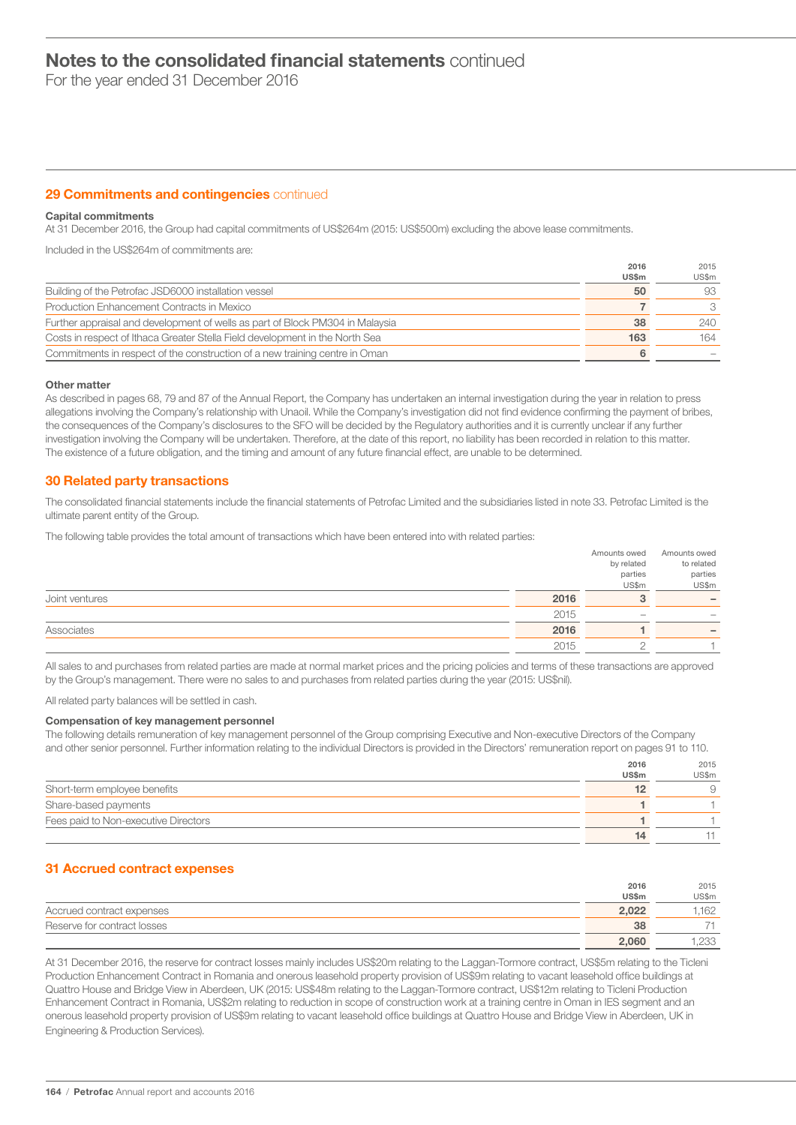For the year ended 31 December 2016

# **29 Commitments and contingencies continued**

# Capital commitments

At 31 December 2016, the Group had capital commitments of US\$264m (2015: US\$500m) excluding the above lease commitments.

Included in the US\$264m of commitments are:

|                                                                               | 2016  | 2015  |
|-------------------------------------------------------------------------------|-------|-------|
|                                                                               | US\$m | US\$m |
| Building of the Petrofac JSD6000 installation vessel                          | 50    | 93    |
| Production Enhancement Contracts in Mexico                                    |       | 3     |
| Further appraisal and development of wells as part of Block PM304 in Malaysia | 38    | 240   |
| Costs in respect of Ithaca Greater Stella Field development in the North Sea  | 163   | 164   |
| Commitments in respect of the construction of a new training centre in Oman   | 6     |       |

# Other matter

As described in pages 68, 79 and 87 of the Annual Report, the Company has undertaken an internal investigation during the year in relation to press allegations involving the Company's relationship with Unaoil. While the Company's investigation did not find evidence confirming the payment of bribes, the consequences of the Company's disclosures to the SFO will be decided by the Regulatory authorities and it is currently unclear if any further investigation involving the Company will be undertaken. Therefore, at the date of this report, no liability has been recorded in relation to this matter. The existence of a future obligation, and the timing and amount of any future financial effect, are unable to be determined.

# 30 Related party transactions

The consolidated financial statements include the financial statements of Petrofac Limited and the subsidiaries listed in note 33. Petrofac Limited is the ultimate parent entity of the Group.

The following table provides the total amount of transactions which have been entered into with related parties:

|                |      | Amounts owed | Amounts owed             |
|----------------|------|--------------|--------------------------|
|                |      | by related   | to related               |
|                |      | parties      | parties                  |
|                |      | US\$m        | US\$m                    |
| Joint ventures | 2016 |              | $\overline{\phantom{0}}$ |
|                | 2015 |              |                          |
| Associates     | 2016 |              | $\overline{\phantom{a}}$ |
|                | 2015 |              |                          |
|                |      |              |                          |

All sales to and purchases from related parties are made at normal market prices and the pricing policies and terms of these transactions are approved by the Group's management. There were no sales to and purchases from related parties during the year (2015: US\$nil).

All related party balances will be settled in cash.

### Compensation of key management personnel

The following details remuneration of key management personnel of the Group comprising Executive and Non-executive Directors of the Company and other senior personnel. Further information relating to the individual Directors is provided in the Directors' remuneration report on pages 91 to 110.

2016

 $0.25$ 

|                                      | <b>ZU ID</b> | ZUIU  |
|--------------------------------------|--------------|-------|
|                                      | US\$m        | US\$m |
| Short-term employee benefits         |              |       |
| Share-based payments                 |              |       |
| Fees paid to Non-executive Directors |              |       |
|                                      |              |       |

# 31 Accrued contract expenses

|                             | 2016  | 2015       |
|-----------------------------|-------|------------|
|                             | US\$m | US\$m      |
| Accrued contract expenses   | 2.022 | 162        |
| Reserve for contract losses | 38    |            |
|                             | 2,060 | つろろ<br>ムしし |

At 31 December 2016, the reserve for contract losses mainly includes US\$20m relating to the Laggan-Tormore contract, US\$5m relating to the Ticleni Production Enhancement Contract in Romania and onerous leasehold property provision of US\$9m relating to vacant leasehold office buildings at Quattro House and Bridge View in Aberdeen, UK (2015: US\$48m relating to the Laggan-Tormore contract, US\$12m relating to Ticleni Production Enhancement Contract in Romania, US\$2m relating to reduction in scope of construction work at a training centre in Oman in IES segment and an onerous leasehold property provision of US\$9m relating to vacant leasehold office buildings at Quattro House and Bridge View in Aberdeen, UK in Engineering & Production Services).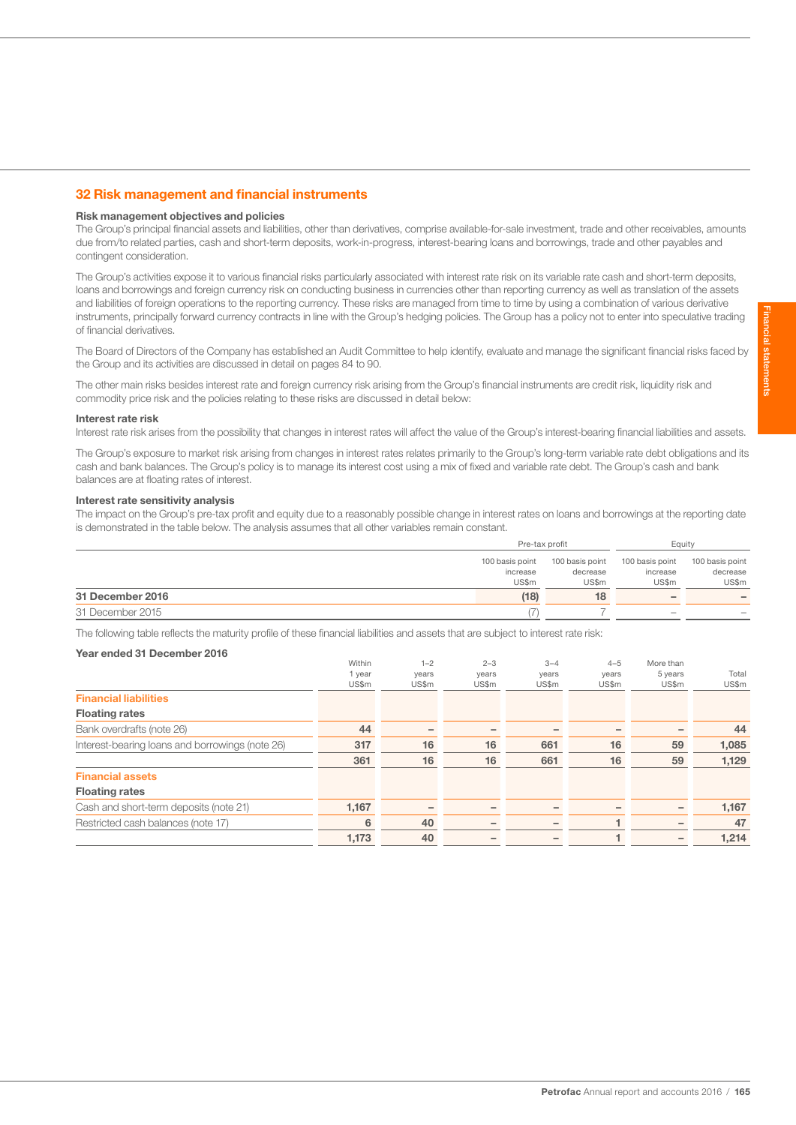# 32 Risk management and financial instruments

#### Risk management objectives and policies

The Group's principal financial assets and liabilities, other than derivatives, comprise available-for-sale investment, trade and other receivables, amounts due from/to related parties, cash and short-term deposits, work-in-progress, interest-bearing loans and borrowings, trade and other payables and contingent consideration.

The Group's activities expose it to various financial risks particularly associated with interest rate risk on its variable rate cash and short-term deposits, loans and borrowings and foreign currency risk on conducting business in currencies other than reporting currency as well as translation of the assets and liabilities of foreign operations to the reporting currency. These risks are managed from time to time by using a combination of various derivative instruments, principally forward currency contracts in line with the Group's hedging policies. The Group has a policy not to enter into speculative trading of financial derivatives.

The Board of Directors of the Company has established an Audit Committee to help identify, evaluate and manage the significant financial risks faced by the Group and its activities are discussed in detail on pages 84 to 90.

The other main risks besides interest rate and foreign currency risk arising from the Group's financial instruments are credit risk, liquidity risk and commodity price risk and the policies relating to these risks are discussed in detail below:

#### Interest rate risk

Interest rate risk arises from the possibility that changes in interest rates will affect the value of the Group's interest-bearing financial liabilities and assets.

The Group's exposure to market risk arising from changes in interest rates relates primarily to the Group's long-term variable rate debt obligations and its cash and bank balances. The Group's policy is to manage its interest cost using a mix of fixed and variable rate debt. The Group's cash and bank balances are at floating rates of interest.

#### Interest rate sensitivity analysis

The impact on the Group's pre-tax profit and equity due to a reasonably possible change in interest rates on loans and borrowings at the reporting date is demonstrated in the table below. The analysis assumes that all other variables remain constant.

|                  |                 | Pre-tax profit  |                          | Equity                   |
|------------------|-----------------|-----------------|--------------------------|--------------------------|
|                  | 100 basis point | 100 basis point | 100 basis point          | 100 basis point          |
|                  | increase        | decrease        | increase                 | decrease                 |
|                  | US\$m           | US\$m           | US\$m                    | US\$m                    |
| 31 December 2016 | (18)            | 18              | $\overline{\phantom{0}}$ | $\overline{\phantom{a}}$ |
| 31 December 2015 |                 |                 |                          | $\qquad \qquad$          |

The following table reflects the maturity profile of these financial liabilities and assets that are subject to interest rate risk:

# Year ended 31 December 2016

|                                                 | Within | $1 - 2$ | $2 - 3$ | $3 - 4$ | $4 - 5$ | More than |       |
|-------------------------------------------------|--------|---------|---------|---------|---------|-----------|-------|
|                                                 | I year | years   | years   | years   | years   | 5 years   | Total |
|                                                 | US\$m  | US\$m   | US\$m   | US\$m   | US\$m   | US\$m     | US\$m |
| <b>Financial liabilities</b>                    |        |         |         |         |         |           |       |
| <b>Floating rates</b>                           |        |         |         |         |         |           |       |
| Bank overdrafts (note 26)                       | 44     |         |         |         |         |           | 44    |
| Interest-bearing loans and borrowings (note 26) | 317    | 16      | 16      | 661     | 16      | 59        | 1,085 |
|                                                 | 361    | 16      | 16      | 661     | 16      | 59        | 1,129 |
| <b>Financial assets</b>                         |        |         |         |         |         |           |       |
| <b>Floating rates</b>                           |        |         |         |         |         |           |       |
| Cash and short-term deposits (note 21)          | 1,167  | -       |         |         |         |           | 1,167 |
| Restricted cash balances (note 17)              | 6      | 40      |         |         |         |           | 47    |
|                                                 | 1,173  | 40      |         |         |         |           | 1,214 |
|                                                 |        |         |         |         |         |           |       |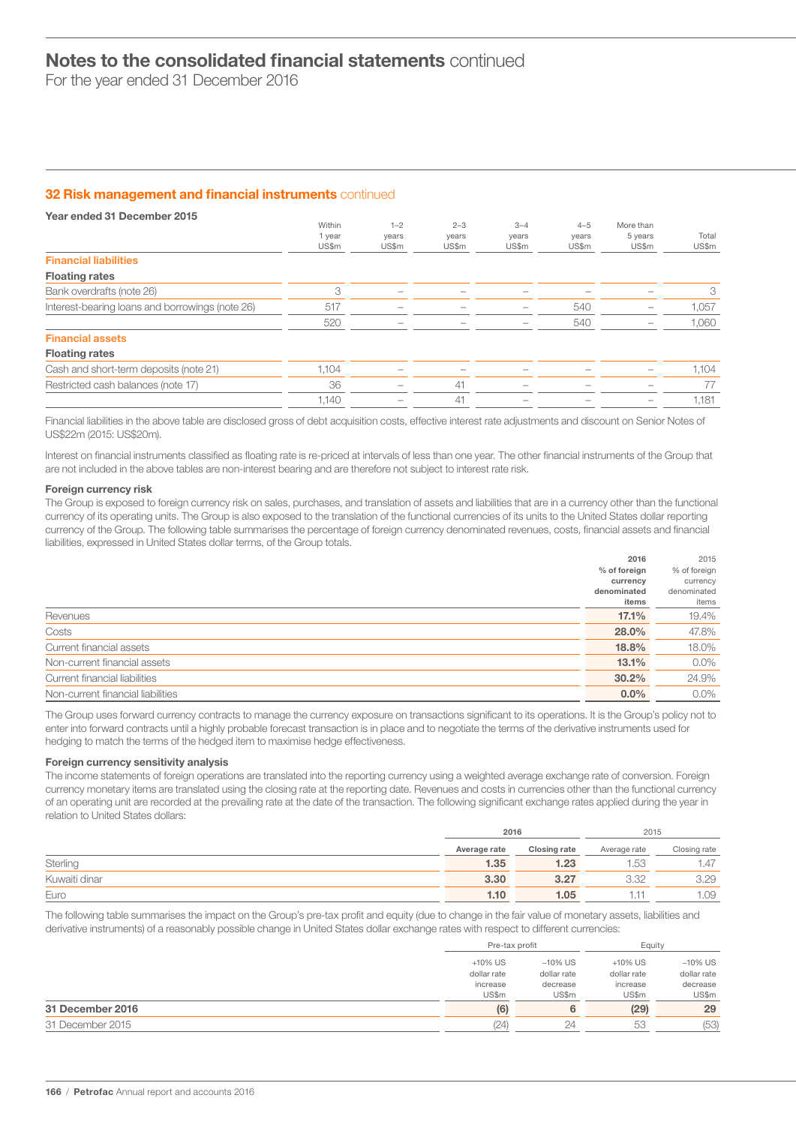For the year ended 31 December 2016

# **32 Risk management and financial instruments continued**

| Year ended 31 December 2015                     |        |         |         |         |         |           |       |
|-------------------------------------------------|--------|---------|---------|---------|---------|-----------|-------|
|                                                 | Within | $1 - 2$ | $2 - 3$ | $3 - 4$ | $4 - 5$ | More than |       |
|                                                 | 1 year | years   | years   | years   | years   | 5 years   | Total |
|                                                 | US\$m  | US\$m   | US\$m   | US\$m   | US\$m   | US\$m     | US\$m |
| <b>Financial liabilities</b>                    |        |         |         |         |         |           |       |
| <b>Floating rates</b>                           |        |         |         |         |         |           |       |
| Bank overdrafts (note 26)                       | 3      |         |         |         |         |           | 3     |
| Interest-bearing loans and borrowings (note 26) | 517    |         |         |         | 540     |           | 1,057 |
|                                                 | 520    |         |         |         | 540     |           | 1,060 |
| <b>Financial assets</b>                         |        |         |         |         |         |           |       |
| <b>Floating rates</b>                           |        |         |         |         |         |           |       |
| Cash and short-term deposits (note 21)          | 1,104  |         |         |         |         |           | 1,104 |
| Restricted cash balances (note 17)              | 36     |         | 41      |         |         |           | 77    |
|                                                 | 1,140  |         | 41      |         |         |           | 1,181 |
|                                                 |        |         |         |         |         |           |       |

Financial liabilities in the above table are disclosed gross of debt acquisition costs, effective interest rate adjustments and discount on Senior Notes of US\$22m (2015: US\$20m).

Interest on financial instruments classified as floating rate is re-priced at intervals of less than one year. The other financial instruments of the Group that are not included in the above tables are non-interest bearing and are therefore not subject to interest rate risk.

# Foreign currency risk

The Group is exposed to foreign currency risk on sales, purchases, and translation of assets and liabilities that are in a currency other than the functional currency of its operating units. The Group is also exposed to the translation of the functional currencies of its units to the United States dollar reporting currency of the Group. The following table summarises the percentage of foreign currency denominated revenues, costs, financial assets and financial liabilities, expressed in United States dollar terms, of the Group totals.

2016

 $2015$ 

|                                   | 2016           | 2015         |
|-----------------------------------|----------------|--------------|
|                                   | $%$ of foreign | % of foreign |
|                                   | currency       | currency     |
|                                   | denominated    | denominated  |
|                                   | items          | items        |
| Revenues                          | 17.1%          | 19.4%        |
| Costs                             | 28.0%          | 47.8%        |
| Current financial assets          | 18.8%          | 18.0%        |
| Non-current financial assets      | 13.1%          | $0.0\%$      |
| Current financial liabilities     | 30.2%          | 24.9%        |
| Non-current financial liabilities | $0.0\%$        | $0.0\%$      |
|                                   |                |              |

The Group uses forward currency contracts to manage the currency exposure on transactions significant to its operations. It is the Group's policy not to enter into forward contracts until a highly probable forecast transaction is in place and to negotiate the terms of the derivative instruments used for hedging to match the terms of the hedged item to maximise hedge effectiveness.

# Foreign currency sensitivity analysis

The income statements of foreign operations are translated into the reporting currency using a weighted average exchange rate of conversion. Foreign currency monetary items are translated using the closing rate at the reporting date. Revenues and costs in currencies other than the functional currency of an operating unit are recorded at the prevailing rate at the date of the transaction. The following significant exchange rates applied during the year in relation to United States dollars:

|               |              | 2016         | 2015         |              |
|---------------|--------------|--------------|--------------|--------------|
|               | Average rate | Closing rate | Average rate | Closing rate |
| Sterling      | 1.35         | 1.23         | 1.53         | 1.47         |
| Kuwaiti dinar | 3.30         | 3.27         | 3.32         | 3.29         |
| Euro          | 1.10         | 1.05         |              | .09          |

The following table summarises the impact on the Group's pre-tax profit and equity (due to change in the fair value of monetary assets, liabilities and derivative instruments) of a reasonably possible change in United States dollar exchange rates with respect to different currencies:

|                  | Pre-tax profit |             | Equity      |             |
|------------------|----------------|-------------|-------------|-------------|
|                  | $+10\%$ US     | $-10\%$ US  | $+10\%$ US  | $-10\%$ US  |
|                  | dollar rate    | dollar rate | dollar rate | dollar rate |
|                  | increase       | decrease    | increase    | decrease    |
|                  | US\$m          | US\$m       | US\$m       | US\$m       |
| 31 December 2016 | (6)            | 6           | (29)        | 29          |
| 31 December 2015 | (24)           | 24          | 53          | (53)        |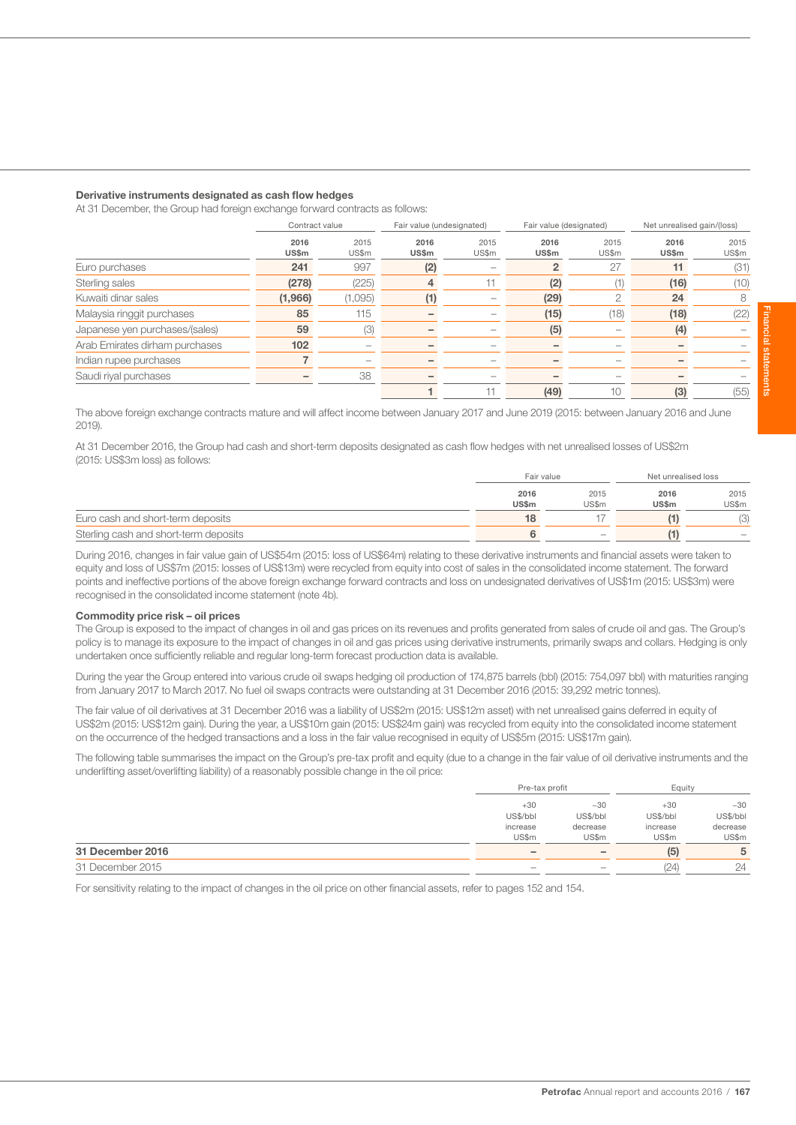#### Derivative instruments designated as cash flow hedges

At 31 December, the Group had foreign exchange forward contracts as follows:

|                                | Contract value |         |       | Fair value (undesignated) |       | Fair value (designated) | Net unrealised gain/(loss) |       |
|--------------------------------|----------------|---------|-------|---------------------------|-------|-------------------------|----------------------------|-------|
|                                | 2016           | 2015    | 2016  | 2015                      | 2016  | 2015                    | 2016                       | 2015  |
|                                | US\$m          | US\$m   | US\$m | US\$m                     | US\$m | US\$m                   | US\$m                      | US\$m |
| Euro purchases                 | 241            | 997     | (2)   |                           |       | 27                      | 11                         | (31)  |
| Sterling sales                 | (278)          | (225)   |       |                           | (2)   | 1)                      | (16)                       | (10)  |
| Kuwaiti dinar sales            | (1,966)        | (1,095) |       |                           | (29)  |                         | 24                         | 8     |
| Malaysia ringgit purchases     | 85             | 115     |       |                           | (15)  | (18)                    | (18)                       | (22)  |
| Japanese yen purchases/(sales) | 59             | (3)     |       |                           | (5)   |                         | (4)                        |       |
| Arab Emirates dirham purchases | 102            |         |       |                           |       |                         |                            |       |
| Indian rupee purchases         |                |         |       |                           |       |                         |                            |       |
| Saudi riyal purchases          |                | 38      |       |                           |       |                         |                            |       |
|                                |                |         |       |                           | (49)  | 10                      | (3)                        | (55)  |

The above foreign exchange contracts mature and will affect income between January 2017 and June 2019 (2015: between January 2016 and June 2019).

At 31 December 2016, the Group had cash and short-term deposits designated as cash flow hedges with net unrealised losses of US\$2m (2015: US\$3m loss) as follows:

|                                       |       | Fair value        |              | Net unrealised loss      |  |
|---------------------------------------|-------|-------------------|--------------|--------------------------|--|
|                                       | 2016  | 2015              | 2016         | 2015                     |  |
|                                       | US\$m | US\$m             | <b>US\$m</b> | US\$m                    |  |
| Euro cash and short-term deposits     | 18    |                   |              |                          |  |
| Sterling cash and short-term deposits |       | $\hspace{0.05cm}$ |              | $\overline{\phantom{a}}$ |  |

During 2016, changes in fair value gain of US\$54m (2015: loss of US\$64m) relating to these derivative instruments and financial assets were taken to equity and loss of US\$7m (2015: losses of US\$13m) were recycled from equity into cost of sales in the consolidated income statement. The forward points and ineffective portions of the above foreign exchange forward contracts and loss on undesignated derivatives of US\$1m (2015: US\$3m) were recognised in the consolidated income statement (note 4b).

#### Commodity price risk – oil prices

The Group is exposed to the impact of changes in oil and gas prices on its revenues and profits generated from sales of crude oil and gas. The Group's policy is to manage its exposure to the impact of changes in oil and gas prices using derivative instruments, primarily swaps and collars. Hedging is only undertaken once sufficiently reliable and regular long-term forecast production data is available.

During the year the Group entered into various crude oil swaps hedging oil production of 174,875 barrels (bbl) (2015: 754,097 bbl) with maturities ranging from January 2017 to March 2017. No fuel oil swaps contracts were outstanding at 31 December 2016 (2015: 39,292 metric tonnes).

The fair value of oil derivatives at 31 December 2016 was a liability of US\$2m (2015: US\$12m asset) with net unrealised gains deferred in equity of US\$2m (2015: US\$12m gain). During the year, a US\$10m gain (2015: US\$24m gain) was recycled from equity into the consolidated income statement on the occurrence of the hedged transactions and a loss in the fair value recognised in equity of US\$5m (2015: US\$17m gain).

The following table summarises the impact on the Group's pre-tax profit and equity (due to a change in the fair value of oil derivative instruments and the underlifting asset/overlifting liability) of a reasonably possible change in the oil price:

|                         | Pre-tax profit           |                   | Equity   |          |
|-------------------------|--------------------------|-------------------|----------|----------|
|                         | $+30$                    | $-30$             | $+30$    | $-30$    |
|                         | US\$/bbl                 | US\$/bbl          | US\$/bbl | US\$/bbl |
|                         | increase                 | decrease          | increase | decrease |
|                         | US\$m                    | US\$m             | US\$m    | US\$m    |
| <b>31 December 2016</b> | -                        |                   | (5)      | 5        |
| 31 December 2015        | $\overline{\phantom{a}}$ | $\hspace{0.05cm}$ | (24)     | 24       |

For sensitivity relating to the impact of changes in the oil price on other financial assets, refer to pages 152 and 154.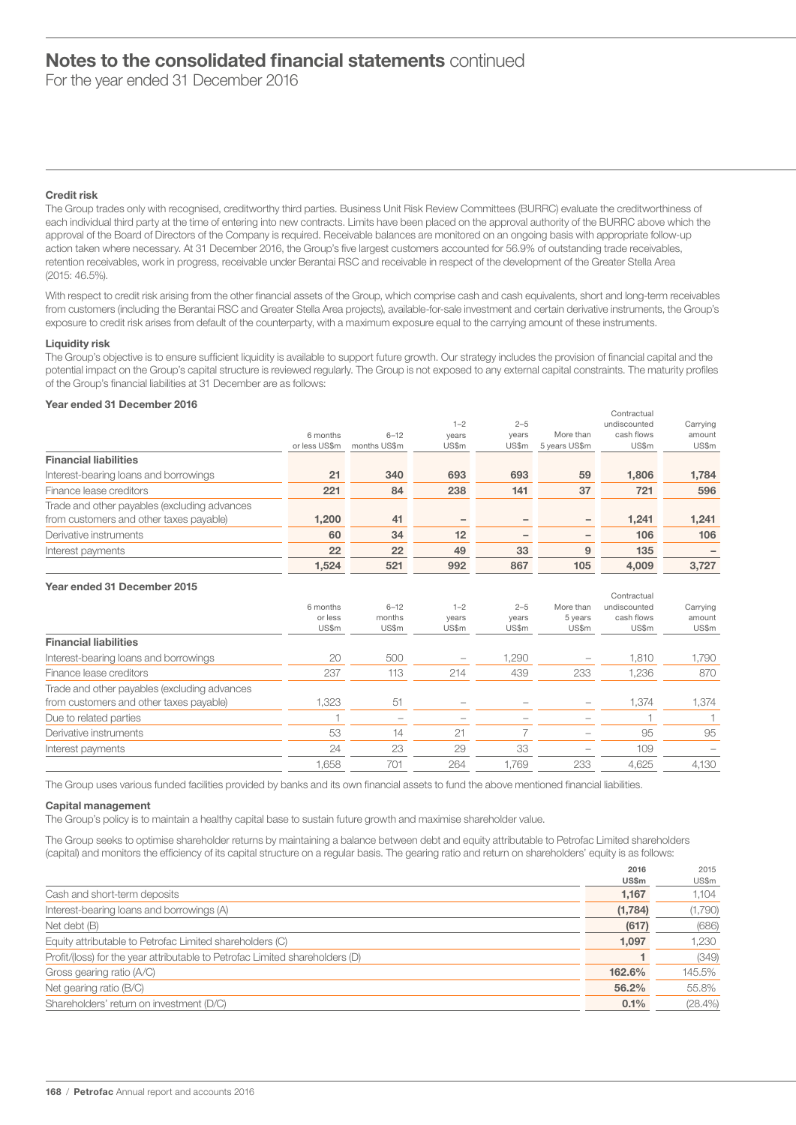For the year ended 31 December 2016

# Credit risk

The Group trades only with recognised, creditworthy third parties. Business Unit Risk Review Committees (BURRC) evaluate the creditworthiness of each individual third party at the time of entering into new contracts. Limits have been placed on the approval authority of the BURRC above which the approval of the Board of Directors of the Company is required. Receivable balances are monitored on an ongoing basis with appropriate follow-up action taken where necessary. At 31 December 2016, the Group's five largest customers accounted for 56.9% of outstanding trade receivables, retention receivables, work in progress, receivable under Berantai RSC and receivable in respect of the development of the Greater Stella Area (2015: 46.5%).

With respect to credit risk arising from the other financial assets of the Group, which comprise cash and cash equivalents, short and long-term receivables from customers (including the Berantai RSC and Greater Stella Area projects), available-for-sale investment and certain derivative instruments, the Group's exposure to credit risk arises from default of the counterparty, with a maximum exposure equal to the carrying amount of these instruments.

## Liquidity risk

The Group's objective is to ensure sufficient liquidity is available to support future growth. Our strategy includes the provision of financial capital and the potential impact on the Group's capital structure is reviewed regularly. The Group is not exposed to any external capital constraints. The maturity profiles of the Group's financial liabilities at 31 December are as follows:

# Year ended 31 December 2016

|                                              |               |              |         |         |               | Contractual  |          |
|----------------------------------------------|---------------|--------------|---------|---------|---------------|--------------|----------|
|                                              |               |              | $1 - 2$ | $2 - 5$ |               | undiscounted | Carrying |
|                                              | 6 months      | $6 - 12$     | years   | years   | More than     | cash flows   | amount   |
|                                              | or less US\$m | months US\$m | US\$m   | US\$m   | 5 years US\$m | US\$m        | US\$m    |
| <b>Financial liabilities</b>                 |               |              |         |         |               |              |          |
| Interest-bearing loans and borrowings        | 21            | 340          | 693     | 693     | 59            | 1,806        | 1,784    |
| Finance lease creditors                      | 221           | 84           | 238     | 141     | 37            | 721          | 596      |
| Trade and other payables (excluding advances |               |              |         |         |               |              |          |
| from customers and other taxes payable)      | 1,200         | 41           | -       |         | -             | 1,241        | 1,241    |
| Derivative instruments                       | 60            | 34           | 12      |         |               | 106          | 106      |
| Interest payments                            | 22            | 22           | 49      | 33      | 9             | 135          |          |
|                                              | 1.524         | 521          | 992     | 867     | 105           | 4.009        | 3.727    |

# Year ended 31 December 2015

|                                              |          |                          |         |         |           | Contractual  |          |
|----------------------------------------------|----------|--------------------------|---------|---------|-----------|--------------|----------|
|                                              | 6 months | $6 - 12$                 | $1 - 2$ | $2 - 5$ | More than | undiscounted | Carrying |
|                                              | or less  | months                   | years   | years   | 5 years   | cash flows   | amount   |
|                                              | US\$m    | US\$m                    | US\$m   | US\$m   | US\$m     | US\$m        | US\$m    |
| <b>Financial liabilities</b>                 |          |                          |         |         |           |              |          |
| Interest-bearing loans and borrowings        | 20       | 500                      |         | 1,290   |           | 1,810        | 1,790    |
| Finance lease creditors                      | 237      | 113                      | 214     | 439     | 233       | 1.236        | 870      |
| Trade and other payables (excluding advances |          |                          |         |         |           |              |          |
| from customers and other taxes payable)      | 1,323    | 51                       |         |         |           | 1,374        | 1,374    |
| Due to related parties                       |          | $\overline{\phantom{a}}$ | -       |         |           |              |          |
| Derivative instruments                       | 53       | 14                       | 21      |         |           | 95           | 95       |
| Interest payments                            | 24       | 23                       | 29      | 33      |           | 109          |          |
|                                              | 1.658    | 701                      | 264     | 1.769   | 233       | 4.625        | 4.130    |

The Group uses various funded facilities provided by banks and its own financial assets to fund the above mentioned financial liabilities.

#### Capital management

The Group's policy is to maintain a healthy capital base to sustain future growth and maximise shareholder value.

The Group seeks to optimise shareholder returns by maintaining a balance between debt and equity attributable to Petrofac Limited shareholders (capital) and monitors the efficiency of its capital structure on a regular basis. The gearing ratio and return on shareholders' equity is as follows:

|                                                                              | 2016    | 2015       |
|------------------------------------------------------------------------------|---------|------------|
|                                                                              | US\$m   | US\$m      |
| Cash and short-term deposits                                                 | 1,167   | 1.104      |
| Interest-bearing loans and borrowings (A)                                    | (1,784) | (1,790)    |
| Net debt (B)                                                                 | (617)   | (686)      |
| Equity attributable to Petrofac Limited shareholders (C)                     | 1,097   | 1.230      |
| Profit/(loss) for the year attributable to Petrofac Limited shareholders (D) |         | (349)      |
| Gross gearing ratio (A/C)                                                    | 162.6%  | 145.5%     |
| Net gearing ratio (B/C)                                                      | 56.2%   | 55.8%      |
| Shareholders' return on investment (D/C)                                     | 0.1%    | $(28.4\%)$ |
|                                                                              |         |            |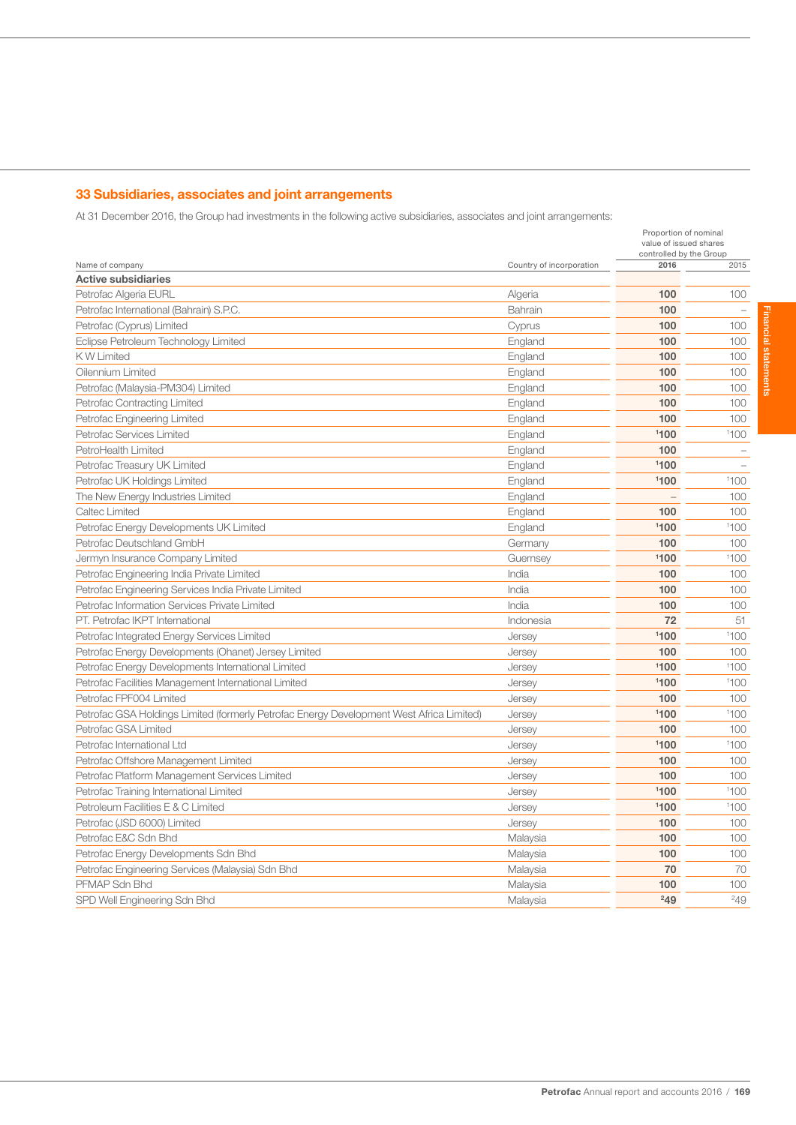# 33 Subsidiaries, associates and joint arrangements

At 31 December 2016, the Group had investments in the following active subsidiaries, associates and joint arrangements:

|                                                                                          |                          | Proportion of nominal<br>value of issued shares<br>controlled by the Group |                          |
|------------------------------------------------------------------------------------------|--------------------------|----------------------------------------------------------------------------|--------------------------|
| Name of company                                                                          | Country of incorporation | 2016                                                                       | 2015                     |
| <b>Active subsidiaries</b>                                                               |                          |                                                                            |                          |
| Petrofac Algeria EURL                                                                    | Algeria                  | 100                                                                        | 100                      |
| Petrofac International (Bahrain) S.P.C.                                                  | Bahrain                  | 100                                                                        |                          |
| Petrofac (Cyprus) Limited                                                                | Cyprus                   | 100                                                                        | 100                      |
| Eclipse Petroleum Technology Limited                                                     | England                  | 100                                                                        | 100                      |
| <b>KW Limited</b>                                                                        | England                  | 100                                                                        | 100                      |
| Oilennium Limited                                                                        | England                  | 100                                                                        | 100                      |
| Petrofac (Malaysia-PM304) Limited                                                        | England                  | 100                                                                        | 100                      |
| Petrofac Contracting Limited                                                             | England                  | 100                                                                        | 100                      |
| Petrofac Engineering Limited                                                             | England                  | 100                                                                        | 100                      |
| Petrofac Services Limited                                                                | England                  | 1100                                                                       | 1100                     |
| PetroHealth Limited                                                                      | England                  | 100                                                                        | $\overline{\phantom{m}}$ |
| Petrofac Treasury UK Limited                                                             | England                  | 1100                                                                       | $\overline{\phantom{a}}$ |
| Petrofac UK Holdings Limited                                                             | England                  | 1100                                                                       | 1100                     |
| The New Energy Industries Limited                                                        | England                  |                                                                            | 100                      |
| Caltec Limited                                                                           | England                  | 100                                                                        | 100                      |
| Petrofac Energy Developments UK Limited                                                  | England                  | 1100                                                                       | 1100                     |
| Petrofac Deutschland GmbH                                                                | Germany                  | 100                                                                        | 100                      |
| Jermyn Insurance Company Limited                                                         | Guernsey                 | 1100                                                                       | 1100                     |
| Petrofac Engineering India Private Limited                                               | India                    | 100                                                                        | 100                      |
| Petrofac Engineering Services India Private Limited                                      | India                    | 100                                                                        | 100                      |
| Petrofac Information Services Private Limited                                            | India                    | 100                                                                        | 100                      |
| PT. Petrofac IKPT International                                                          | Indonesia                | 72                                                                         | 51                       |
| Petrofac Integrated Energy Services Limited                                              | Jersey                   | 1100                                                                       | 1100                     |
| Petrofac Energy Developments (Ohanet) Jersey Limited                                     | Jersey                   | 100                                                                        | 100                      |
| Petrofac Energy Developments International Limited                                       | Jersey                   | 1100                                                                       | 1100                     |
| Petrofac Facilities Management International Limited                                     | Jersey                   | 1100                                                                       | 1100                     |
| Petrofac FPF004 Limited                                                                  | Jersey                   | 100                                                                        | 100                      |
| Petrofac GSA Holdings Limited (formerly Petrofac Energy Development West Africa Limited) | Jersey                   | 1100                                                                       | 1100                     |
| Petrofac GSA Limited                                                                     | Jersey                   | 100                                                                        | 100                      |
| Petrofac International Ltd                                                               | Jersey                   | 1100                                                                       | 1100                     |
| Petrofac Offshore Management Limited                                                     | Jersey                   | 100                                                                        | 100                      |
| Petrofac Platform Management Services Limited                                            | Jersey                   | 100                                                                        | 100                      |
| Petrofac Training International Limited                                                  | Jersey                   | 1100                                                                       | 1100                     |
| Petroleum Facilities E & C Limited                                                       | Jersey                   | 1100                                                                       | 1100                     |
| Petrofac (JSD 6000) Limited                                                              | Jersey                   | 100                                                                        | 100                      |
| Petrofac E&C Sdn Bhd                                                                     | Malaysia                 | 100                                                                        | 100                      |
| Petrofac Energy Developments Sdn Bhd                                                     | Malaysia                 | 100                                                                        | 100                      |
| Petrofac Engineering Services (Malaysia) Sdn Bhd                                         | Malaysia                 | 70                                                                         | 70                       |
| PFMAP Sdn Bhd                                                                            | Malaysia                 | 100                                                                        | 100                      |
| SPD Well Engineering Sdn Bhd                                                             | Malaysia                 | 249                                                                        | 249                      |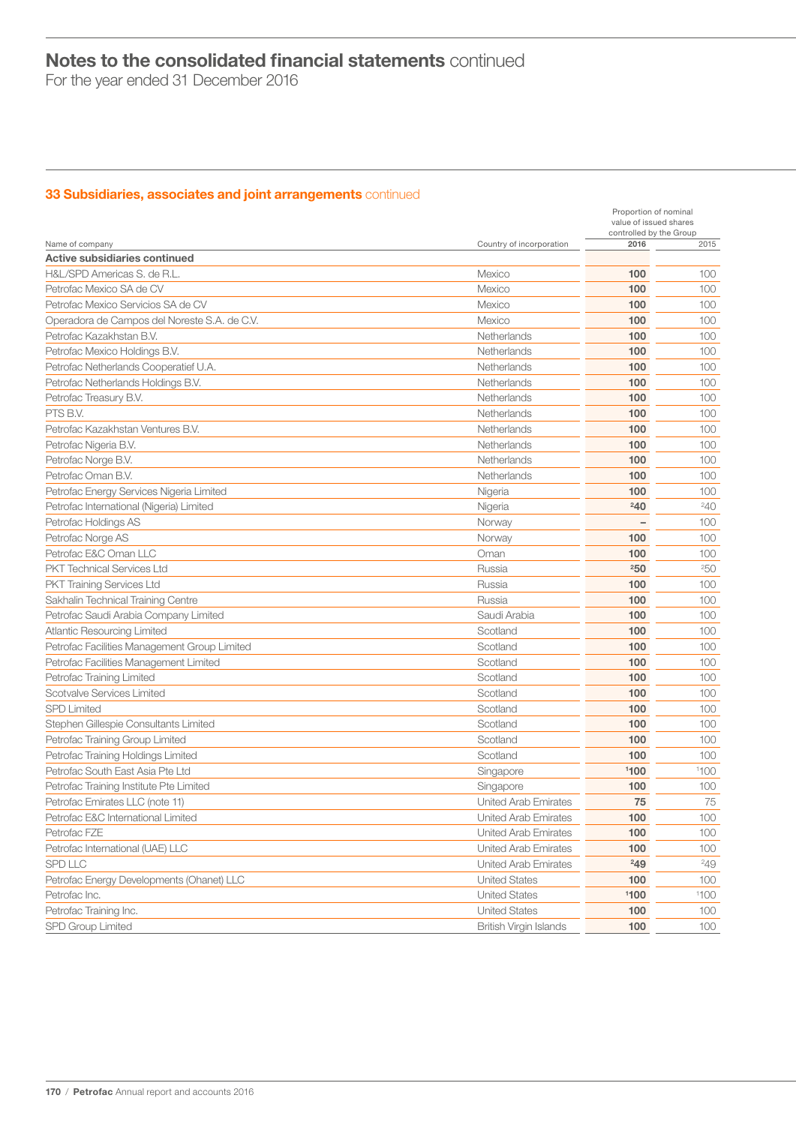For the year ended 31 December 2016

# **33 Subsidiaries, associates and joint arrangements** continued

|                                                                          |                               | Proportion of nominal<br>value of issued shares |            |
|--------------------------------------------------------------------------|-------------------------------|-------------------------------------------------|------------|
| Name of company                                                          | Country of incorporation      | controlled by the Group<br>2016                 | 2015       |
| Active subsidiaries continued                                            |                               |                                                 |            |
| H&L/SPD Americas S. de R.L.                                              | Mexico                        | 100                                             | 100        |
| Petrofac Mexico SA de CV                                                 | Mexico                        | 100                                             | 100        |
| Petrofac Mexico Servicios SA de CV                                       | Mexico                        | 100                                             | 100        |
| Operadora de Campos del Noreste S.A. de C.V.                             | Mexico                        | 100                                             | 100        |
| Petrofac Kazakhstan B.V.                                                 | Netherlands                   | 100                                             | 100        |
| Petrofac Mexico Holdings B.V.                                            | Netherlands                   | 100                                             | 100        |
| Petrofac Netherlands Cooperatief U.A.                                    | Netherlands                   | 100                                             | 100        |
| Petrofac Netherlands Holdings B.V.                                       | Netherlands                   | 100                                             | 100        |
| Petrofac Treasury B.V.                                                   | Netherlands                   | 100                                             | 100        |
| PTS B.V.                                                                 | Netherlands                   | 100                                             | 100        |
| Petrofac Kazakhstan Ventures B.V.                                        | Netherlands                   | 100                                             | 100        |
| Petrofac Nigeria B.V.                                                    | Netherlands                   | 100                                             | 100        |
| Petrofac Norge B.V.                                                      | Netherlands                   | 100                                             | 100        |
| Petrofac Oman B.V.                                                       | Netherlands                   | 100                                             | 100        |
| Petrofac Energy Services Nigeria Limited                                 | Nigeria                       | 100                                             | 100        |
| Petrofac International (Nigeria) Limited                                 | Nigeria                       | 240                                             | $^{240}$   |
| Petrofac Holdings AS                                                     | Norway                        |                                                 | 100        |
| Petrofac Norge AS                                                        | Norway                        | 100                                             | 100        |
| Petrofac E&C Oman LLC                                                    | Oman                          | 100                                             | 100        |
| <b>PKT Technical Services Ltd</b>                                        | Russia                        | 250                                             | 250        |
| <b>PKT Training Services Ltd</b>                                         | Russia                        | 100                                             | 100        |
| Sakhalin Technical Training Centre                                       | Russia                        | 100                                             | 100        |
| Petrofac Saudi Arabia Company Limited                                    | Saudi Arabia                  | 100                                             | 100        |
|                                                                          | Scotland                      | 100                                             | 100        |
| <b>Atlantic Resourcing Limited</b>                                       | Scotland                      | 100                                             | 100        |
| Petrofac Facilities Management Group Limited                             | Scotland                      | 100                                             | 100        |
| Petrofac Facilities Management Limited                                   |                               | 100                                             |            |
| Petrofac Training Limited<br>Scotvalve Services Limited                  | Scotland<br>Scotland          | 100                                             | 100        |
|                                                                          |                               | 100                                             | 100        |
| <b>SPD Limited</b>                                                       | Scotland<br>Scotland          | 100                                             | 100<br>100 |
| Stephen Gillespie Consultants Limited<br>Petrofac Training Group Limited | Scotland                      | 100                                             | 100        |
|                                                                          |                               | 100                                             |            |
| Petrofac Training Holdings Limited                                       | Scotland                      | 1100                                            | 100        |
| Petrofac South East Asia Pte Ltd                                         | Singapore                     |                                                 | 1100       |
| Petrofac Training Institute Pte Limited                                  | Singapore                     | 100                                             | 100        |
| Petrofac Emirates LLC (note 11)                                          | United Arab Emirates          | 75                                              | $75\,$     |
| Petrofac E&C International Limited                                       | United Arab Emirates          | 100                                             | 100        |
| Petrofac FZE                                                             | <b>United Arab Emirates</b>   | 100                                             | 100        |
| Petrofac International (UAE) LLC                                         | United Arab Emirates          | 100                                             | 100        |
| <b>SPD LLC</b>                                                           | United Arab Emirates          | 249                                             | 249        |
| Petrofac Energy Developments (Ohanet) LLC                                | <b>United States</b>          | 100                                             | 100        |
| Petrofac Inc.                                                            | <b>United States</b>          | 1100                                            | 1100       |
| Petrofac Training Inc.                                                   | <b>United States</b>          | 100                                             | 100        |
| <b>SPD Group Limited</b>                                                 | <b>British Virgin Islands</b> | 100                                             | 100        |